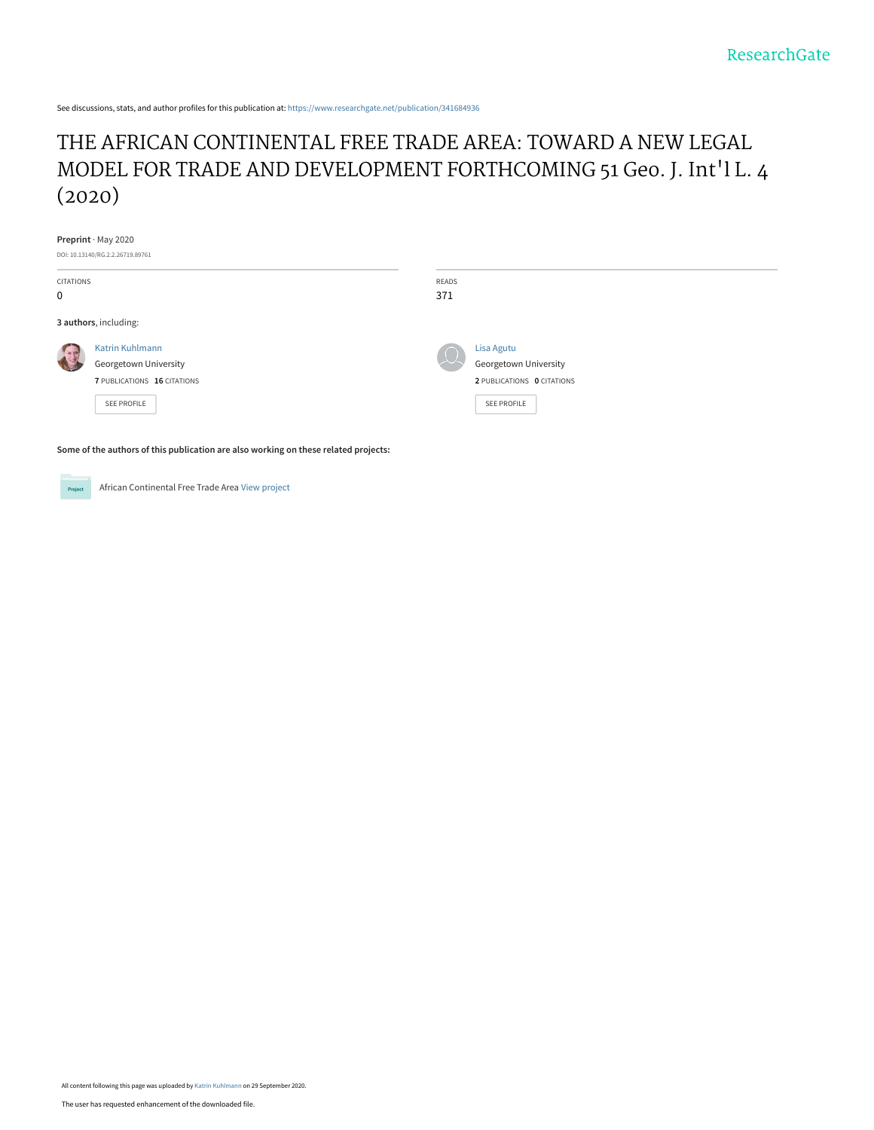See discussions, stats, and author profiles for this publication at: [https://www.researchgate.net/publication/341684936](https://www.researchgate.net/publication/341684936_THE_AFRICAN_CONTINENTAL_FREE_TRADE_AREA_TOWARD_A_NEW_LEGAL_MODEL_FOR_TRADE_AND_DEVELOPMENT_FORTHCOMING_51_Geo_J_Int%27l_L_4_2020?enrichId=rgreq-acdb680cb5a802785c7b145b1b6c9b2e-XXX&enrichSource=Y292ZXJQYWdlOzM0MTY4NDkzNjtBUzo5NDA5NDUwMTI5NjUzNzZAMTYwMTM1MDE4MTYyMg%3D%3D&el=1_x_2&_esc=publicationCoverPdf)

# [THE AFRICAN CONTINENTAL FREE TRADE AREA: TOWARD A NEW LEGAL](https://www.researchgate.net/publication/341684936_THE_AFRICAN_CONTINENTAL_FREE_TRADE_AREA_TOWARD_A_NEW_LEGAL_MODEL_FOR_TRADE_AND_DEVELOPMENT_FORTHCOMING_51_Geo_J_Int%27l_L_4_2020?enrichId=rgreq-acdb680cb5a802785c7b145b1b6c9b2e-XXX&enrichSource=Y292ZXJQYWdlOzM0MTY4NDkzNjtBUzo5NDA5NDUwMTI5NjUzNzZAMTYwMTM1MDE4MTYyMg%3D%3D&el=1_x_3&_esc=publicationCoverPdf) MODEL FOR TRADE AND DEVELOPMENT FORTHCOMING 51 Geo. J. Int'l L. 4 (2020)

#### **Preprint** · May 2020

| DOI: 10.13140/RG.2.2.26719.89761 |                                          |            |                                     |
|----------------------------------|------------------------------------------|------------|-------------------------------------|
| CITATIONS                        |                                          | READS      |                                     |
| 0                                |                                          | 371        |                                     |
| 3 authors, including:            |                                          |            |                                     |
|                                  | Katrin Kuhlmann<br>Georgetown University | $\sqrt{2}$ | Lisa Agutu<br>Georgetown University |
|                                  | 7 PUBLICATIONS 16 CITATIONS              |            | 2 PUBLICATIONS 0 CITATIONS          |
|                                  | SEE PROFILE                              |            | <b>SEE PROFILE</b>                  |
|                                  |                                          |            |                                     |

**Some of the authors of this publication are also working on these related projects:**

Project

African Continental Free Trade Area [View project](https://www.researchgate.net/project/African-Continental-Free-Trade-Area-2?enrichId=rgreq-acdb680cb5a802785c7b145b1b6c9b2e-XXX&enrichSource=Y292ZXJQYWdlOzM0MTY4NDkzNjtBUzo5NDA5NDUwMTI5NjUzNzZAMTYwMTM1MDE4MTYyMg%3D%3D&el=1_x_9&_esc=publicationCoverPdf)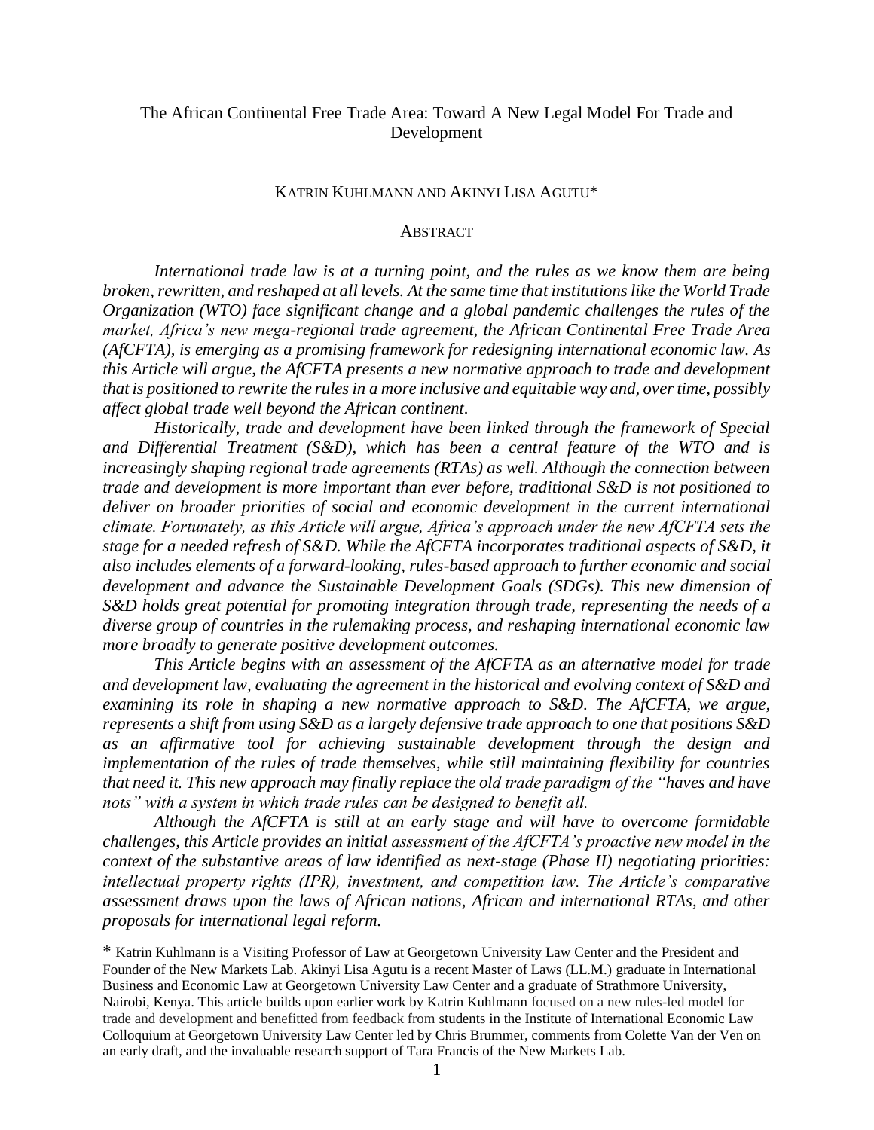# The African Continental Free Trade Area: Toward A New Legal Model For Trade and Development

#### KATRIN KUHLMANN AND AKINYI LISA AGUTU\*

#### **ABSTRACT**

*International trade law is at a turning point, and the rules as we know them are being broken, rewritten, and reshaped at all levels. At the same time that institutions like the World Trade Organization (WTO) face significant change and a global pandemic challenges the rules of the market, Africa's new mega-regional trade agreement, the African Continental Free Trade Area (AfCFTA), is emerging as a promising framework for redesigning international economic law. As this Article will argue, the AfCFTA presents a new normative approach to trade and development that is positioned to rewrite the rules in a more inclusive and equitable way and, over time, possibly affect global trade well beyond the African continent.*

*Historically, trade and development have been linked through the framework of Special and Differential Treatment (S&D), which has been a central feature of the WTO and is increasingly shaping regional trade agreements (RTAs) as well. Although the connection between trade and development is more important than ever before, traditional S&D is not positioned to deliver on broader priorities of social and economic development in the current international climate. Fortunately, as this Article will argue, Africa's approach under the new AfCFTA sets the stage for a needed refresh of S&D. While the AfCFTA incorporates traditional aspects of S&D, it also includes elements of a forward-looking, rules-based approach to further economic and social development and advance the Sustainable Development Goals (SDGs). This new dimension of S&D holds great potential for promoting integration through trade, representing the needs of a diverse group of countries in the rulemaking process, and reshaping international economic law more broadly to generate positive development outcomes.* 

*This Article begins with an assessment of the AfCFTA as an alternative model for trade and development law, evaluating the agreement in the historical and evolving context of S&D and examining its role in shaping a new normative approach to S&D. The AfCFTA, we argue, represents a shift from using S&D as a largely defensive trade approach to one that positions S&D as an affirmative tool for achieving sustainable development through the design and implementation of the rules of trade themselves, while still maintaining flexibility for countries that need it. This new approach may finally replace the old trade paradigm of the "haves and have nots" with a system in which trade rules can be designed to benefit all.* 

*Although the AfCFTA is still at an early stage and will have to overcome formidable challenges, this Article provides an initial assessment of the AfCFTA's proactive new model in the context of the substantive areas of law identified as next-stage (Phase II) negotiating priorities: intellectual property rights (IPR), investment, and competition law. The Article's comparative assessment draws upon the laws of African nations, African and international RTAs, and other proposals for international legal reform.* 

\* Katrin Kuhlmann is a Visiting Professor of Law at Georgetown University Law Center and the President and Founder of the New Markets Lab. Akinyi Lisa Agutu is a recent Master of Laws (LL.M.) graduate in International Business and Economic Law at Georgetown University Law Center and a graduate of Strathmore University, Nairobi, Kenya. This article builds upon earlier work by Katrin Kuhlmann focused on a new rules-led model for trade and development and benefitted from feedback from students in the Institute of International Economic Law Colloquium at Georgetown University Law Center led by Chris Brummer, comments from Colette Van der Ven on an early draft, and the invaluable research support of Tara Francis of the New Markets Lab.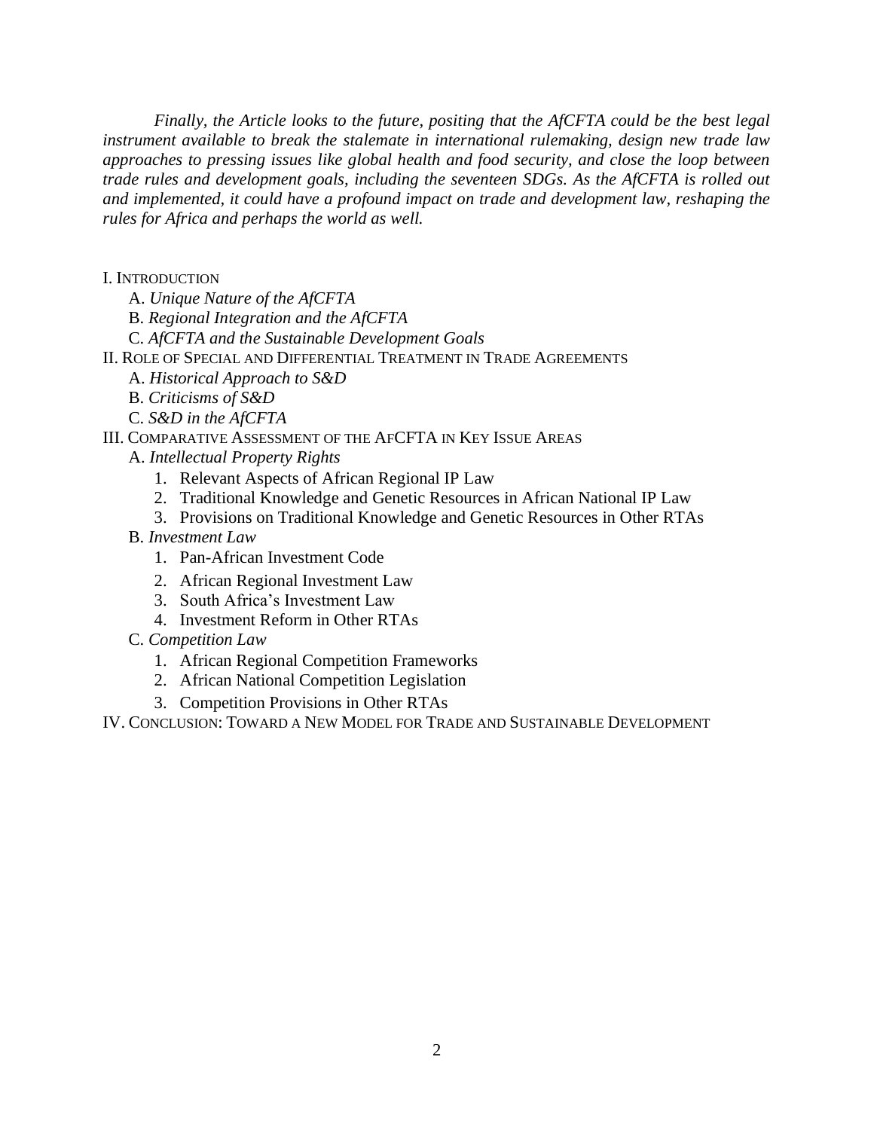*Finally, the Article looks to the future, positing that the AfCFTA could be the best legal instrument available to break the stalemate in international rulemaking, design new trade law approaches to pressing issues like global health and food security, and close the loop between trade rules and development goals, including the seventeen SDGs. As the AfCFTA is rolled out and implemented, it could have a profound impact on trade and development law, reshaping the rules for Africa and perhaps the world as well.*

I. INTRODUCTION

A. *Unique Nature of the AfCFTA*

B. *Regional Integration and the AfCFTA*

C. *AfCFTA and the Sustainable Development Goals*

II. ROLE OF SPECIAL AND DIFFERENTIAL TREATMENT IN TRADE AGREEMENTS

- A. *Historical Approach to S&D*
- B. *Criticisms of S&D*
- C. *S&D in the AfCFTA*

# III. COMPARATIVE ASSESSMENT OF THE AFCFTA IN KEY ISSUE AREAS

- A. *Intellectual Property Rights*
	- 1. Relevant Aspects of African Regional IP Law
	- 2. Traditional Knowledge and Genetic Resources in African National IP Law
	- 3. Provisions on Traditional Knowledge and Genetic Resources in Other RTAs
- B. *Investment Law*
	- 1. Pan-African Investment Code
	- 2. African Regional Investment Law
	- 3. South Africa's Investment Law
	- 4. Investment Reform in Other RTAs
- C. *Competition Law*
	- 1. African Regional Competition Frameworks
	- 2. African National Competition Legislation
	- 3. Competition Provisions in Other RTAs

IV. CONCLUSION: TOWARD A NEW MODEL FOR TRADE AND SUSTAINABLE DEVELOPMENT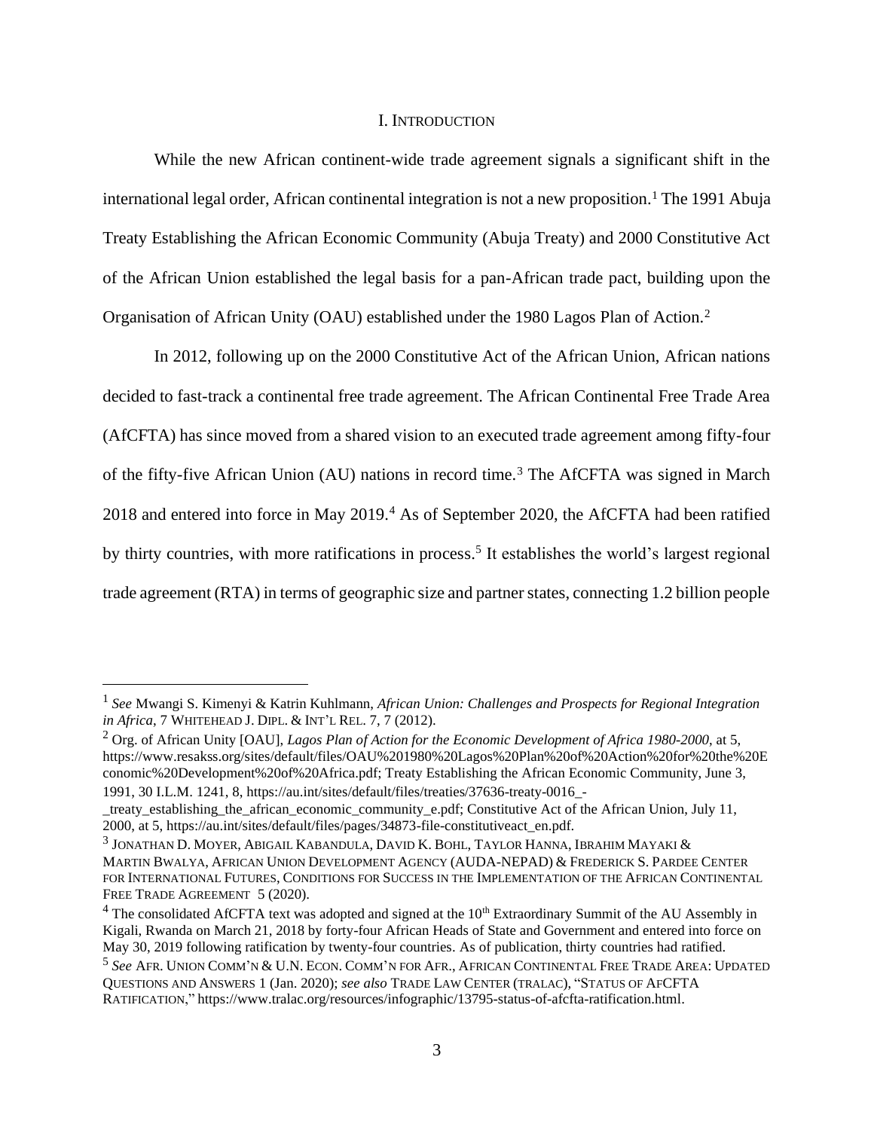#### I. INTRODUCTION

While the new African continent-wide trade agreement signals a significant shift in the international legal order, African continental integration is not a new proposition.<sup>1</sup> The 1991 Abuja Treaty Establishing the African Economic Community (Abuja Treaty) and 2000 Constitutive Act of the African Union established the legal basis for a pan-African trade pact, building upon the Organisation of African Unity (OAU) established under the 1980 Lagos Plan of Action.<sup>2</sup>

In 2012, following up on the 2000 Constitutive Act of the African Union, African nations decided to fast-track a continental free trade agreement. The African Continental Free Trade Area (AfCFTA) has since moved from a shared vision to an executed trade agreement among fifty-four of the fifty-five African Union (AU) nations in record time.<sup>3</sup> The AfCFTA was signed in March 2018 and entered into force in May 2019.<sup>4</sup> As of September 2020, the AfCFTA had been ratified by thirty countries, with more ratifications in process.<sup>5</sup> It establishes the world's largest regional trade agreement (RTA) in terms of geographic size and partner states, connecting 1.2 billion people

<sup>&</sup>lt;sup>1</sup> See Mwangi S. Kimenyi & Katrin Kuhlmann, *African Union: Challenges and Prospects for Regional Integration in Africa*, 7 WHITEHEAD J. DIPL. & INT'L REL. 7, 7 (2012).

<sup>2</sup> Org. of African Unity [OAU], *Lagos Plan of Action for the Economic Development of Africa 1980-2000*, at 5, https://www.resakss.org/sites/default/files/OAU%201980%20Lagos%20Plan%20of%20Action%20for%20the%20E conomic%20Development%20of%20Africa.pdf; Treaty Establishing the African Economic Community, June 3, 1991, 30 I.L.M. 1241, 8, https://au.int/sites/default/files/treaties/37636-treaty-0016\_-

\_treaty\_establishing\_the\_african\_economic\_community\_e.pdf; Constitutive Act of the African Union, July 11, 2000, at 5, https://au.int/sites/default/files/pages/34873-file-constitutiveact\_en.pdf.

 $^3$  Jonathan D. Moyer, Abigail Kabandula, David K. Bohl, Taylor Hanna, Ibrahim Mayaki & MARTIN BWALYA, AFRICAN UNION DEVELOPMENT AGENCY (AUDA-NEPAD) & FREDERICK S.PARDEE CENTER FOR INTERNATIONAL FUTURES, CONDITIONS FOR SUCCESS IN THE IMPLEMENTATION OF THE AFRICAN CONTINENTAL FREE TRADE AGREEMENT 5 (2020).

 $4$  The consolidated AfCFTA text was adopted and signed at the  $10<sup>th</sup>$  Extraordinary Summit of the AU Assembly in Kigali, Rwanda on March 21, 2018 by forty-four African Heads of State and Government and entered into force on May 30, 2019 following ratification by twenty-four countries. As of publication, thirty countries had ratified.

<sup>5</sup> *See* AFR. UNION COMM'N & U.N. ECON. COMM'N FOR AFR., AFRICAN CONTINENTAL FREE TRADE AREA: UPDATED QUESTIONS AND ANSWERS 1 (Jan. 2020); *see also* TRADE LAW CENTER (TRALAC), "STATUS OF AFCFTA RATIFICATION," https://www.tralac.org/resources/infographic/13795-status-of-afcfta-ratification.html.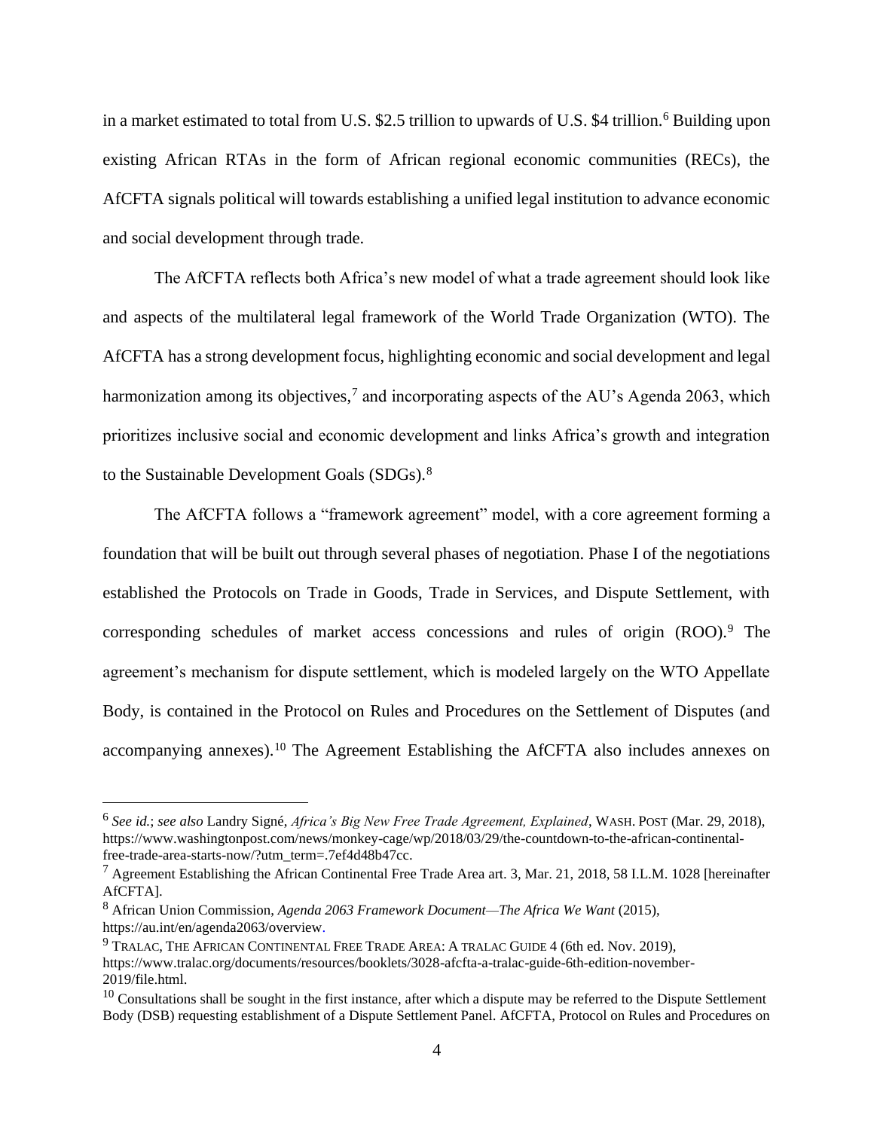in a market estimated to total from U.S. \$2.5 trillion to upwards of U.S. \$4 trillion.<sup>6</sup> Building upon existing African RTAs in the form of African regional economic communities (RECs), the AfCFTA signals political will towards establishing a unified legal institution to advance economic and social development through trade.

The AfCFTA reflects both Africa's new model of what a trade agreement should look like and aspects of the multilateral legal framework of the World Trade Organization (WTO). The AfCFTA has a strong development focus, highlighting economic and social development and legal harmonization among its objectives,<sup>7</sup> and incorporating aspects of the AU's Agenda 2063, which prioritizes inclusive social and economic development and links Africa's growth and integration to the Sustainable Development Goals (SDGs).<sup>8</sup>

The AfCFTA follows a "framework agreement" model, with a core agreement forming a foundation that will be built out through several phases of negotiation. Phase I of the negotiations established the Protocols on Trade in Goods, Trade in Services, and Dispute Settlement, with corresponding schedules of market access concessions and rules of origin (ROO).<sup>9</sup> The agreement's mechanism for dispute settlement, which is modeled largely on the WTO Appellate Body, is contained in the Protocol on Rules and Procedures on the Settlement of Disputes (and accompanying annexes).<sup>10</sup> The Agreement Establishing the AfCFTA also includes annexes on

<sup>6</sup> *See id.*; *see also* Landry Signé, *Africa's Big New Free Trade Agreement, Explained*, WASH.POST (Mar. 29, 2018), https://www.washingtonpost.com/news/monkey-cage/wp/2018/03/29/the-countdown-to-the-african-continentalfree-trade-area-starts-now/?utm\_term=.7ef4d48b47cc.

<sup>&</sup>lt;sup>7</sup> Agreement Establishing the African Continental Free Trade Area art. 3, Mar. 21, 2018, 58 I.L.M. 1028 [hereinafter AfCFTA].

<sup>8</sup> African Union Commission, *Agenda 2063 Framework Document—The Africa We Want* (2015), https://au.int/en/agenda2063/overview.

<sup>9</sup> TRALAC, THE AFRICAN CONTINENTAL FREE TRADE AREA: A TRALAC GUIDE 4 (6th ed. Nov. 2019), https://www.tralac.org/documents/resources/booklets/3028-afcfta-a-tralac-guide-6th-edition-november-2019/file.html.

 $10$  Consultations shall be sought in the first instance, after which a dispute may be referred to the Dispute Settlement Body (DSB) requesting establishment of a Dispute Settlement Panel. AfCFTA, Protocol on Rules and Procedures on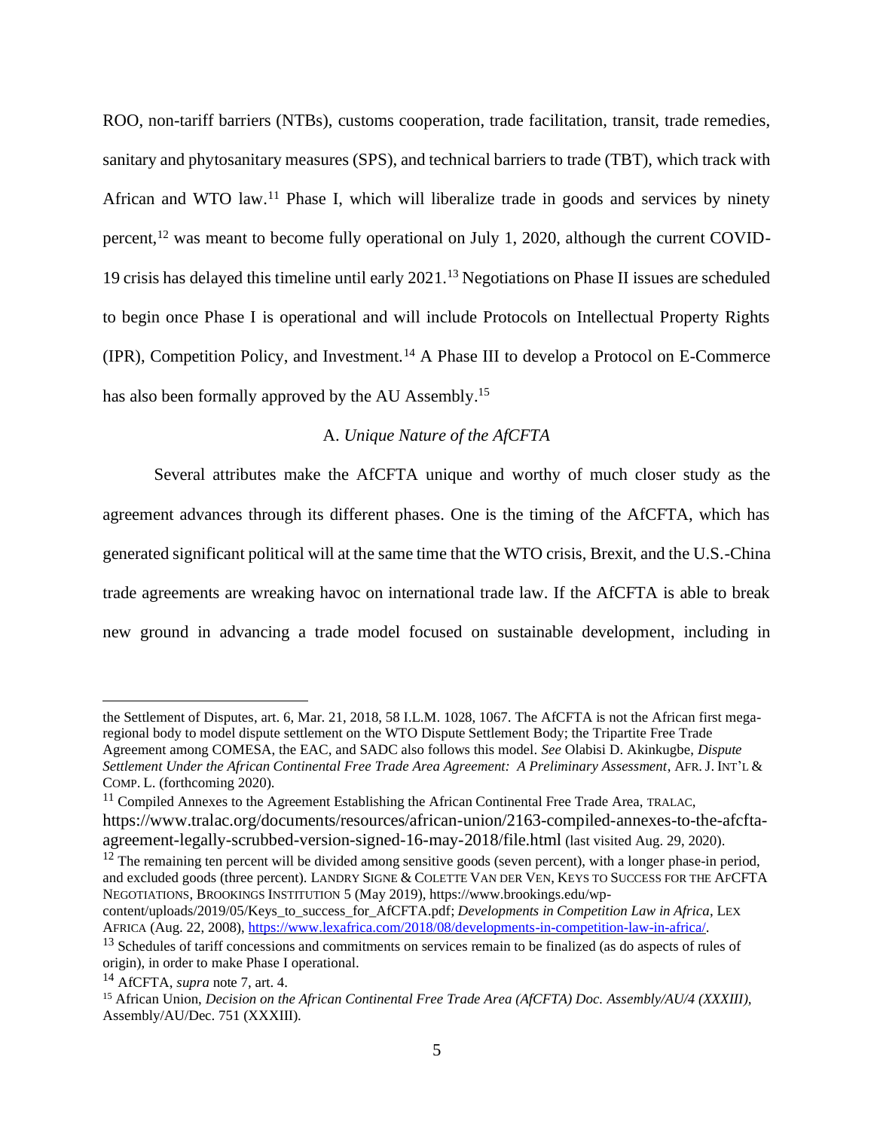ROO, non-tariff barriers (NTBs), customs cooperation, trade facilitation, transit, trade remedies, sanitary and phytosanitary measures (SPS), and technical barriers to trade (TBT), which track with African and WTO law.<sup>11</sup> Phase I, which will liberalize trade in goods and services by ninety percent,<sup>12</sup> was meant to become fully operational on July 1, 2020, although the current COVID-19 crisis has delayed this timeline until early 2021.<sup>13</sup> Negotiations on Phase II issues are scheduled to begin once Phase I is operational and will include Protocols on Intellectual Property Rights  $(IPR)$ , Competition Policy, and Investment.<sup>14</sup> A Phase III to develop a Protocol on E-Commerce has also been formally approved by the AU Assembly.<sup>15</sup>

### A. *Unique Nature of the AfCFTA*

Several attributes make the AfCFTA unique and worthy of much closer study as the agreement advances through its different phases. One is the timing of the AfCFTA, which has generated significant political will at the same time that the WTO crisis, Brexit, and the U.S.-China trade agreements are wreaking havoc on international trade law. If the AfCFTA is able to break new ground in advancing a trade model focused on sustainable development, including in

 $12$  The remaining ten percent will be divided among sensitive goods (seven percent), with a longer phase-in period, and excluded goods (three percent). LANDRY SIGNE & COLETTE VAN DER VEN, KEYS TO SUCCESS FOR THE AFCFTA NEGOTIATIONS, BROOKINGS INSTITUTION 5 (May 2019), https://www.brookings.edu/wp-

the Settlement of Disputes, art. 6, Mar. 21, 2018, 58 I.L.M. 1028, 1067. The AfCFTA is not the African first megaregional body to model dispute settlement on the WTO Dispute Settlement Body; the Tripartite Free Trade Agreement among COMESA, the EAC, and SADC also follows this model. *See* Olabisi D. Akinkugbe, *Dispute Settlement Under the African Continental Free Trade Area Agreement: A Preliminary Assessment*, AFR. J. INT'L & COMP. L. (forthcoming 2020).

 $11$  Compiled Annexes to the Agreement Establishing the African Continental Free Trade Area, TRALAC, https://www.tralac.org/documents/resources/african-union/2163-compiled-annexes-to-the-afcftaagreement-legally-scrubbed-version-signed-16-may-2018/file.html (last visited Aug. 29, 2020).

content/uploads/2019/05/Keys\_to\_success\_for\_AfCFTA.pdf; *Developments in Competition Law in Africa*, LEX AFRICA (Aug. 22, 2008), [https://www.lexafrica.com/2018/08/developments-in-competition-law-in-africa/.](https://www.lexafrica.com/2018/08/developments-in-competition-law-in-africa/)

<sup>&</sup>lt;sup>13</sup> Schedules of tariff concessions and commitments on services remain to be finalized (as do aspects of rules of origin), in order to make Phase I operational.

<sup>14</sup> AfCFTA, *supra* note 7, art. 4.

<sup>15</sup> African Union, *Decision on the African Continental Free Trade Area (AfCFTA) Doc. Assembly/AU/4 (XXXIII),*  Assembly/AU/Dec. 751 (XXXIII).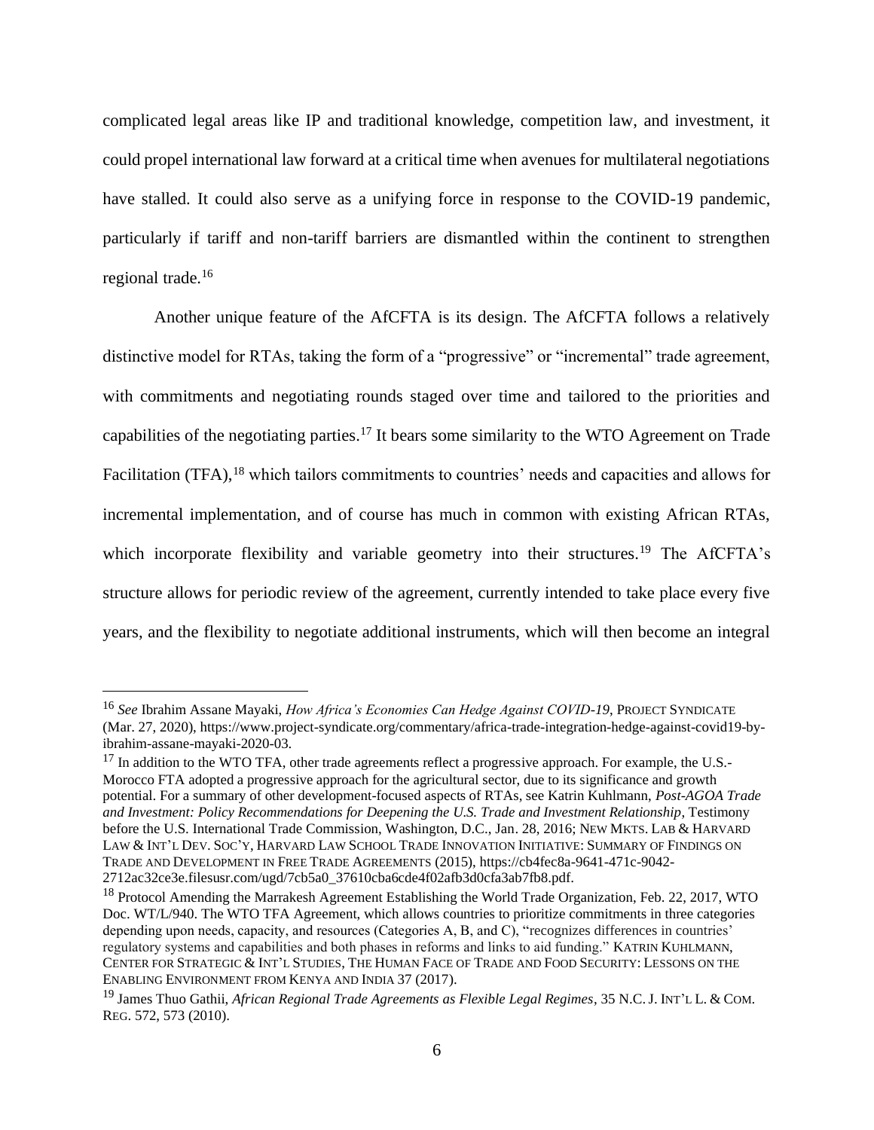complicated legal areas like IP and traditional knowledge, competition law, and investment, it could propel international law forward at a critical time when avenues for multilateral negotiations have stalled. It could also serve as a unifying force in response to the COVID-19 pandemic, particularly if tariff and non-tariff barriers are dismantled within the continent to strengthen regional trade.<sup>16</sup>

Another unique feature of the AfCFTA is its design. The AfCFTA follows a relatively distinctive model for RTAs, taking the form of a "progressive" or "incremental" trade agreement, with commitments and negotiating rounds staged over time and tailored to the priorities and capabilities of the negotiating parties.<sup>17</sup> It bears some similarity to the WTO Agreement on Trade Facilitation (TFA),<sup>18</sup> which tailors commitments to countries' needs and capacities and allows for incremental implementation, and of course has much in common with existing African RTAs, which incorporate flexibility and variable geometry into their structures.<sup>19</sup> The AfCFTA's structure allows for periodic review of the agreement, currently intended to take place every five years, and the flexibility to negotiate additional instruments, which will then become an integral

<sup>16</sup> *See* Ibrahim Assane Mayaki, *How Africa's Economies Can Hedge Against COVID-19*, PROJECT SYNDICATE (Mar. 27, 2020), https://www.project-syndicate.org/commentary/africa-trade-integration-hedge-against-covid19-byibrahim-assane-mayaki-2020-03.

<sup>&</sup>lt;sup>17</sup> In addition to the WTO TFA, other trade agreements reflect a progressive approach. For example, the U.S.-Morocco FTA adopted a progressive approach for the agricultural sector, due to its significance and growth potential. For a summary of other development-focused aspects of RTAs, see Katrin Kuhlmann, *Post-AGOA Trade and Investment: Policy Recommendations for Deepening the U.S. Trade and Investment Relationship*, Testimony before the U.S. International Trade Commission, Washington, D.C., Jan. 28, 2016; NEW MKTS. LAB & HARVARD LAW & INT'L DEV. SOC'Y, HARVARD LAW SCHOOL TRADE INNOVATION INITIATIVE: SUMMARY OF FINDINGS ON TRADE AND DEVELOPMENT IN FREE TRADE AGREEMENTS (2015), https://cb4fec8a-9641-471c-9042- 2712ac32ce3e.filesusr.com/ugd/7cb5a0\_37610cba6cde4f02afb3d0cfa3ab7fb8.pdf.

<sup>&</sup>lt;sup>18</sup> Protocol Amending the Marrakesh Agreement Establishing the World Trade Organization, Feb. 22, 2017, WTO Doc. WT/L/940. The WTO TFA Agreement, which allows countries to prioritize commitments in three categories depending upon needs, capacity, and resources (Categories A, B, and C), "recognizes differences in countries' regulatory systems and capabilities and both phases in reforms and links to aid funding." KATRIN KUHLMANN, CENTER FOR STRATEGIC & INT'L STUDIES, THE HUMAN FACE OF TRADE AND FOOD SECURITY: LESSONS ON THE ENABLING ENVIRONMENT FROM KENYA AND INDIA 37 (2017).

<sup>19</sup> James Thuo Gathii, *African Regional Trade Agreements as Flexible Legal Regimes*, 35 N.C.J. INT'L L. & COM. REG. 572, 573 (2010).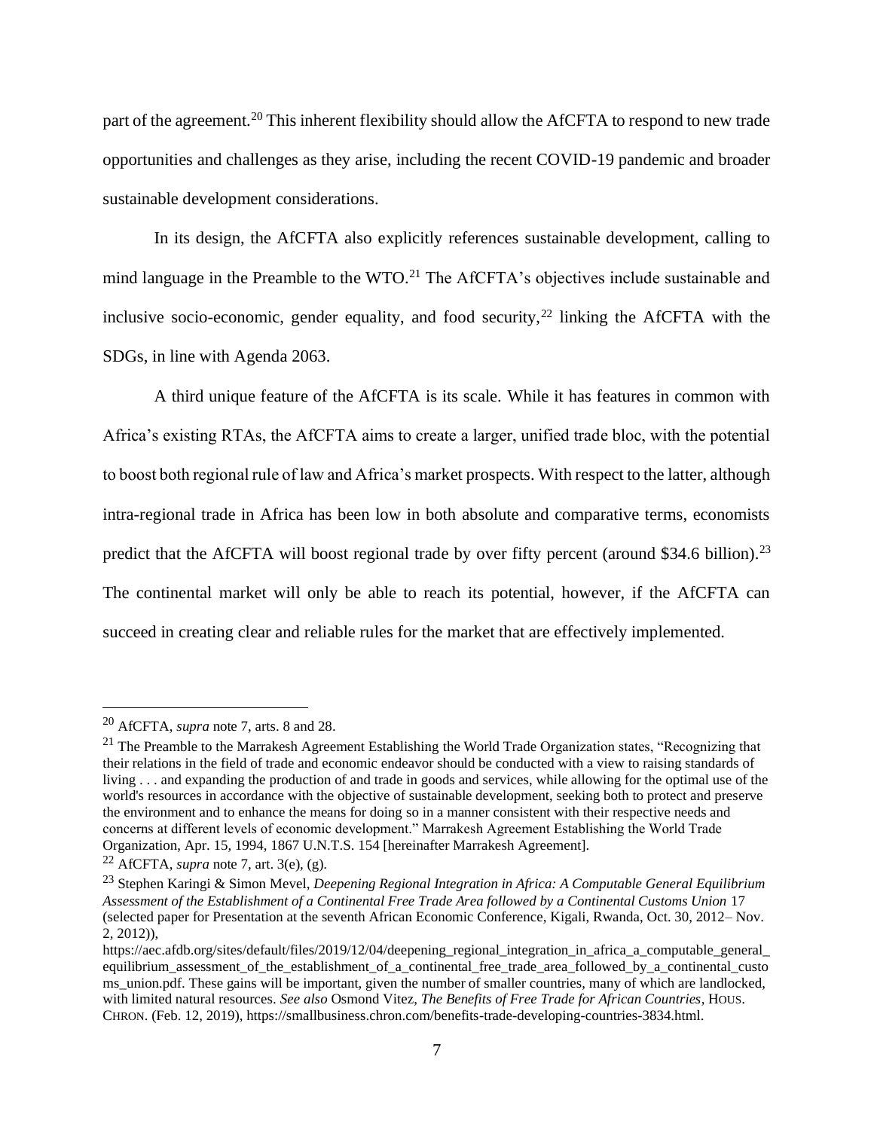part of the agreement.<sup>20</sup> This inherent flexibility should allow the AfCFTA to respond to new trade opportunities and challenges as they arise, including the recent COVID-19 pandemic and broader sustainable development considerations.

In its design, the AfCFTA also explicitly references sustainable development, calling to mind language in the Preamble to the WTO.<sup>21</sup> The AfCFTA's objectives include sustainable and inclusive socio-economic, gender equality, and food security,  $2^2$  linking the AfCFTA with the SDGs, in line with Agenda 2063.

A third unique feature of the AfCFTA is its scale. While it has features in common with Africa's existing RTAs, the AfCFTA aims to create a larger, unified trade bloc, with the potential to boost both regional rule of law and Africa's market prospects. With respect to the latter, although intra-regional trade in Africa has been low in both absolute and comparative terms, economists predict that the AfCFTA will boost regional trade by over fifty percent (around \$34.6 billion).<sup>23</sup> The continental market will only be able to reach its potential, however, if the AfCFTA can succeed in creating clear and reliable rules for the market that are effectively implemented.

<sup>20</sup> AfCFTA, *supra* note 7, arts. 8 and 28.

<sup>&</sup>lt;sup>21</sup> The Preamble to the Marrakesh Agreement Establishing the World Trade Organization states, "Recognizing that their relations in the field of trade and economic endeavor should be conducted with a view to raising standards of living . . . and expanding the production of and trade in goods and services, while allowing for the optimal use of the world's resources in accordance with the objective of sustainable development, seeking both to protect and preserve the environment and to enhance the means for doing so in a manner consistent with their respective needs and concerns at different levels of economic development." Marrakesh Agreement Establishing the World Trade Organization, Apr. 15, 1994, 1867 U.N.T.S. 154 [hereinafter Marrakesh Agreement].

<sup>&</sup>lt;sup>22</sup> AfCFTA, *supra* note 7, art. 3(e), (g).

<sup>23</sup> Stephen Karingi & Simon Mevel, *Deepening Regional Integration in Africa: A Computable General Equilibrium Assessment of the Establishment of a Continental Free Trade Area followed by a Continental Customs Union* 17 (selected paper for Presentation at the seventh African Economic Conference, Kigali, Rwanda, Oct. 30, 2012– Nov. 2, 2012)),

https://aec.afdb.org/sites/default/files/2019/12/04/deepening\_regional\_integration\_in\_africa\_a\_computable\_general\_ equilibrium\_assessment\_of\_the\_establishment\_of\_a\_continental\_free\_trade\_area\_followed\_by\_a\_continental\_custo ms\_union.pdf. These gains will be important, given the number of smaller countries, many of which are landlocked, with limited natural resources. *See also* Osmond Vitez, *The Benefits of Free Trade for African Countries*, HOUS. CHRON. (Feb. 12, 2019), https://smallbusiness.chron.com/benefits-trade-developing-countries-3834.html.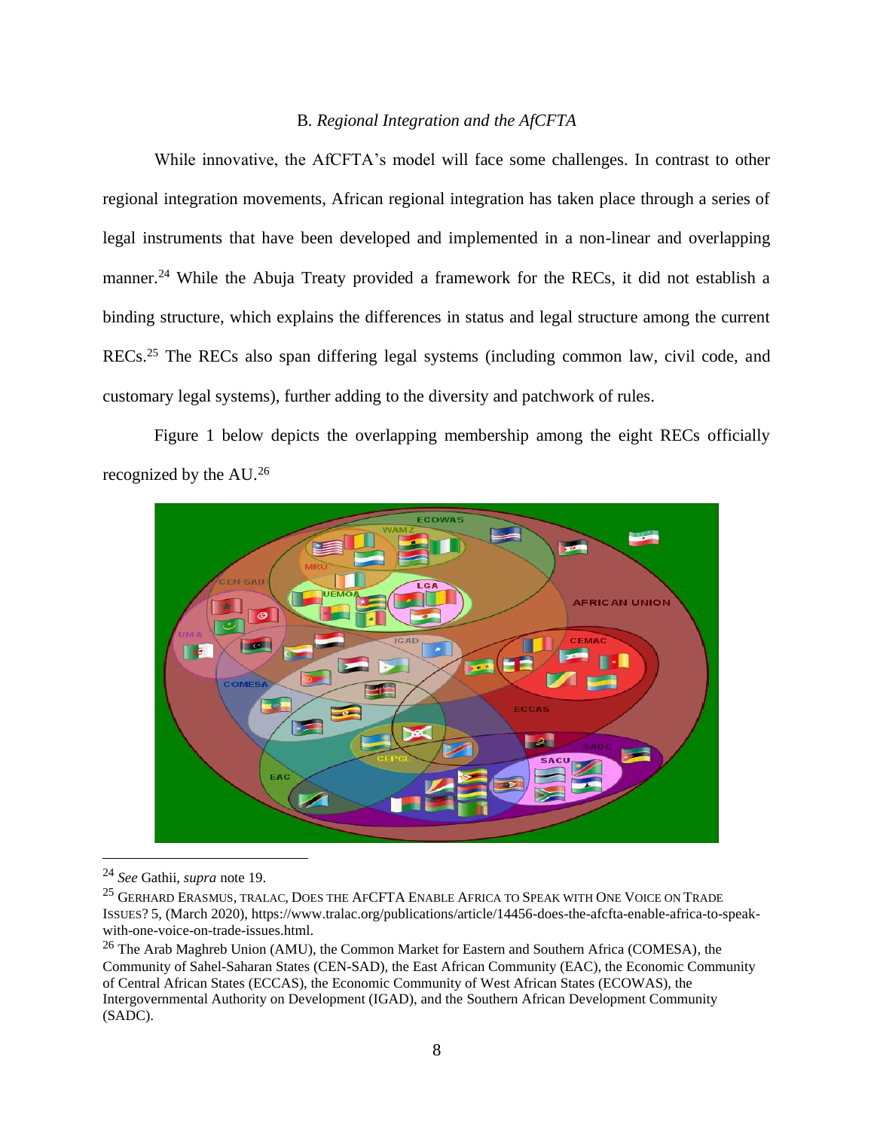# B*. Regional Integration and the AfCFTA*

While innovative, the AfCFTA's model will face some challenges. In contrast to other regional integration movements, African regional integration has taken place through a series of legal instruments that have been developed and implemented in a non-linear and overlapping manner.<sup>24</sup> While the Abuja Treaty provided a framework for the RECs, it did not establish a binding structure, which explains the differences in status and legal structure among the current RECs.<sup>25</sup> The RECs also span differing legal systems (including common law, civil code, and customary legal systems), further adding to the diversity and patchwork of rules.

Figure 1 below depicts the overlapping membership among the eight RECs officially recognized by the AU.<sup>26</sup>



<sup>24</sup> *See* Gathii, *supra* note 19.

<sup>25</sup> GERHARD ERASMUS, TRALAC, DOES THE AFCFTA ENABLE AFRICA TO SPEAK WITH ONE VOICE ON TRADE ISSUES? 5, (March 2020), https://www.tralac.org/publications/article/14456-does-the-afcfta-enable-africa-to-speakwith-one-voice-on-trade-issues.html.

<sup>&</sup>lt;sup>26</sup> The Arab Maghreb Union (AMU), the Common Market for Eastern and Southern Africa (COMESA), the Community of Sahel-Saharan States (CEN-SAD), the East African Community (EAC), the Economic Community of Central African States (ECCAS), the Economic Community of West African States (ECOWAS), the Intergovernmental Authority on Development (IGAD), and the Southern African Development Community (SADC).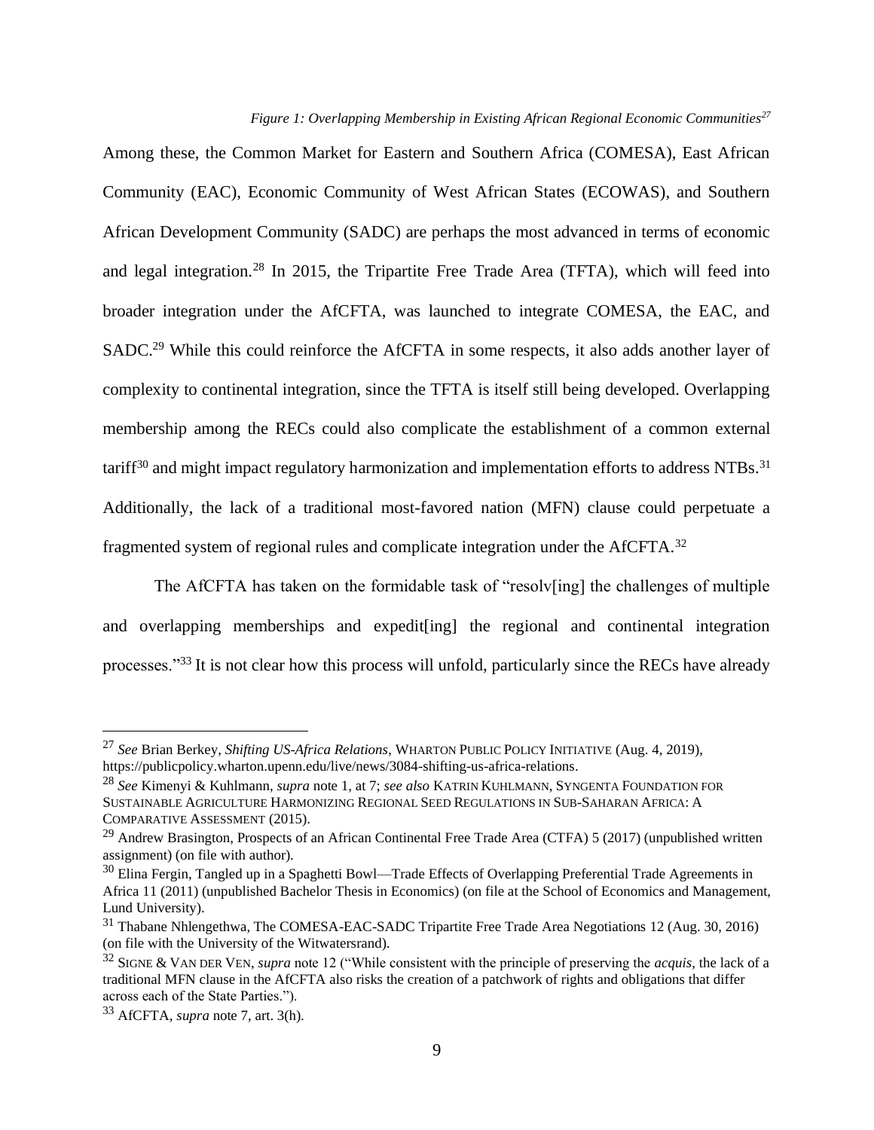*Figure 1: Overlapping Membership in Existing African Regional Economic Communities<sup>27</sup>*

Among these, the Common Market for Eastern and Southern Africa (COMESA), East African Community (EAC), Economic Community of West African States (ECOWAS), and Southern African Development Community (SADC) are perhaps the most advanced in terms of economic and legal integration.<sup>28</sup> In 2015, the Tripartite Free Trade Area (TFTA), which will feed into broader integration under the AfCFTA, was launched to integrate COMESA, the EAC, and SADC.<sup>29</sup> While this could reinforce the AfCFTA in some respects, it also adds another layer of complexity to continental integration, since the TFTA is itself still being developed. Overlapping membership among the RECs could also complicate the establishment of a common external tariff $30$  and might impact regulatory harmonization and implementation efforts to address NTBs.<sup>31</sup> Additionally, the lack of a traditional most-favored nation (MFN) clause could perpetuate a fragmented system of regional rules and complicate integration under the AfCFTA.<sup>32</sup>

The AfCFTA has taken on the formidable task of "resolv[ing] the challenges of multiple and overlapping memberships and expedit[ing] the regional and continental integration processes."<sup>33</sup> It is not clear how this process will unfold, particularly since the RECs have already

<sup>27</sup> *See* Brian Berkey, *Shifting US-Africa Relations*, WHARTON PUBLIC POLICY INITIATIVE (Aug. 4, 2019), https://publicpolicy.wharton.upenn.edu/live/news/3084-shifting-us-africa-relations.

<sup>28</sup> *See* Kimenyi & Kuhlmann, *supra* note 1, at 7; *see also* KATRIN KUHLMANN, SYNGENTA FOUNDATION FOR SUSTAINABLE AGRICULTURE HARMONIZING REGIONAL SEED REGULATIONS IN SUB-SAHARAN AFRICA: A COMPARATIVE ASSESSMENT (2015).

<sup>&</sup>lt;sup>29</sup> Andrew Brasington, Prospects of an African Continental Free Trade Area (CTFA) 5 (2017) (unpublished written assignment) (on file with author)*.*

<sup>30</sup> Elina Fergin, Tangled up in a Spaghetti Bowl—Trade Effects of Overlapping Preferential Trade Agreements in Africa 11 (2011) (unpublished Bachelor Thesis in Economics) (on file at the School of Economics and Management, Lund University).

<sup>31</sup> Thabane Nhlengethwa, The COMESA-EAC-SADC Tripartite Free Trade Area Negotiations 12 (Aug. 30, 2016) (on file with the University of the Witwatersrand)*.*

<sup>32</sup> SIGNE & VAN DER VEN, *supra* note 12 ("While consistent with the principle of preserving the *acquis*, the lack of a traditional MFN clause in the AfCFTA also risks the creation of a patchwork of rights and obligations that differ across each of the State Parties.").

<sup>33</sup> AfCFTA, *supra* note 7, art. 3(h).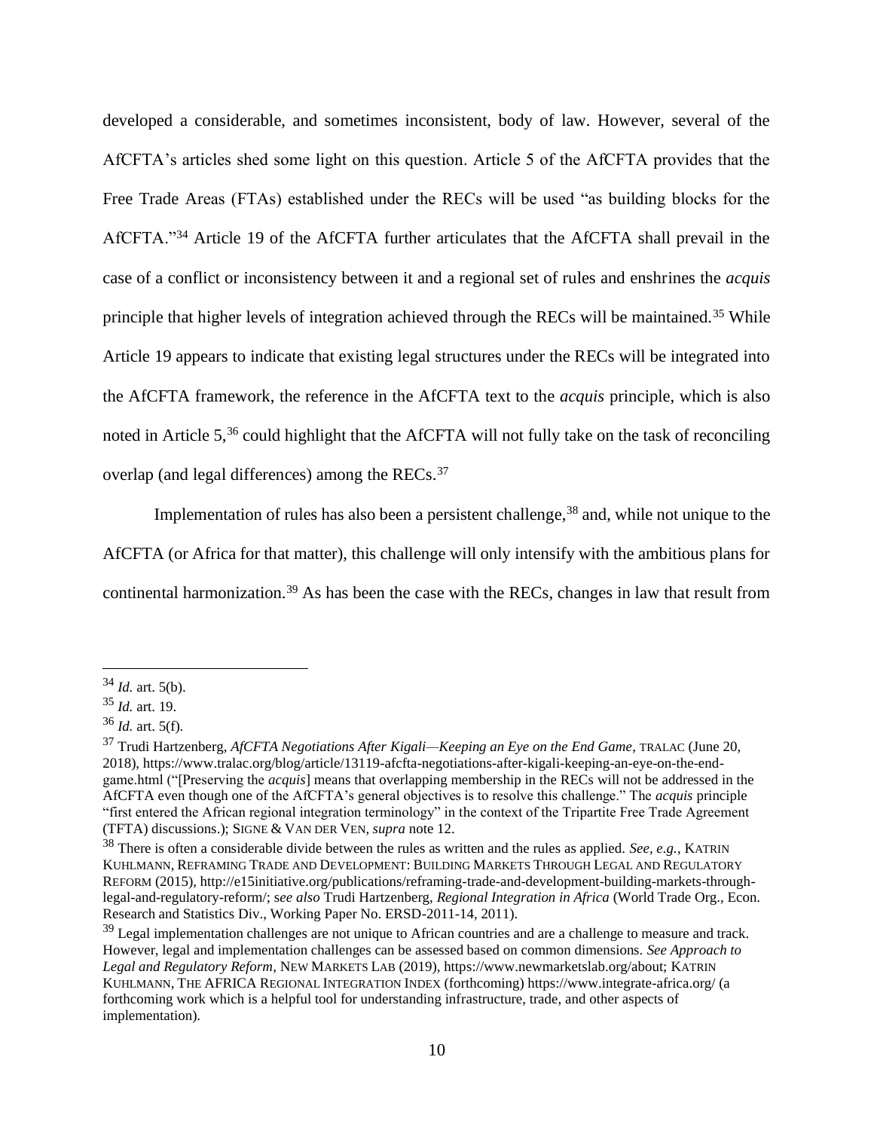developed a considerable, and sometimes inconsistent, body of law. However, several of the AfCFTA's articles shed some light on this question. Article 5 of the AfCFTA provides that the Free Trade Areas (FTAs) established under the RECs will be used "as building blocks for the AfCFTA."<sup>34</sup> Article 19 of the AfCFTA further articulates that the AfCFTA shall prevail in the case of a conflict or inconsistency between it and a regional set of rules and enshrines the *acquis* principle that higher levels of integration achieved through the RECs will be maintained.<sup>35</sup> While Article 19 appears to indicate that existing legal structures under the RECs will be integrated into the AfCFTA framework, the reference in the AfCFTA text to the *acquis* principle, which is also noted in Article 5,<sup>36</sup> could highlight that the AfCFTA will not fully take on the task of reconciling overlap (and legal differences) among the RECs.<sup>37</sup>

Implementation of rules has also been a persistent challenge,  $38$  and, while not unique to the AfCFTA (or Africa for that matter), this challenge will only intensify with the ambitious plans for continental harmonization.<sup>39</sup> As has been the case with the RECs, changes in law that result from

 $34$  *Id.* art. 5(b).

<sup>35</sup> *Id.* art. 19.

<sup>36</sup> *Id.* art. 5(f).

<sup>37</sup> Trudi Hartzenberg, *AfCFTA Negotiations After Kigali—Keeping an Eye on the End Game*, TRALAC (June 20, 2018), https://www.tralac.org/blog/article/13119-afcfta-negotiations-after-kigali-keeping-an-eye-on-the-endgame.html ("[Preserving the *acquis*] means that overlapping membership in the RECs will not be addressed in the AfCFTA even though one of the AfCFTA's general objectives is to resolve this challenge." The *acquis* principle "first entered the African regional integration terminology" in the context of the Tripartite Free Trade Agreement (TFTA) discussions.); SIGNE & VAN DER VEN, *supra* note 12.

<sup>38</sup> There is often a considerable divide between the rules as written and the rules as applied. *See, e.g.*, KATRIN KUHLMANN, REFRAMING TRADE AND DEVELOPMENT: BUILDING MARKETS THROUGH LEGAL AND REGULATORY REFORM (2015), http://e15initiative.org/publications/reframing-trade-and-development-building-markets-throughlegal-and-regulatory-reform/; s*ee also* Trudi Hartzenberg, *Regional Integration in Africa* (World Trade Org., Econ. Research and Statistics Div., Working Paper No. ERSD-2011-14, 2011).

<sup>&</sup>lt;sup>39</sup> Legal implementation challenges are not unique to African countries and are a challenge to measure and track. However, legal and implementation challenges can be assessed based on common dimensions. *See Approach to Legal and Regulatory Reform*, NEW MARKETS LAB (2019), https://www.newmarketslab.org/about; KATRIN KUHLMANN, THE AFRICA REGIONAL INTEGRATION INDEX (forthcoming) https://www.integrate-africa.org/ (a forthcoming work which is a helpful tool for understanding infrastructure, trade, and other aspects of implementation).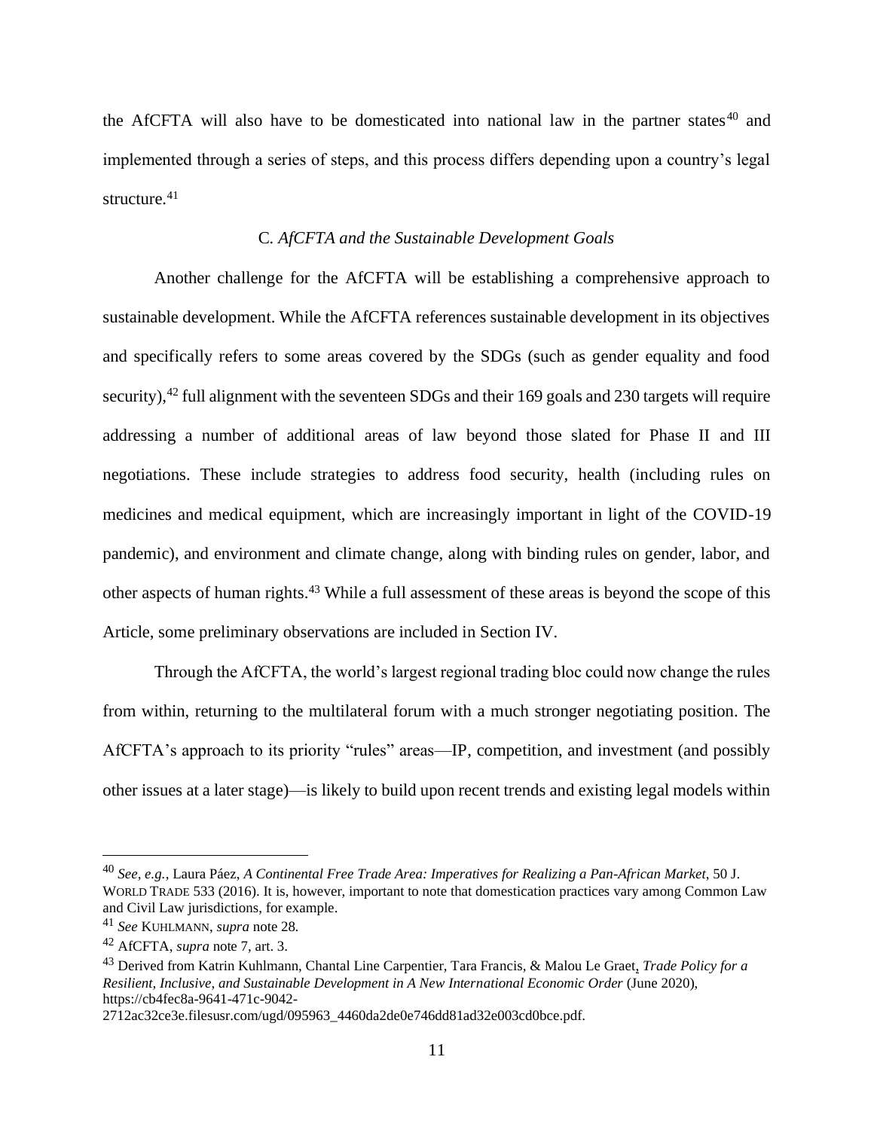the AfCFTA will also have to be domesticated into national law in the partner states $40$  and implemented through a series of steps, and this process differs depending upon a country's legal structure.<sup>41</sup>

# C*. AfCFTA and the Sustainable Development Goals*

Another challenge for the AfCFTA will be establishing a comprehensive approach to sustainable development. While the AfCFTA references sustainable development in its objectives and specifically refers to some areas covered by the SDGs (such as gender equality and food security),<sup>42</sup> full alignment with the seventeen SDGs and their 169 goals and 230 targets will require addressing a number of additional areas of law beyond those slated for Phase II and III negotiations. These include strategies to address food security, health (including rules on medicines and medical equipment, which are increasingly important in light of the COVID-19 pandemic), and environment and climate change, along with binding rules on gender, labor, and other aspects of human rights.<sup>43</sup> While a full assessment of these areas is beyond the scope of this Article, some preliminary observations are included in Section IV.

Through the AfCFTA, the world's largest regional trading bloc could now change the rules from within, returning to the multilateral forum with a much stronger negotiating position. The AfCFTA's approach to its priority "rules" areas—IP, competition, and investment (and possibly other issues at a later stage)—is likely to build upon recent trends and existing legal models within

<sup>40</sup> *See, e.g.*, Laura Páez, *A Continental Free Trade Area: Imperatives for Realizing a Pan-African Market*, 50 J. WORLD TRADE 533 (2016). It is, however, important to note that domestication practices vary among Common Law and Civil Law jurisdictions, for example.

<sup>41</sup> *See* KUHLMANN, *supra* note 28*.*

<sup>42</sup> AfCFTA, *supra* note 7, art. 3.

<sup>43</sup> Derived from Katrin Kuhlmann, Chantal Line Carpentier, Tara Francis, & Malou Le Graet, *Trade Policy for a Resilient, Inclusive, and Sustainable Development in A New International Economic Order* (June 2020), https://cb4fec8a-9641-471c-9042-

<sup>2712</sup>ac32ce3e.filesusr.com/ugd/095963\_4460da2de0e746dd81ad32e003cd0bce.pdf.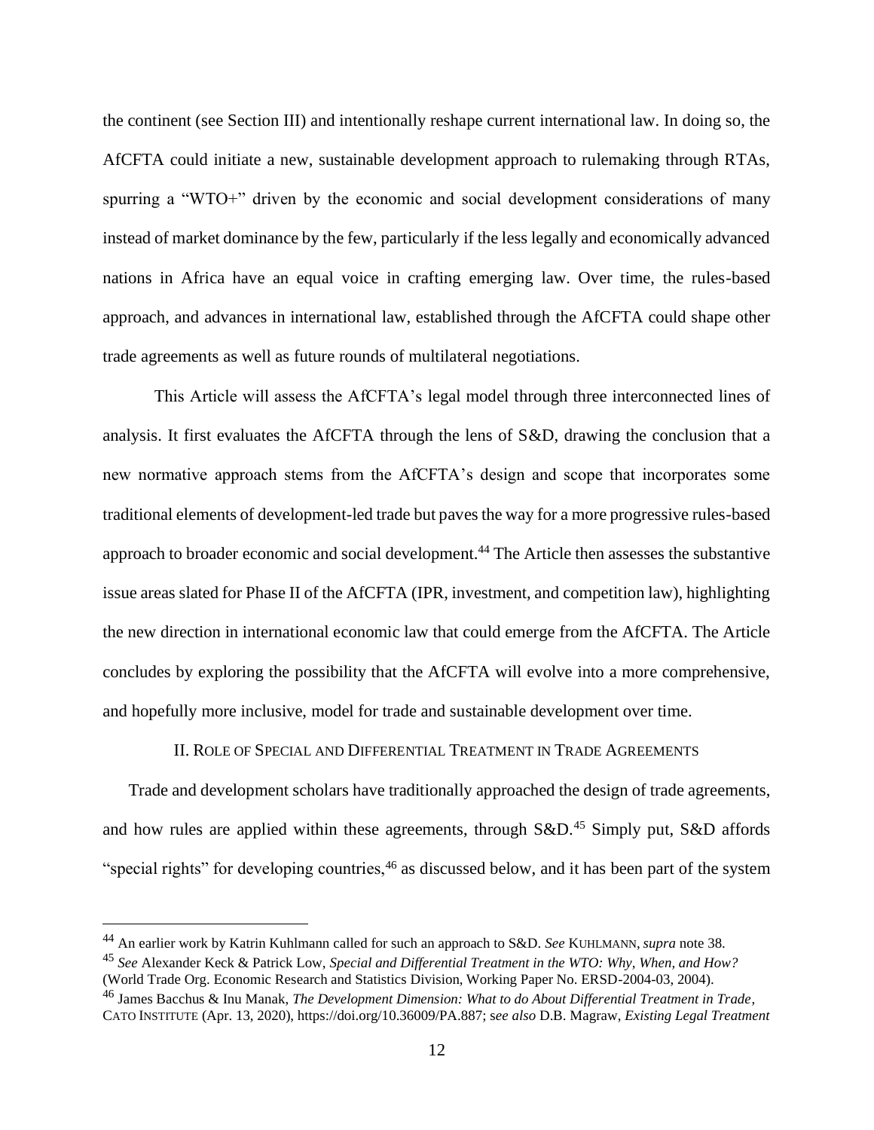the continent (see Section III) and intentionally reshape current international law. In doing so, the AfCFTA could initiate a new, sustainable development approach to rulemaking through RTAs, spurring a "WTO+" driven by the economic and social development considerations of many instead of market dominance by the few, particularly if the less legally and economically advanced nations in Africa have an equal voice in crafting emerging law. Over time, the rules-based approach, and advances in international law, established through the AfCFTA could shape other trade agreements as well as future rounds of multilateral negotiations.

This Article will assess the AfCFTA's legal model through three interconnected lines of analysis. It first evaluates the AfCFTA through the lens of S&D, drawing the conclusion that a new normative approach stems from the AfCFTA's design and scope that incorporates some traditional elements of development-led trade but paves the way for a more progressive rules-based approach to broader economic and social development.<sup>44</sup> The Article then assesses the substantive issue areas slated for Phase II of the AfCFTA (IPR, investment, and competition law), highlighting the new direction in international economic law that could emerge from the AfCFTA. The Article concludes by exploring the possibility that the AfCFTA will evolve into a more comprehensive, and hopefully more inclusive, model for trade and sustainable development over time.

II. ROLE OF SPECIAL AND DIFFERENTIAL TREATMENT IN TRADE AGREEMENTS

Trade and development scholars have traditionally approached the design of trade agreements, and how rules are applied within these agreements, through S&D.<sup>45</sup> Simply put, S&D affords "special rights" for developing countries,<sup>46</sup> as discussed below, and it has been part of the system

<sup>44</sup> An earlier work by Katrin Kuhlmann called for such an approach to S&D. *See* KUHLMANN, *supra* note 38.

<sup>45</sup> *See* Alexander Keck & Patrick Low, *Special and Differential Treatment in the WTO: Why, When, and How?* (World Trade Org. Economic Research and Statistics Division, Working Paper No. ERSD-2004-03, 2004).

<sup>46</sup> James Bacchus & Inu Manak, *The Development Dimension: What to do About Differential Treatment in Trade*, CATO INSTITUTE (Apr. 13, 2020), https://doi.org/10.36009/PA.887; s*ee also* D.B. Magraw, *Existing Legal Treatment*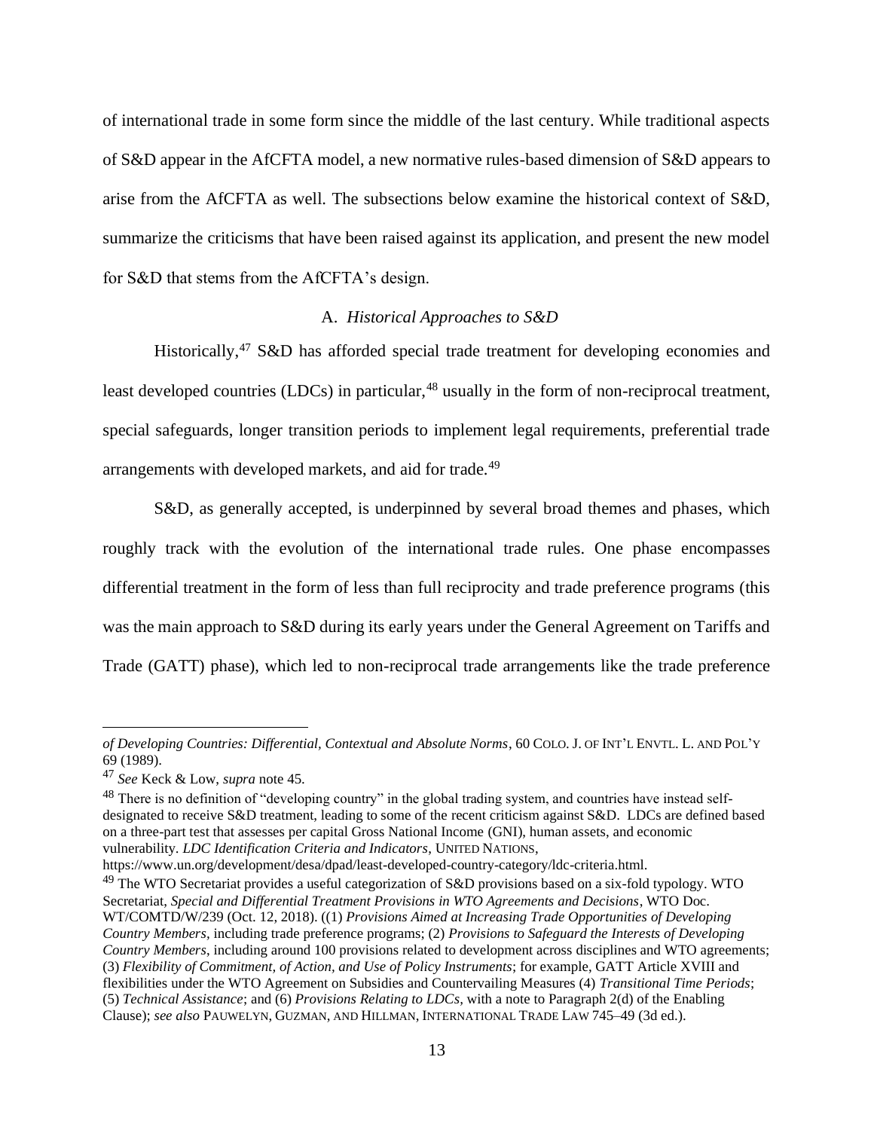of international trade in some form since the middle of the last century. While traditional aspects of S&D appear in the AfCFTA model, a new normative rules-based dimension of S&D appears to arise from the AfCFTA as well. The subsections below examine the historical context of S&D, summarize the criticisms that have been raised against its application, and present the new model for S&D that stems from the AfCFTA's design.

# A. *Historical Approaches to S&D*

Historically,<sup>47</sup> S&D has afforded special trade treatment for developing economies and least developed countries (LDCs) in particular,<sup>48</sup> usually in the form of non-reciprocal treatment, special safeguards, longer transition periods to implement legal requirements, preferential trade arrangements with developed markets, and aid for trade.<sup>49</sup>

S&D, as generally accepted, is underpinned by several broad themes and phases, which roughly track with the evolution of the international trade rules. One phase encompasses differential treatment in the form of less than full reciprocity and trade preference programs (this was the main approach to S&D during its early years under the General Agreement on Tariffs and Trade (GATT) phase), which led to non-reciprocal trade arrangements like the trade preference

<sup>48</sup> There is no definition of "developing country" in the global trading system, and countries have instead selfdesignated to receive S&D treatment, leading to some of the recent criticism against S&D. LDCs are defined based on a three-part test that assesses per capital Gross National Income (GNI), human assets, and economic vulnerability. *LDC Identification Criteria and Indicators*, UNITED NATIONS,

https://www.un.org/development/desa/dpad/least-developed-country-category/ldc-criteria.html.

<sup>49</sup> The WTO Secretariat provides a useful categorization of S&D provisions based on a six-fold typology. WTO Secretariat, *Special and Differential Treatment Provisions in WTO Agreements and Decisions*, WTO Doc. WT/COMTD/W/239 (Oct. 12, 2018). ((1) *Provisions Aimed at Increasing Trade Opportunities of Developing Country Members,* including trade preference programs; (2) *Provisions to Safeguard the Interests of Developing Country Members*, including around 100 provisions related to development across disciplines and WTO agreements; (3) *Flexibility of Commitment, of Action, and Use of Policy Instruments*; for example, GATT Article XVIII and flexibilities under the WTO Agreement on Subsidies and Countervailing Measures (4) *Transitional Time Periods*; (5) *Technical Assistance*; and (6) *Provisions Relating to LDCs,* with a note to Paragraph 2(d) of the Enabling Clause); *see also* PAUWELYN, GUZMAN, AND HILLMAN, INTERNATIONAL TRADE LAW 745–49 (3d ed.).

*of Developing Countries: Differential, Contextual and Absolute Norms*, 60 COLO. J. OF INT'L ENVTL. L. AND POL'Y 69 (1989).

<sup>47</sup> *See* Keck & Low, *supra* note 45.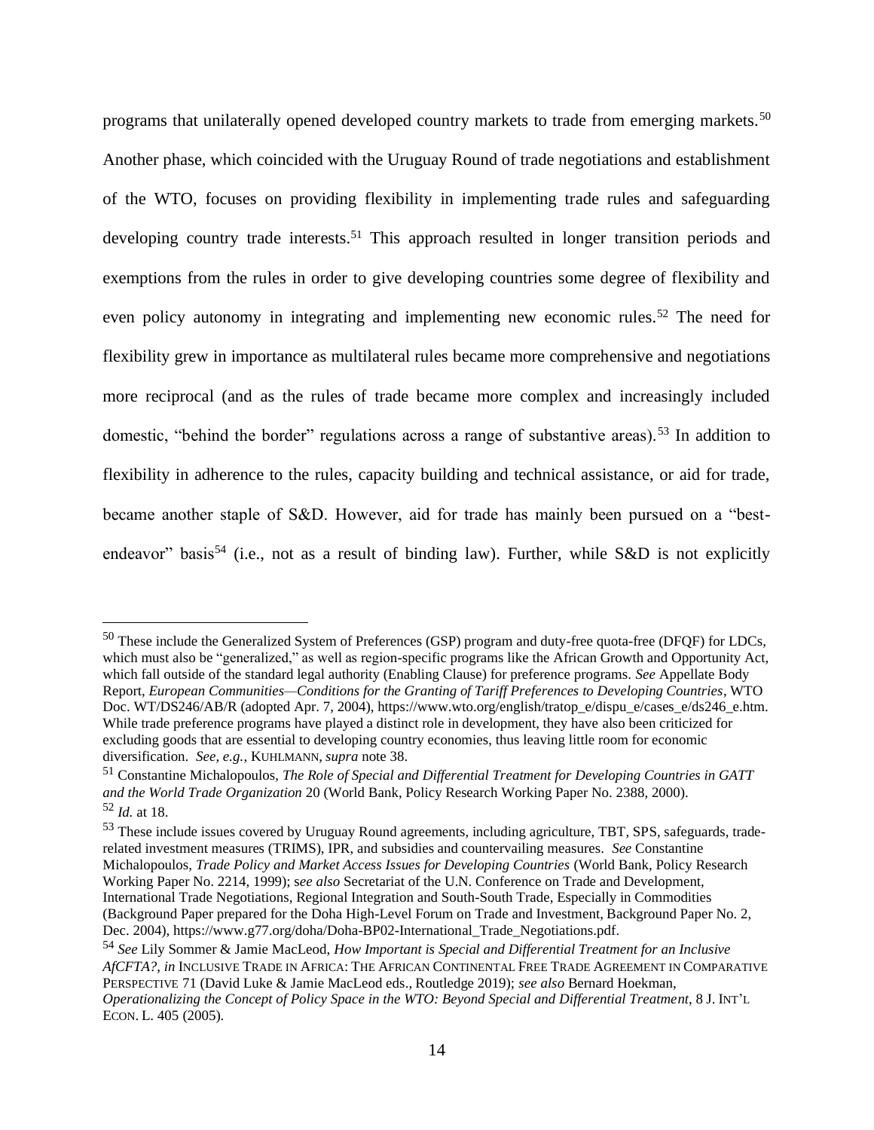programs that unilaterally opened developed country markets to trade from emerging markets.<sup>50</sup> Another phase, which coincided with the Uruguay Round of trade negotiations and establishment of the WTO, focuses on providing flexibility in implementing trade rules and safeguarding developing country trade interests.<sup>51</sup> This approach resulted in longer transition periods and exemptions from the rules in order to give developing countries some degree of flexibility and even policy autonomy in integrating and implementing new economic rules.<sup>52</sup> The need for flexibility grew in importance as multilateral rules became more comprehensive and negotiations more reciprocal (and as the rules of trade became more complex and increasingly included domestic, "behind the border" regulations across a range of substantive areas).<sup>53</sup> In addition to flexibility in adherence to the rules, capacity building and technical assistance, or aid for trade, became another staple of S&D. However, aid for trade has mainly been pursued on a "bestendeavor" basis<sup>54</sup> (i.e., not as a result of binding law). Further, while S&D is not explicitly

<sup>50</sup> These include the Generalized System of Preferences (GSP) program and duty-free quota-free (DFQF) for LDCs, which must also be "generalized," as well as region-specific programs like the African Growth and Opportunity Act, which fall outside of the standard legal authority (Enabling Clause) for preference programs. *See* Appellate Body Report, *European Communities—Conditions for the Granting of Tariff Preferences to Developing Countries*, WTO Doc. WT/DS246/AB/R (adopted Apr. 7, 2004), https://www.wto.org/english/tratop\_e/dispu\_e/cases\_e/ds246\_e.htm. While trade preference programs have played a distinct role in development, they have also been criticized for excluding goods that are essential to developing country economies, thus leaving little room for economic diversification. *See, e.g.*, KUHLMANN, *supra* note 38.

<sup>51</sup> Constantine Michalopoulos, *The Role of Special and Differential Treatment for Developing Countries in GATT and the World Trade Organization* 20 (World Bank, Policy Research Working Paper No. 2388, 2000). <sup>52</sup> *Id.* at 18.

<sup>&</sup>lt;sup>53</sup> These include issues covered by Uruguay Round agreements, including agriculture, TBT, SPS, safeguards, traderelated investment measures (TRIMS), IPR, and subsidies and countervailing measures. *See* Constantine Michalopoulos, *Trade Policy and Market Access Issues for Developing Countries* (World Bank, Policy Research Working Paper No. 2214, 1999); s*ee also* Secretariat of the U.N. Conference on Trade and Development, International Trade Negotiations, Regional Integration and South-South Trade, Especially in Commodities (Background Paper prepared for the Doha High-Level Forum on Trade and Investment, Background Paper No. 2, Dec. 2004), https://www.g77.org/doha/Doha-BP02-International\_Trade\_Negotiations.pdf.

<sup>54</sup> *See* Lily Sommer & Jamie MacLeod, *How Important is Special and Differential Treatment for an Inclusive AfCFTA?*, *in* INCLUSIVE TRADE IN AFRICA: THE AFRICAN CONTINENTAL FREE TRADE AGREEMENT IN COMPARATIVE PERSPECTIVE 71 (David Luke & Jamie MacLeod eds., Routledge 2019); *see also* Bernard Hoekman, *Operationalizing the Concept of Policy Space in the WTO: Beyond Special and Differential Treatment*, 8 J. INT'L ECON. L. 405 (2005).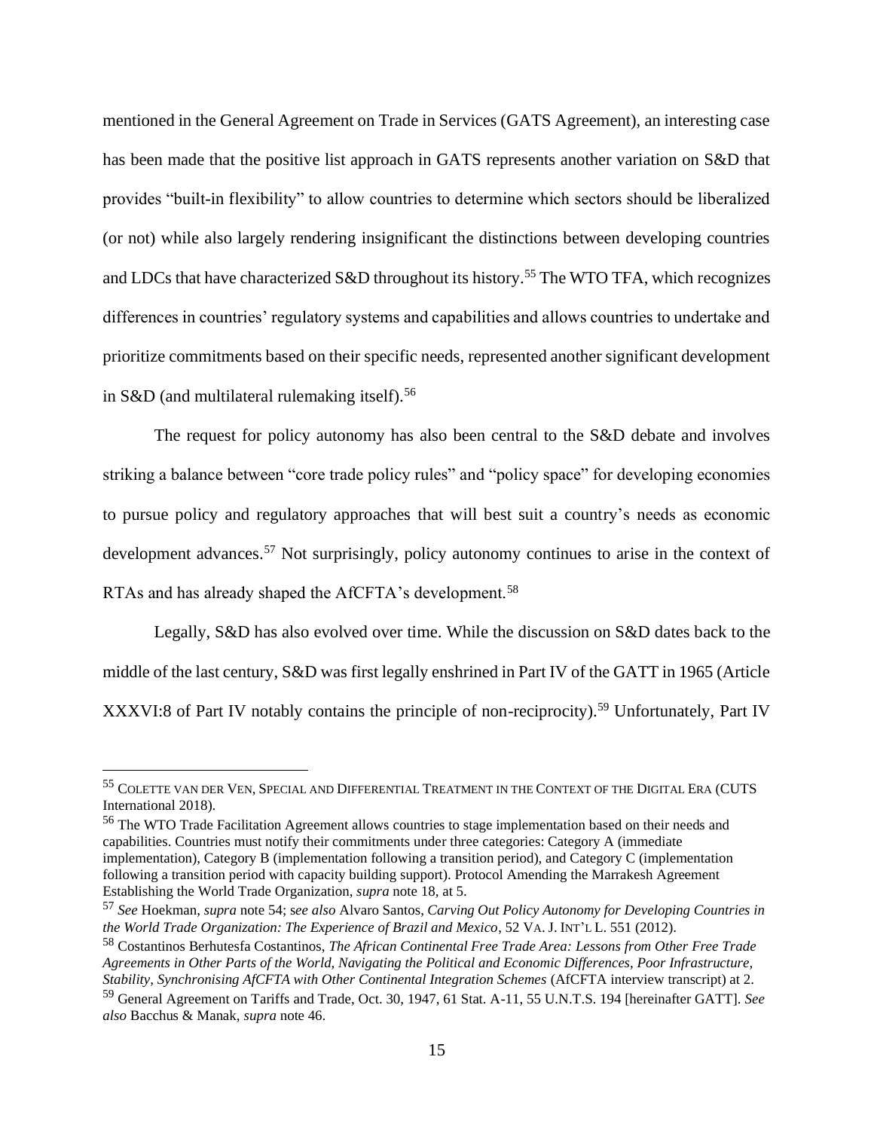mentioned in the General Agreement on Trade in Services (GATS Agreement), an interesting case has been made that the positive list approach in GATS represents another variation on S&D that provides "built-in flexibility" to allow countries to determine which sectors should be liberalized (or not) while also largely rendering insignificant the distinctions between developing countries and LDCs that have characterized S&D throughout its history.<sup>55</sup> The WTO TFA, which recognizes differences in countries' regulatory systems and capabilities and allows countries to undertake and prioritize commitments based on their specific needs, represented another significant development in S&D (and multilateral rulemaking itself).<sup>56</sup>

The request for policy autonomy has also been central to the S&D debate and involves striking a balance between "core trade policy rules" and "policy space" for developing economies to pursue policy and regulatory approaches that will best suit a country's needs as economic development advances.<sup>57</sup> Not surprisingly, policy autonomy continues to arise in the context of RTAs and has already shaped the AfCFTA's development.<sup>58</sup>

Legally, S&D has also evolved over time. While the discussion on S&D dates back to the middle of the last century, S&D was first legally enshrined in Part IV of the GATT in 1965 (Article XXXVI:8 of Part IV notably contains the principle of non-reciprocity).<sup>59</sup> Unfortunately, Part IV

<sup>55</sup> COLETTE VAN DER VEN,SPECIAL AND DIFFERENTIAL TREATMENT IN THE CONTEXT OF THE DIGITAL ERA (CUTS International 2018).

<sup>56</sup> The WTO Trade Facilitation Agreement allows countries to stage implementation based on their needs and capabilities. Countries must notify their commitments under three categories: Category A (immediate implementation), Category B (implementation following a transition period), and Category C (implementation following a transition period with capacity building support). Protocol Amending the Marrakesh Agreement Establishing the World Trade Organization, *supra* note 18, at 5.

<sup>57</sup> *See* Hoekman, *supra* note 54; s*ee also* Alvaro Santos, *Carving Out Policy Autonomy for Developing Countries in the World Trade Organization: The Experience of Brazil and Mexico*, 52 VA. J. INT'L L. 551 (2012).

<sup>58</sup> Costantinos Berhutesfa Costantinos, *The African Continental Free Trade Area: Lessons from Other Free Trade Agreements in Other Parts of the World, Navigating the Political and Economic Differences, Poor Infrastructure, Stability, Synchronising AfCFTA with Other Continental Integration Schemes* (AfCFTA interview transcript) at 2.

<sup>59</sup> General Agreement on Tariffs and Trade, Oct. 30, 1947, 61 Stat. A-11, 55 U.N.T.S. 194 [hereinafter GATT]. *See also* Bacchus & Manak, *supra* note 46.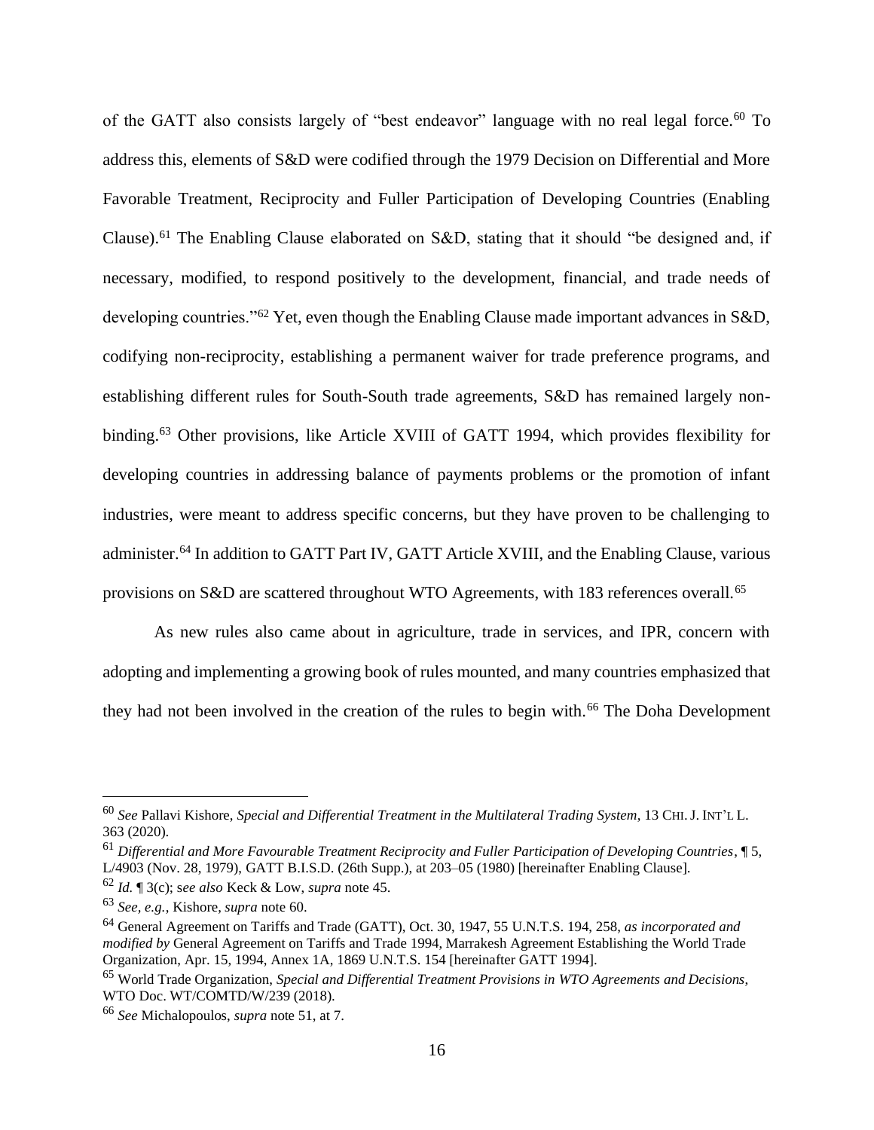of the GATT also consists largely of "best endeavor" language with no real legal force.<sup>60</sup> To address this, elements of S&D were codified through the 1979 Decision on Differential and More Favorable Treatment, Reciprocity and Fuller Participation of Developing Countries (Enabling Clause).<sup>61</sup> The Enabling Clause elaborated on S&D, stating that it should "be designed and, if necessary, modified, to respond positively to the development, financial, and trade needs of developing countries."<sup>62</sup> Yet, even though the Enabling Clause made important advances in S&D, codifying non-reciprocity, establishing a permanent waiver for trade preference programs, and establishing different rules for South-South trade agreements, S&D has remained largely nonbinding.<sup>63</sup> Other provisions, like Article XVIII of GATT 1994, which provides flexibility for developing countries in addressing balance of payments problems or the promotion of infant industries, were meant to address specific concerns, but they have proven to be challenging to administer.<sup>64</sup> In addition to GATT Part IV, GATT Article XVIII, and the Enabling Clause, various provisions on S&D are scattered throughout WTO Agreements, with 183 references overall.<sup>65</sup>

As new rules also came about in agriculture, trade in services, and IPR, concern with adopting and implementing a growing book of rules mounted, and many countries emphasized that they had not been involved in the creation of the rules to begin with.<sup>66</sup> The Doha Development

<sup>60</sup> *See* Pallavi Kishore, *Special and Differential Treatment in the Multilateral Trading System*, 13 CHI.J. INT'L L. 363 (2020).

<sup>61</sup> *Differential and More Favourable Treatment Reciprocity and Fuller Participation of Developing Countries*, ¶ 5, L/4903 (Nov. 28, 1979), GATT B.I.S.D. (26th Supp.), at 203–05 (1980) [hereinafter Enabling Clause].

<sup>62</sup> *Id.* ¶ 3(c); s*ee also* Keck & Low, *supra* note 45.

<sup>63</sup> *See, e.g.*, Kishore, *supra* note 60.

<sup>64</sup> General Agreement on Tariffs and Trade (GATT), Oct. 30, 1947, 55 U.N.T.S. 194, 258, *as incorporated and modified by* General Agreement on Tariffs and Trade 1994, Marrakesh Agreement Establishing the World Trade Organization, Apr. 15, 1994, Annex 1A, 1869 U.N.T.S. 154 [hereinafter GATT 1994].

<sup>65</sup> World Trade Organization, *Special and Differential Treatment Provisions in WTO Agreements and Decisions*, WTO Doc. WT/COMTD/W/239 (2018).

<sup>66</sup> *See* Michalopoulos, *supra* note 51, at 7.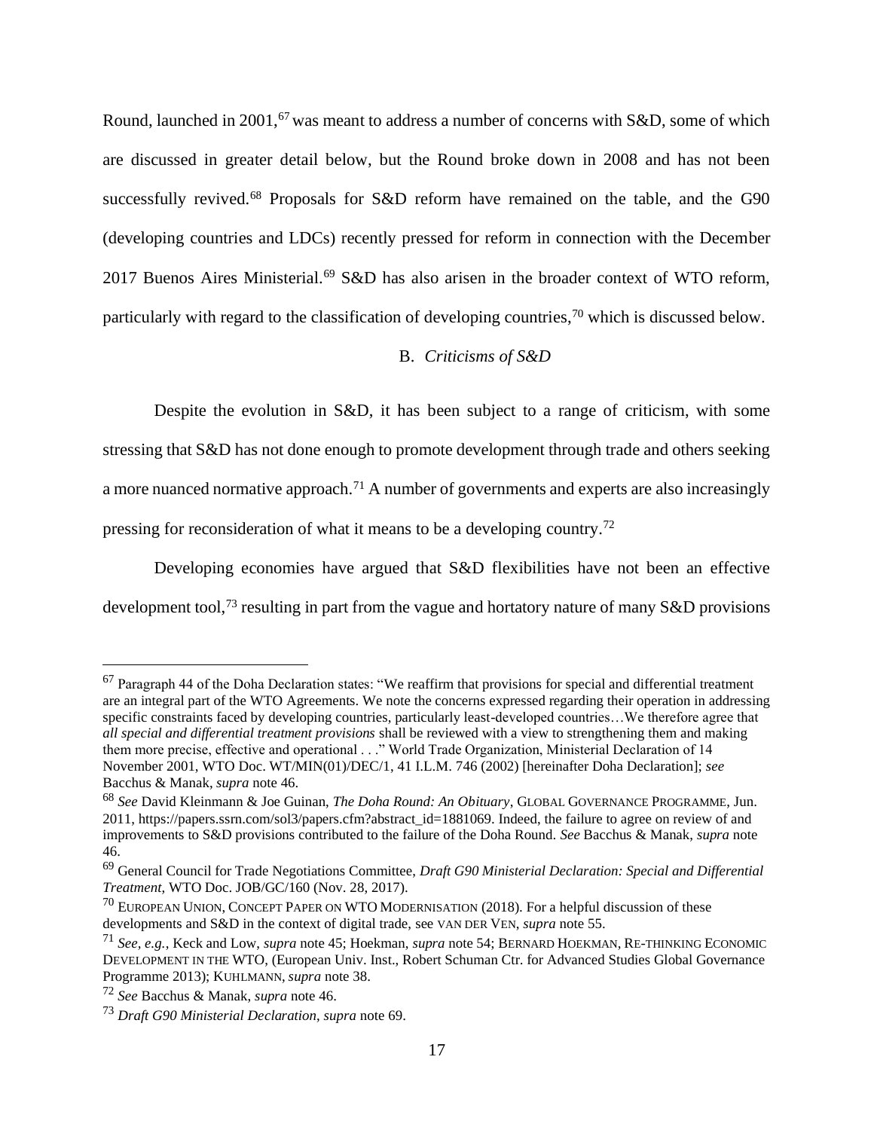Round, launched in 2001,<sup>67</sup> was meant to address a number of concerns with S&D, some of which are discussed in greater detail below, but the Round broke down in 2008 and has not been successfully revived.<sup>68</sup> Proposals for S&D reform have remained on the table, and the G90 (developing countries and LDCs) recently pressed for reform in connection with the December 2017 Buenos Aires Ministerial.<sup>69</sup> S&D has also arisen in the broader context of WTO reform, particularly with regard to the classification of developing countries,  $\frac{70}{10}$  which is discussed below.

# B. *Criticisms of S&D*

Despite the evolution in S&D, it has been subject to a range of criticism, with some stressing that S&D has not done enough to promote development through trade and others seeking a more nuanced normative approach.<sup>71</sup> A number of governments and experts are also increasingly pressing for reconsideration of what it means to be a developing country.<sup>72</sup>

Developing economies have argued that S&D flexibilities have not been an effective development tool,<sup>73</sup> resulting in part from the vague and hortatory nature of many S&D provisions

<sup>67</sup> Paragraph 44 of the Doha Declaration states: "We reaffirm that provisions for special and differential treatment are an integral part of the WTO Agreements. We note the concerns expressed regarding their operation in addressing specific constraints faced by developing countries, particularly least-developed countries...We therefore agree that *all special and differential treatment provisions* shall be reviewed with a view to strengthening them and making them more precise, effective and operational . . ." World Trade Organization, Ministerial Declaration of 14 November 2001, WTO Doc. WT/MIN(01)/DEC/1, 41 I.L.M. 746 (2002) [hereinafter Doha Declaration]; *see*  Bacchus & Manak, *supra* note 46.

<sup>68</sup> *See* David Kleinmann & Joe Guinan, *The Doha Round: An Obituary*, GLOBAL GOVERNANCE PROGRAMME, Jun. 2011, https://papers.ssrn.com/sol3/papers.cfm?abstract\_id=1881069. Indeed, the failure to agree on review of and improvements to S&D provisions contributed to the failure of the Doha Round. *See* Bacchus & Manak, *supra* note 46.

<sup>69</sup> General Council for Trade Negotiations Committee, *Draft G90 Ministerial Declaration: Special and Differential Treatment*, WTO Doc. JOB/GC/160 (Nov. 28, 2017).

 $^{70}$  EUROPEAN UNION, CONCEPT PAPER ON WTO MODERNISATION (2018). For a helpful discussion of these developments and S&D in the context of digital trade, see VAN DER VEN, *supra* note 55.

<sup>71</sup> *See, e.g.*, Keck and Low, *supra* note 45; Hoekman, *supra* note 54; BERNARD HOEKMAN, RE-THINKING ECONOMIC DEVELOPMENT IN THE WTO, (European Univ. Inst., Robert Schuman Ctr. for Advanced Studies Global Governance Programme 2013); KUHLMANN, *supra* note 38.

<sup>72</sup> *See* Bacchus & Manak, *supra* note 46.

<sup>73</sup> *Draft G90 Ministerial Declaration*, *supra* note 69.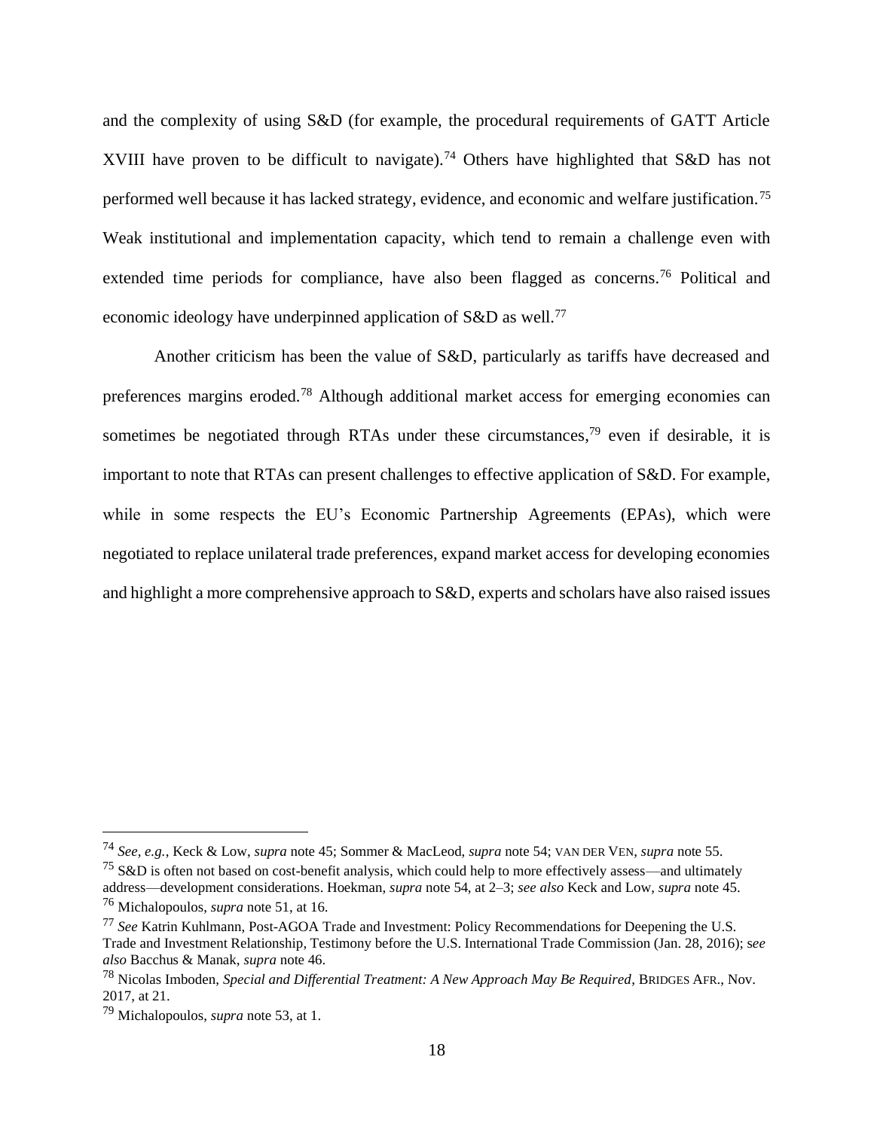and the complexity of using S&D (for example, the procedural requirements of GATT Article XVIII have proven to be difficult to navigate).<sup>74</sup> Others have highlighted that S&D has not performed well because it has lacked strategy, evidence, and economic and welfare justification.<sup>75</sup> Weak institutional and implementation capacity, which tend to remain a challenge even with extended time periods for compliance, have also been flagged as concerns.<sup>76</sup> Political and economic ideology have underpinned application of S&D as well.<sup>77</sup>

Another criticism has been the value of S&D, particularly as tariffs have decreased and preferences margins eroded.<sup>78</sup> Although additional market access for emerging economies can sometimes be negotiated through RTAs under these circumstances,<sup>79</sup> even if desirable, it is important to note that RTAs can present challenges to effective application of S&D. For example, while in some respects the EU's Economic Partnership Agreements (EPAs), which were negotiated to replace unilateral trade preferences, expand market access for developing economies and highlight a more comprehensive approach to S&D, experts and scholars have also raised issues

<sup>74</sup> *See, e.g.*, Keck & Low, *supra* note 45; Sommer & MacLeod, *supra* note 54; VAN DER VEN, *supra* note 55.

 $^{75}$  S&D is often not based on cost-benefit analysis, which could help to more effectively assess—and ultimately address—development considerations. Hoekman, *supra* note 54, at 2–3; *see also* Keck and Low, *supra* note 45. <sup>76</sup> Michalopoulos, *supra* note 51, at 16.

<sup>77</sup> *See* Katrin Kuhlmann, Post-AGOA Trade and Investment: Policy Recommendations for Deepening the U.S. Trade and Investment Relationship, Testimony before the U.S. International Trade Commission (Jan. 28, 2016); s*ee also* Bacchus & Manak, *supra* note 46.

<sup>78</sup> Nicolas Imboden, *Special and Differential Treatment: A New Approach May Be Required*, BRIDGES AFR., Nov. 2017, at 21.

<sup>79</sup> Michalopoulos, *supra* note 53, at 1.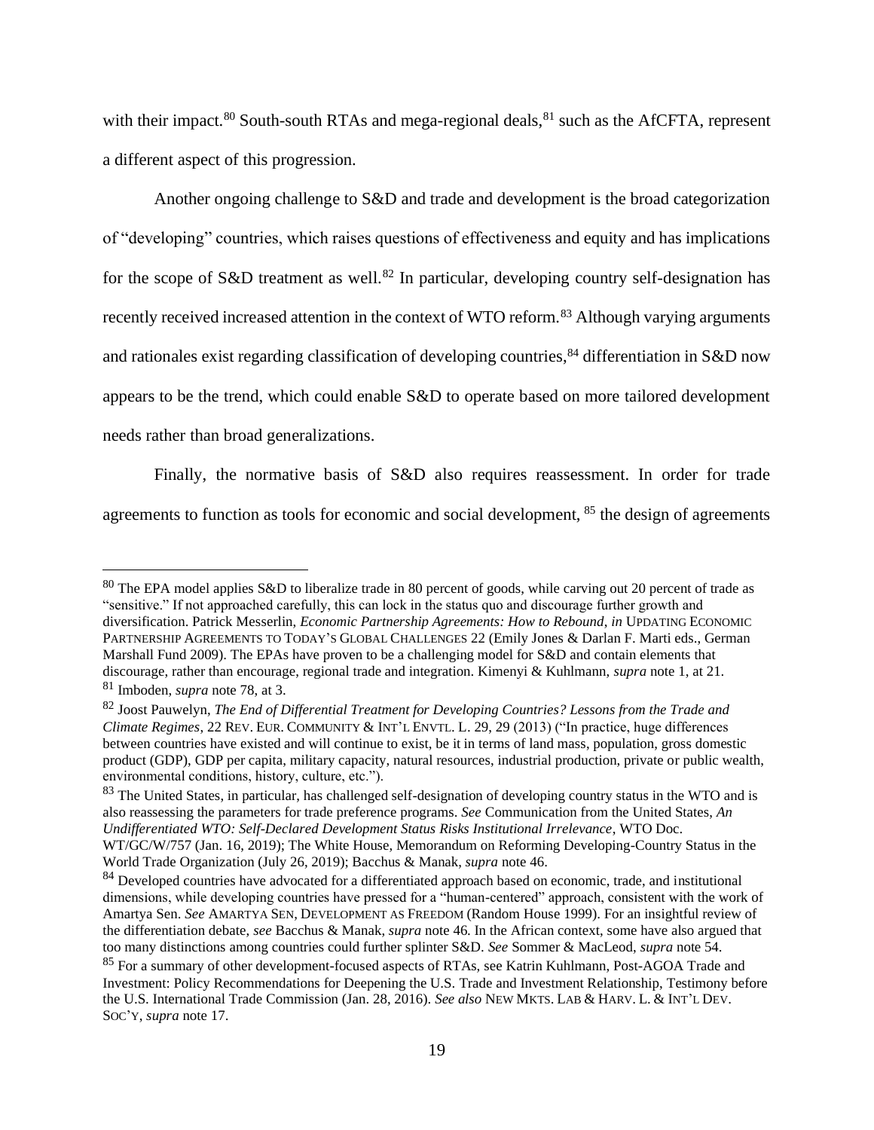with their impact.<sup>80</sup> South-south RTAs and mega-regional deals,  $81$  such as the AfCFTA, represent a different aspect of this progression.

Another ongoing challenge to S&D and trade and development is the broad categorization of "developing" countries, which raises questions of effectiveness and equity and has implications for the scope of S&D treatment as well.<sup>82</sup> In particular, developing country self-designation has recently received increased attention in the context of WTO reform.<sup>83</sup> Although varying arguments and rationales exist regarding classification of developing countries,  $84$  differentiation in S&D now appears to be the trend, which could enable S&D to operate based on more tailored development needs rather than broad generalizations.

Finally, the normative basis of S&D also requires reassessment. In order for trade agreements to function as tools for economic and social development, <sup>85</sup> the design of agreements

<sup>80</sup> The EPA model applies S&D to liberalize trade in 80 percent of goods, while carving out 20 percent of trade as "sensitive." If not approached carefully, this can lock in the status quo and discourage further growth and diversification. Patrick Messerlin, *Economic Partnership Agreements: How to Rebound*, *in* UPDATING ECONOMIC PARTNERSHIP AGREEMENTS TO TODAY'S GLOBAL CHALLENGES 22 (Emily Jones & Darlan F. Marti eds., German Marshall Fund 2009). The EPAs have proven to be a challenging model for S&D and contain elements that discourage, rather than encourage, regional trade and integration. Kimenyi & Kuhlmann, *supra* note 1, at 21.

<sup>81</sup> Imboden, *supra* note 78, at 3.

<sup>82</sup> Joost Pauwelyn, *The End of Differential Treatment for Developing Countries? Lessons from the Trade and Climate Regimes*, 22 REV. EUR. COMMUNITY & INT'L ENVTL. L. 29, 29 (2013) ("In practice, huge differences between countries have existed and will continue to exist, be it in terms of land mass, population, gross domestic product (GDP), GDP per capita, military capacity, natural resources, industrial production, private or public wealth, environmental conditions, history, culture, etc.").

<sup>&</sup>lt;sup>83</sup> The United States, in particular, has challenged self-designation of developing country status in the WTO and is also reassessing the parameters for trade preference programs. *See* Communication from the United States, *An Undifferentiated WTO: Self-Declared Development Status Risks Institutional Irrelevance*, WTO Doc. WT/GC/W/757 (Jan. 16, 2019); The White House, Memorandum on Reforming Developing-Country Status in the World Trade Organization (July 26, 2019); Bacchus & Manak, *supra* note 46.

<sup>&</sup>lt;sup>84</sup> Developed countries have advocated for a differentiated approach based on economic, trade, and institutional dimensions, while developing countries have pressed for a "human-centered" approach, consistent with the work of Amartya Sen. *See* AMARTYA SEN, DEVELOPMENT AS FREEDOM (Random House 1999). For an insightful review of the differentiation debate, *see* Bacchus & Manak, *supra* note 46. In the African context, some have also argued that too many distinctions among countries could further splinter S&D. *See* Sommer & MacLeod, *supra* note 54.

<sup>&</sup>lt;sup>85</sup> For a summary of other development-focused aspects of RTAs, see Katrin Kuhlmann, Post-AGOA Trade and Investment: Policy Recommendations for Deepening the U.S. Trade and Investment Relationship, Testimony before the U.S. International Trade Commission (Jan. 28, 2016). *See also* NEW MKTS. LAB & HARV. L. & INT'L DEV. SOC'Y, *supra* note 17.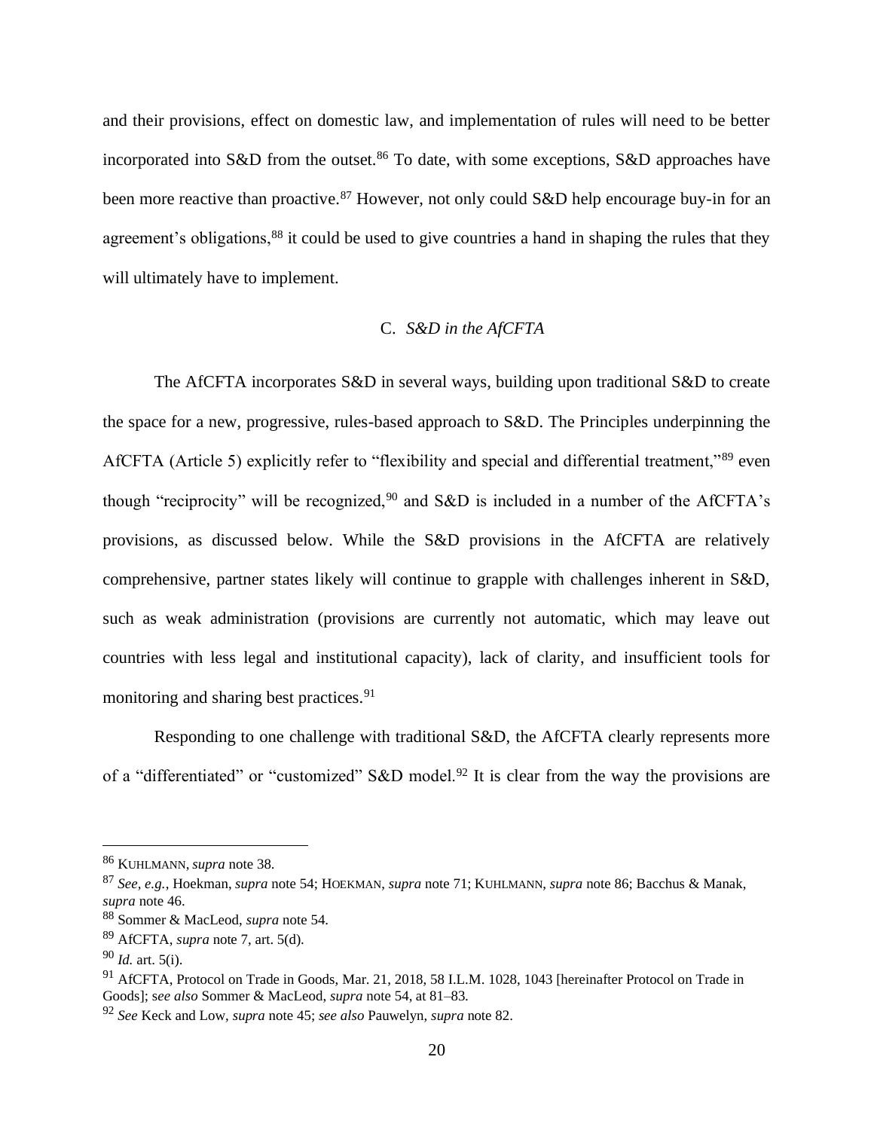and their provisions, effect on domestic law, and implementation of rules will need to be better incorporated into S&D from the outset.<sup>86</sup> To date, with some exceptions, S&D approaches have been more reactive than proactive.<sup>87</sup> However, not only could S&D help encourage buy-in for an agreement's obligations,<sup>88</sup> it could be used to give countries a hand in shaping the rules that they will ultimately have to implement.

#### C. *S&D in the AfCFTA*

The AfCFTA incorporates S&D in several ways, building upon traditional S&D to create the space for a new, progressive, rules-based approach to S&D. The Principles underpinning the AfCFTA (Article 5) explicitly refer to "flexibility and special and differential treatment,"<sup>89</sup> even though "reciprocity" will be recognized,<sup>90</sup> and S&D is included in a number of the AfCFTA's provisions, as discussed below. While the S&D provisions in the AfCFTA are relatively comprehensive, partner states likely will continue to grapple with challenges inherent in S&D, such as weak administration (provisions are currently not automatic, which may leave out countries with less legal and institutional capacity), lack of clarity, and insufficient tools for monitoring and sharing best practices.<sup>91</sup>

Responding to one challenge with traditional S&D, the AfCFTA clearly represents more of a "differentiated" or "customized" S&D model.<sup>92</sup> It is clear from the way the provisions are

<sup>86</sup> KUHLMANN, *supra* note 38.

<sup>87</sup> *See, e.g.*, Hoekman, *supra* note 54; HOEKMAN, *supra* note 71; KUHLMANN, *supra* note 86; Bacchus & Manak, *supra* note 46.

<sup>88</sup> Sommer & MacLeod, *supra* note 54.

<sup>89</sup> AfCFTA, *supra* note 7, art. 5(d).

<sup>90</sup> *Id.* art. 5(i).

<sup>91</sup> AfCFTA, Protocol on Trade in Goods, Mar. 21, 2018, 58 I.L.M. 1028, 1043 [hereinafter Protocol on Trade in Goods]; s*ee also* Sommer & MacLeod, *supra* note 54, at 81–83.

<sup>92</sup> *See* Keck and Low, *supra* note 45; *see also* Pauwelyn, *supra* note 82.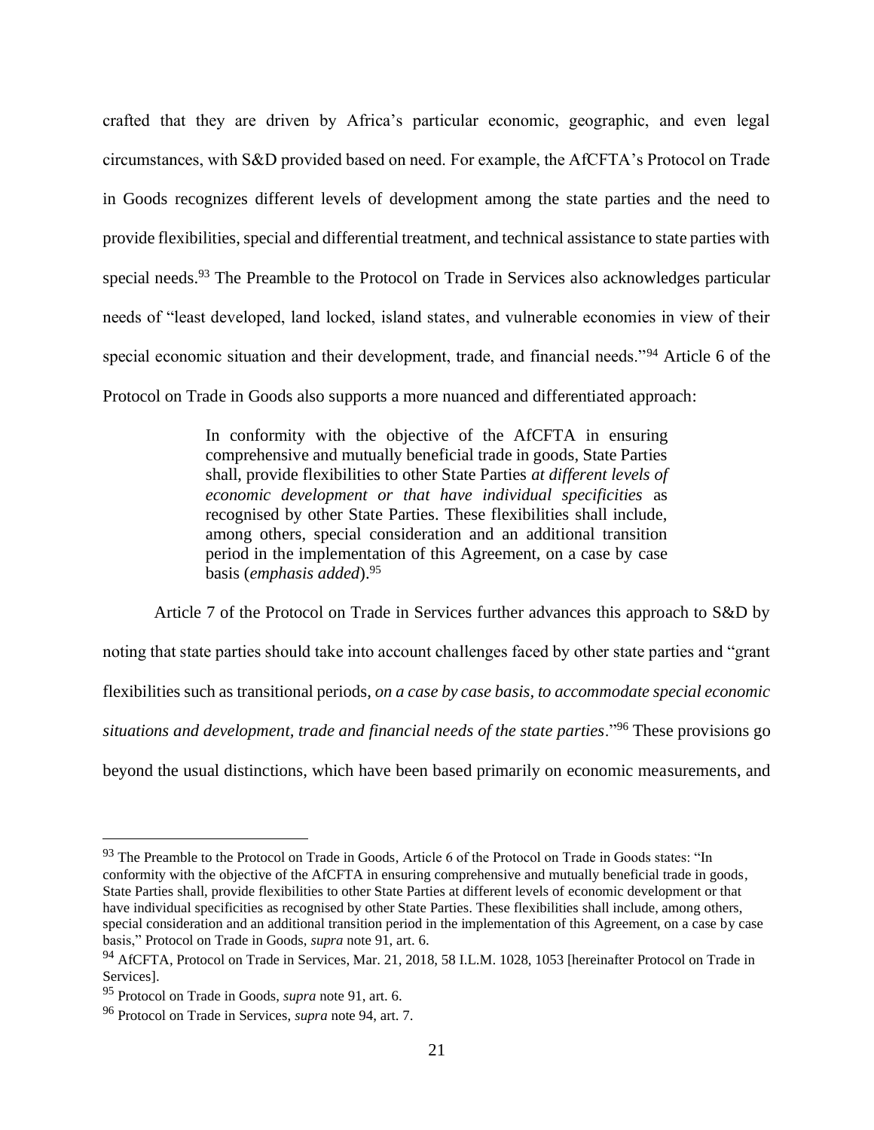crafted that they are driven by Africa's particular economic, geographic, and even legal circumstances, with S&D provided based on need. For example, the AfCFTA's Protocol on Trade in Goods recognizes different levels of development among the state parties and the need to provide flexibilities, special and differential treatment, and technical assistance to state parties with special needs.<sup>93</sup> The Preamble to the Protocol on Trade in Services also acknowledges particular needs of "least developed, land locked, island states, and vulnerable economies in view of their special economic situation and their development, trade, and financial needs."<sup>94</sup> Article 6 of the Protocol on Trade in Goods also supports a more nuanced and differentiated approach:

> In conformity with the objective of the AfCFTA in ensuring comprehensive and mutually beneficial trade in goods, State Parties shall, provide flexibilities to other State Parties *at different levels of economic development or that have individual specificities* as recognised by other State Parties. These flexibilities shall include, among others, special consideration and an additional transition period in the implementation of this Agreement, on a case by case basis (*emphasis added*).<sup>95</sup>

Article 7 of the Protocol on Trade in Services further advances this approach to S&D by noting that state parties should take into account challenges faced by other state parties and "grant flexibilities such as transitional periods, *on a case by case basis, to accommodate special economic situations and development, trade and financial needs of the state parties*."<sup>96</sup> These provisions go beyond the usual distinctions, which have been based primarily on economic measurements, and

<sup>&</sup>lt;sup>93</sup> The Preamble to the Protocol on Trade in Goods, Article 6 of the Protocol on Trade in Goods states: "In conformity with the objective of the AfCFTA in ensuring comprehensive and mutually beneficial trade in goods, State Parties shall, provide flexibilities to other State Parties at different levels of economic development or that have individual specificities as recognised by other State Parties. These flexibilities shall include, among others, special consideration and an additional transition period in the implementation of this Agreement, on a case by case basis," Protocol on Trade in Goods, *supra* note 91, art. 6.

<sup>&</sup>lt;sup>94</sup> AfCFTA. Protocol on Trade in Services, Mar. 21, 2018, 58 I.L.M. 1028, 1053 [hereinafter Protocol on Trade in Services].

<sup>95</sup> Protocol on Trade in Goods, *supra* note 91, art. 6.

<sup>96</sup> Protocol on Trade in Services, *supra* note 94, art. 7.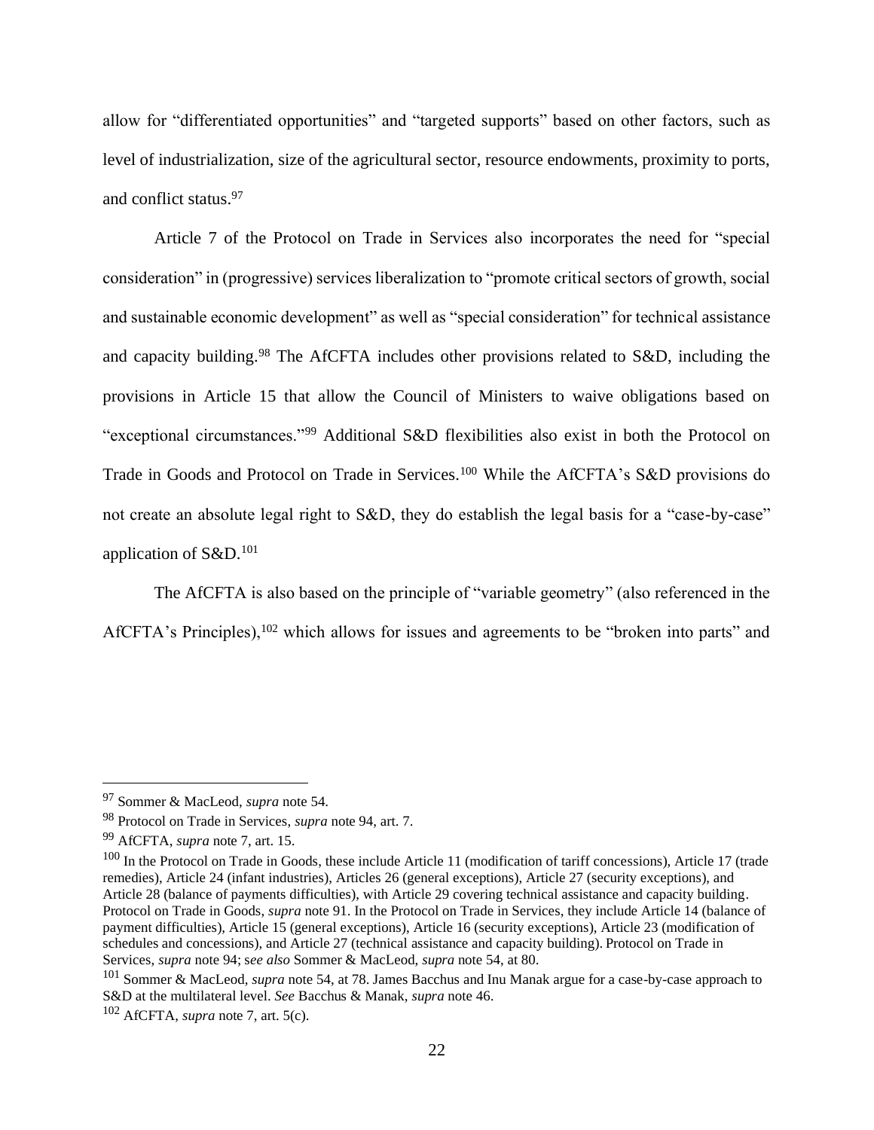allow for "differentiated opportunities" and "targeted supports" based on other factors, such as level of industrialization, size of the agricultural sector, resource endowments, proximity to ports, and conflict status.<sup>97</sup>

Article 7 of the Protocol on Trade in Services also incorporates the need for "special consideration" in (progressive) services liberalization to "promote critical sectors of growth, social and sustainable economic development" as well as "special consideration" for technical assistance and capacity building.<sup>98</sup> The AfCFTA includes other provisions related to S&D, including the provisions in Article 15 that allow the Council of Ministers to waive obligations based on "exceptional circumstances."<sup>99</sup> Additional S&D flexibilities also exist in both the Protocol on Trade in Goods and Protocol on Trade in Services.<sup>100</sup> While the AfCFTA's S&D provisions do not create an absolute legal right to S&D, they do establish the legal basis for a "case-by-case" application of S&D.<sup>101</sup>

The AfCFTA is also based on the principle of "variable geometry" (also referenced in the AfCFTA's Principles),<sup>102</sup> which allows for issues and agreements to be "broken into parts" and

<sup>97</sup> Sommer & MacLeod, *supra* note 54.

<sup>98</sup> Protocol on Trade in Services, *supra* note 94, art. 7.

<sup>99</sup> AfCFTA, *supra* note 7, art. 15.

 $100$  In the Protocol on Trade in Goods, these include Article 11 (modification of tariff concessions), Article 17 (trade remedies), Article 24 (infant industries), Articles 26 (general exceptions), Article 27 (security exceptions), and Article 28 (balance of payments difficulties), with Article 29 covering technical assistance and capacity building. Protocol on Trade in Goods, *supra* note 91. In the Protocol on Trade in Services, they include Article 14 (balance of payment difficulties), Article 15 (general exceptions), Article 16 (security exceptions), Article 23 (modification of schedules and concessions), and Article 27 (technical assistance and capacity building). Protocol on Trade in Services, *supra* note 94; s*ee also* Sommer & MacLeod, *supra* note 54, at 80.

<sup>101</sup> Sommer & MacLeod, *supra* note 54, at 78. James Bacchus and Inu Manak argue for a case-by-case approach to S&D at the multilateral level. *See* Bacchus & Manak, *supra* note 46.

<sup>102</sup> AfCFTA, *supra* note 7, art. 5(c).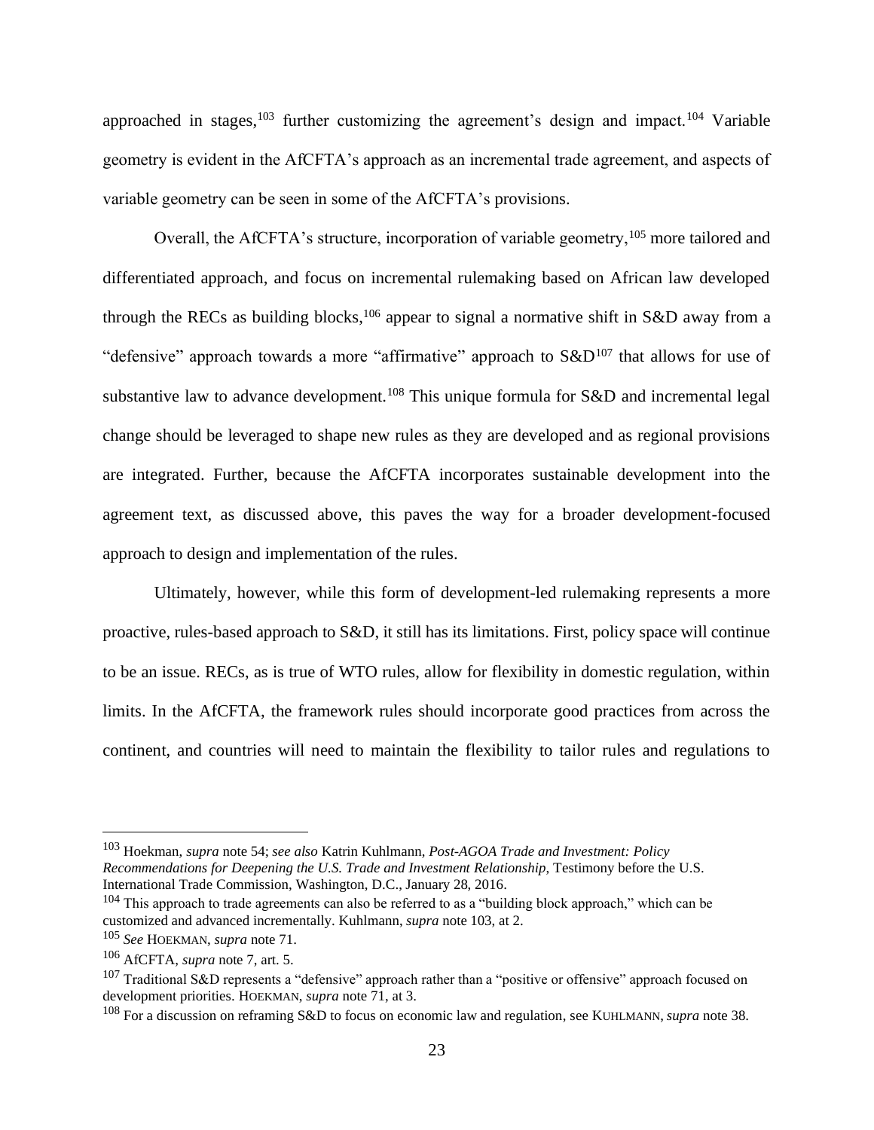approached in stages,<sup>103</sup> further customizing the agreement's design and impact.<sup>104</sup> Variable geometry is evident in the AfCFTA's approach as an incremental trade agreement, and aspects of variable geometry can be seen in some of the AfCFTA's provisions.

Overall, the AfCFTA's structure, incorporation of variable geometry,<sup>105</sup> more tailored and differentiated approach, and focus on incremental rulemaking based on African law developed through the RECs as building blocks,<sup>106</sup> appear to signal a normative shift in S&D away from a "defensive" approach towards a more "affirmative" approach to  $S\&D^{107}$  that allows for use of substantive law to advance development.<sup>108</sup> This unique formula for  $S&D$  and incremental legal change should be leveraged to shape new rules as they are developed and as regional provisions are integrated. Further, because the AfCFTA incorporates sustainable development into the agreement text, as discussed above, this paves the way for a broader development-focused approach to design and implementation of the rules.

Ultimately, however, while this form of development-led rulemaking represents a more proactive, rules-based approach to S&D, it still has its limitations. First, policy space will continue to be an issue. RECs, as is true of WTO rules, allow for flexibility in domestic regulation, within limits. In the AfCFTA, the framework rules should incorporate good practices from across the continent, and countries will need to maintain the flexibility to tailor rules and regulations to

<sup>103</sup> Hoekman, *supra* note 54; *see also* Katrin Kuhlmann, *Post-AGOA Trade and Investment: Policy Recommendations for Deepening the U.S. Trade and Investment Relationship*, Testimony before the U.S. International Trade Commission, Washington, D.C., January 28, 2016.

 $104$  This approach to trade agreements can also be referred to as a "building block approach," which can be customized and advanced incrementally. Kuhlmann, *supra* note 103, at 2.

<sup>105</sup> *See* HOEKMAN, *supra* note 71.

<sup>106</sup> AfCFTA, *supra* note 7, art. 5.

<sup>&</sup>lt;sup>107</sup> Traditional S&D represents a "defensive" approach rather than a "positive or offensive" approach focused on development priorities. HOEKMAN, *supra* note 71, at 3.

<sup>108</sup> For a discussion on reframing S&D to focus on economic law and regulation, see KUHLMANN, *supra* note 38.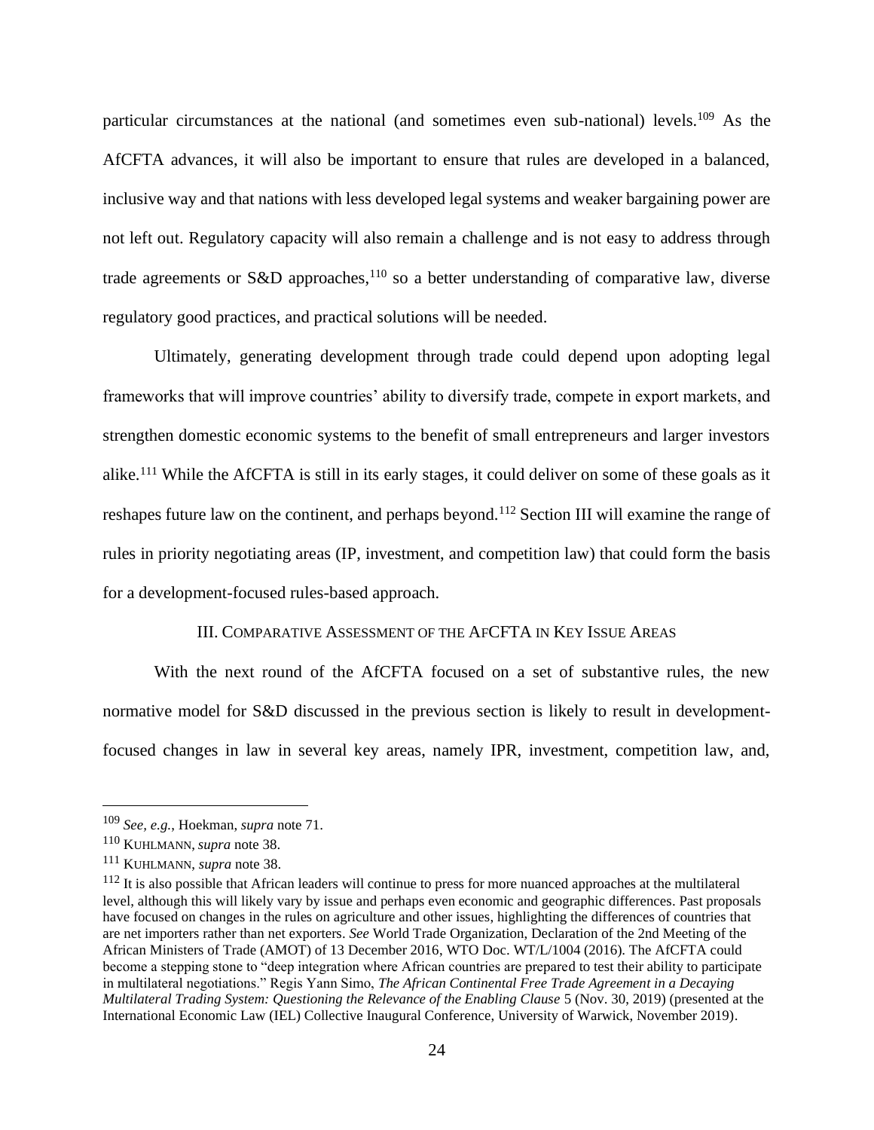particular circumstances at the national (and sometimes even sub-national) levels.<sup>109</sup> As the AfCFTA advances, it will also be important to ensure that rules are developed in a balanced, inclusive way and that nations with less developed legal systems and weaker bargaining power are not left out. Regulatory capacity will also remain a challenge and is not easy to address through trade agreements or S&D approaches,<sup>110</sup> so a better understanding of comparative law, diverse regulatory good practices, and practical solutions will be needed.

Ultimately, generating development through trade could depend upon adopting legal frameworks that will improve countries' ability to diversify trade, compete in export markets, and strengthen domestic economic systems to the benefit of small entrepreneurs and larger investors alike.<sup>111</sup> While the AfCFTA is still in its early stages, it could deliver on some of these goals as it reshapes future law on the continent, and perhaps beyond.<sup>112</sup> Section III will examine the range of rules in priority negotiating areas (IP, investment, and competition law) that could form the basis for a development-focused rules-based approach.

### III. COMPARATIVE ASSESSMENT OF THE AFCFTA IN KEY ISSUE AREAS

With the next round of the AfCFTA focused on a set of substantive rules, the new normative model for S&D discussed in the previous section is likely to result in developmentfocused changes in law in several key areas, namely IPR, investment, competition law, and,

<sup>109</sup> *See, e.g.*, Hoekman, *supra* note 71.

<sup>110</sup> KUHLMANN, *supra* note 38.

<sup>111</sup> KUHLMANN, *supra* note 38.

 $112$  It is also possible that African leaders will continue to press for more nuanced approaches at the multilateral level, although this will likely vary by issue and perhaps even economic and geographic differences. Past proposals have focused on changes in the rules on agriculture and other issues, highlighting the differences of countries that are net importers rather than net exporters. *See* World Trade Organization, Declaration of the 2nd Meeting of the African Ministers of Trade (AMOT) of 13 December 2016, WTO Doc. WT/L/1004 (2016). The AfCFTA could become a stepping stone to "deep integration where African countries are prepared to test their ability to participate in multilateral negotiations." Regis Yann Simo, *The African Continental Free Trade Agreement in a Decaying Multilateral Trading System: Questioning the Relevance of the Enabling Clause* 5 (Nov. 30, 2019) (presented at the International Economic Law (IEL) Collective Inaugural Conference, University of Warwick, November 2019).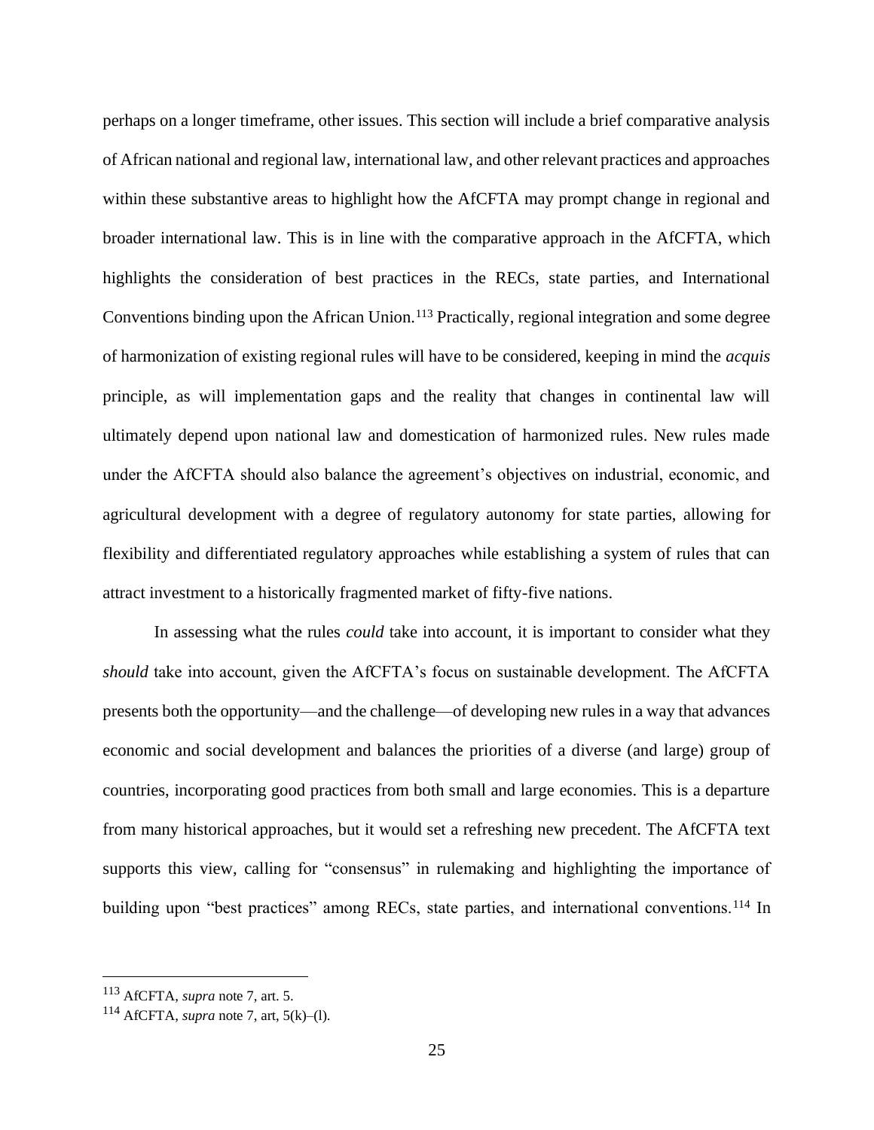perhaps on a longer timeframe, other issues. This section will include a brief comparative analysis of African national and regional law, international law, and other relevant practices and approaches within these substantive areas to highlight how the AfCFTA may prompt change in regional and broader international law. This is in line with the comparative approach in the AfCFTA, which highlights the consideration of best practices in the RECs, state parties, and International Conventions binding upon the African Union.<sup>113</sup> Practically, regional integration and some degree of harmonization of existing regional rules will have to be considered, keeping in mind the *acquis*  principle, as will implementation gaps and the reality that changes in continental law will ultimately depend upon national law and domestication of harmonized rules. New rules made under the AfCFTA should also balance the agreement's objectives on industrial, economic, and agricultural development with a degree of regulatory autonomy for state parties, allowing for flexibility and differentiated regulatory approaches while establishing a system of rules that can attract investment to a historically fragmented market of fifty-five nations.

In assessing what the rules *could* take into account, it is important to consider what they *should* take into account, given the AfCFTA's focus on sustainable development. The AfCFTA presents both the opportunity—and the challenge—of developing new rules in a way that advances economic and social development and balances the priorities of a diverse (and large) group of countries, incorporating good practices from both small and large economies. This is a departure from many historical approaches, but it would set a refreshing new precedent. The AfCFTA text supports this view, calling for "consensus" in rulemaking and highlighting the importance of building upon "best practices" among RECs, state parties, and international conventions.<sup>114</sup> In

<sup>113</sup> AfCFTA, *supra* note 7, art. 5.

<sup>114</sup> AfCFTA, *supra* note 7, art, 5(k)–(l).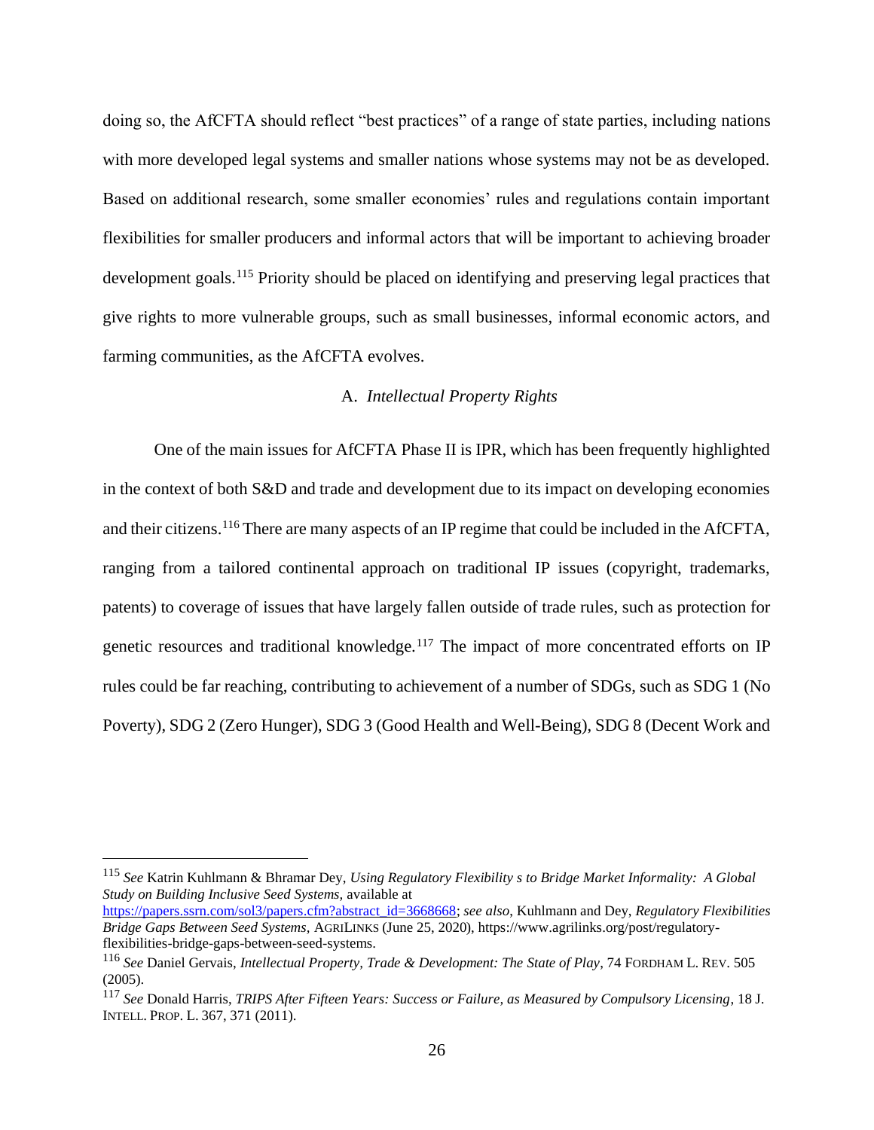doing so, the AfCFTA should reflect "best practices" of a range of state parties, including nations with more developed legal systems and smaller nations whose systems may not be as developed. Based on additional research, some smaller economies' rules and regulations contain important flexibilities for smaller producers and informal actors that will be important to achieving broader development goals.<sup>115</sup> Priority should be placed on identifying and preserving legal practices that give rights to more vulnerable groups, such as small businesses, informal economic actors, and farming communities, as the AfCFTA evolves.

#### A. *Intellectual Property Rights*

One of the main issues for AfCFTA Phase II is IPR, which has been frequently highlighted in the context of both S&D and trade and development due to its impact on developing economies and their citizens.<sup>116</sup> There are many aspects of an IP regime that could be included in the AfCFTA, ranging from a tailored continental approach on traditional IP issues (copyright, trademarks, patents) to coverage of issues that have largely fallen outside of trade rules, such as protection for genetic resources and traditional knowledge.<sup>117</sup> The impact of more concentrated efforts on IP rules could be far reaching, contributing to achievement of a number of SDGs, such as SDG 1 (No Poverty), SDG 2 (Zero Hunger), SDG 3 (Good Health and Well-Being), SDG 8 (Decent Work and

[https://papers.ssrn.com/sol3/papers.cfm?abstract\\_id=3668668;](https://papers.ssrn.com/sol3/papers.cfm?abstract_id=3668668) *see also*, Kuhlmann and Dey, *Regulatory Flexibilities Bridge Gaps Between Seed Systems,* AGRILINKS (June 25, 2020), https://www.agrilinks.org/post/regulatoryflexibilities-bridge-gaps-between-seed-systems.

<sup>115</sup> *See* Katrin Kuhlmann & Bhramar Dey, *Using Regulatory Flexibility s to Bridge Market Informality: A Global Study on Building Inclusive Seed Systems,* available at

<sup>116</sup> *See* Daniel Gervais, *Intellectual Property, Trade & Development: The State of Play*, 74 FORDHAM L. REV. 505 (2005).

<sup>117</sup> *See* Donald Harris, *TRIPS After Fifteen Years: Success or Failure, as Measured by Compulsory Licensing*, 18 J. INTELL.PROP. L. 367, 371 (2011).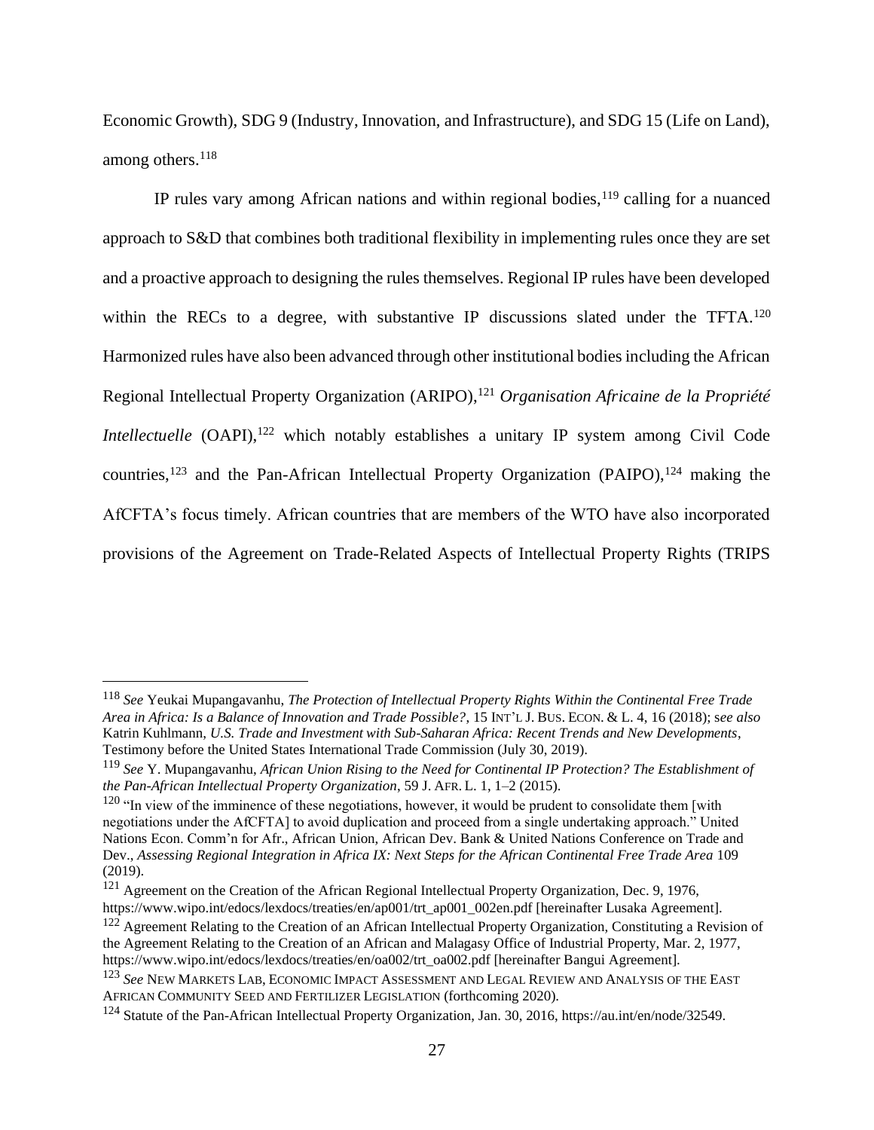Economic Growth), SDG 9 (Industry, Innovation, and Infrastructure), and SDG 15 (Life on Land), among others.<sup>118</sup>

IP rules vary among African nations and within regional bodies,  $119$  calling for a nuanced approach to S&D that combines both traditional flexibility in implementing rules once they are set and a proactive approach to designing the rules themselves. Regional IP rules have been developed within the RECs to a degree, with substantive IP discussions slated under the TFTA.<sup>120</sup> Harmonized rules have also been advanced through other institutional bodies including the African Regional Intellectual Property Organization (ARIPO),<sup>121</sup> *Organisation Africaine de la Propriété Intellectuelle* (OAPI),<sup>122</sup> which notably establishes a unitary IP system among Civil Code countries,<sup>123</sup> and the Pan-African Intellectual Property Organization (PAIPO),<sup>124</sup> making the AfCFTA's focus timely. African countries that are members of the WTO have also incorporated provisions of the Agreement on Trade-Related Aspects of Intellectual Property Rights (TRIPS

<sup>118</sup> *See* Yeukai Mupangavanhu, *The Protection of Intellectual Property Rights Within the Continental Free Trade Area in Africa: Is a Balance of Innovation and Trade Possible?*, 15 INT'L J. BUS. ECON. & L. 4, 16 (2018); s*ee also*  Katrin Kuhlmann, *U.S. Trade and Investment with Sub-Saharan Africa: Recent Trends and New Developments*, Testimony before the United States International Trade Commission (July 30, 2019).

<sup>119</sup> *See* Y. Mupangavanhu, *African Union Rising to the Need for Continental IP Protection? The Establishment of the Pan-African Intellectual Property Organization*, 59 J. AFR. L. 1, 1–2 (2015).

 $120$  "In view of the imminence of these negotiations, however, it would be prudent to consolidate them [with negotiations under the AfCFTA] to avoid duplication and proceed from a single undertaking approach." United Nations Econ. Comm'n for Afr., African Union, African Dev. Bank & United Nations Conference on Trade and Dev., *Assessing Regional Integration in Africa IX: Next Steps for the African Continental Free Trade Area* 109 (2019).

<sup>&</sup>lt;sup>121</sup> Agreement on the Creation of the African Regional Intellectual Property Organization, Dec. 9, 1976, https://www.wipo.int/edocs/lexdocs/treaties/en/ap001/trt\_ap001\_002en.pdf [hereinafter Lusaka Agreement].

<sup>&</sup>lt;sup>122</sup> Agreement Relating to the Creation of an African Intellectual Property Organization, Constituting a Revision of the Agreement Relating to the Creation of an African and Malagasy Office of Industrial Property, Mar. 2, 1977, https://www.wipo.int/edocs/lexdocs/treaties/en/oa002/trt\_oa002.pdf [hereinafter Bangui Agreement].

<sup>123</sup> *See* NEW MARKETS LAB, ECONOMIC IMPACT ASSESSMENT AND LEGAL REVIEW AND ANALYSIS OF THE EAST AFRICAN COMMUNITY SEED AND FERTILIZER LEGISLATION (forthcoming 2020).

<sup>124</sup> Statute of the Pan-African Intellectual Property Organization, Jan. 30, 2016, https://au.int/en/node/32549.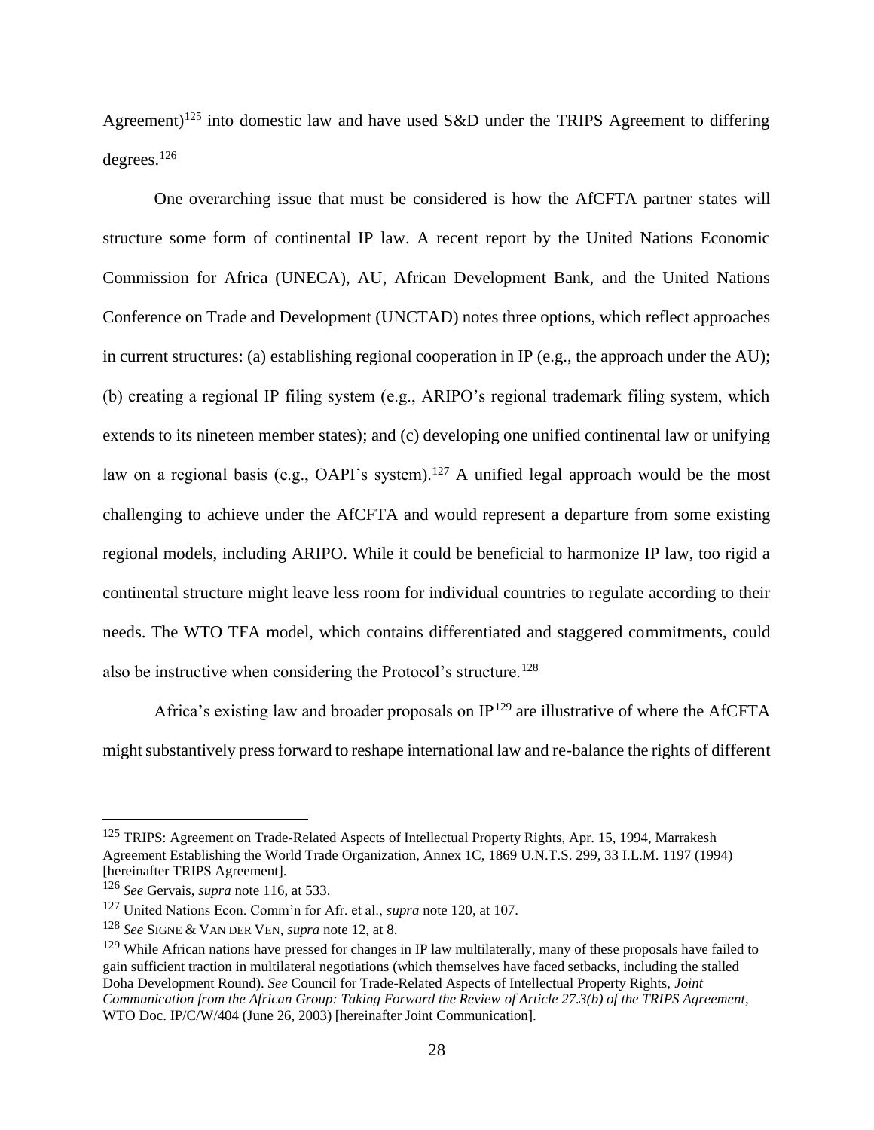Agreement)<sup>125</sup> into domestic law and have used S&D under the TRIPS Agreement to differing degrees. $126$ 

One overarching issue that must be considered is how the AfCFTA partner states will structure some form of continental IP law. A recent report by the United Nations Economic Commission for Africa (UNECA), AU, African Development Bank, and the United Nations Conference on Trade and Development (UNCTAD) notes three options, which reflect approaches in current structures: (a) establishing regional cooperation in IP (e.g., the approach under the AU); (b) creating a regional IP filing system (e.g., ARIPO's regional trademark filing system, which extends to its nineteen member states); and (c) developing one unified continental law or unifying law on a regional basis (e.g., OAPI's system).<sup>127</sup> A unified legal approach would be the most challenging to achieve under the AfCFTA and would represent a departure from some existing regional models, including ARIPO. While it could be beneficial to harmonize IP law, too rigid a continental structure might leave less room for individual countries to regulate according to their needs. The WTO TFA model, which contains differentiated and staggered commitments, could also be instructive when considering the Protocol's structure.<sup>128</sup>

Africa's existing law and broader proposals on  $IP^{129}$  are illustrative of where the AfCFTA might substantively press forward to reshape international law and re-balance the rights of different

<sup>&</sup>lt;sup>125</sup> TRIPS: Agreement on Trade-Related Aspects of Intellectual Property Rights, Apr. 15, 1994, Marrakesh Agreement Establishing the World Trade Organization, Annex 1C, 1869 U.N.T.S. 299, 33 I.L.M. 1197 (1994) [hereinafter TRIPS Agreement].

<sup>126</sup> *See* Gervais, *supra* note 116, at 533.

<sup>127</sup> United Nations Econ. Comm'n for Afr. et al., *supra* note 120, at 107.

<sup>128</sup> *See* SIGNE & VAN DER VEN, *supra* note 12, at 8.

 $129$  While African nations have pressed for changes in IP law multilaterally, many of these proposals have failed to gain sufficient traction in multilateral negotiations (which themselves have faced setbacks, including the stalled Doha Development Round). *See* Council for Trade-Related Aspects of Intellectual Property Rights, *Joint Communication from the African Group: Taking Forward the Review of Article 27.3(b) of the TRIPS Agreement*, WTO Doc. IP/C/W/404 (June 26, 2003) [hereinafter Joint Communication].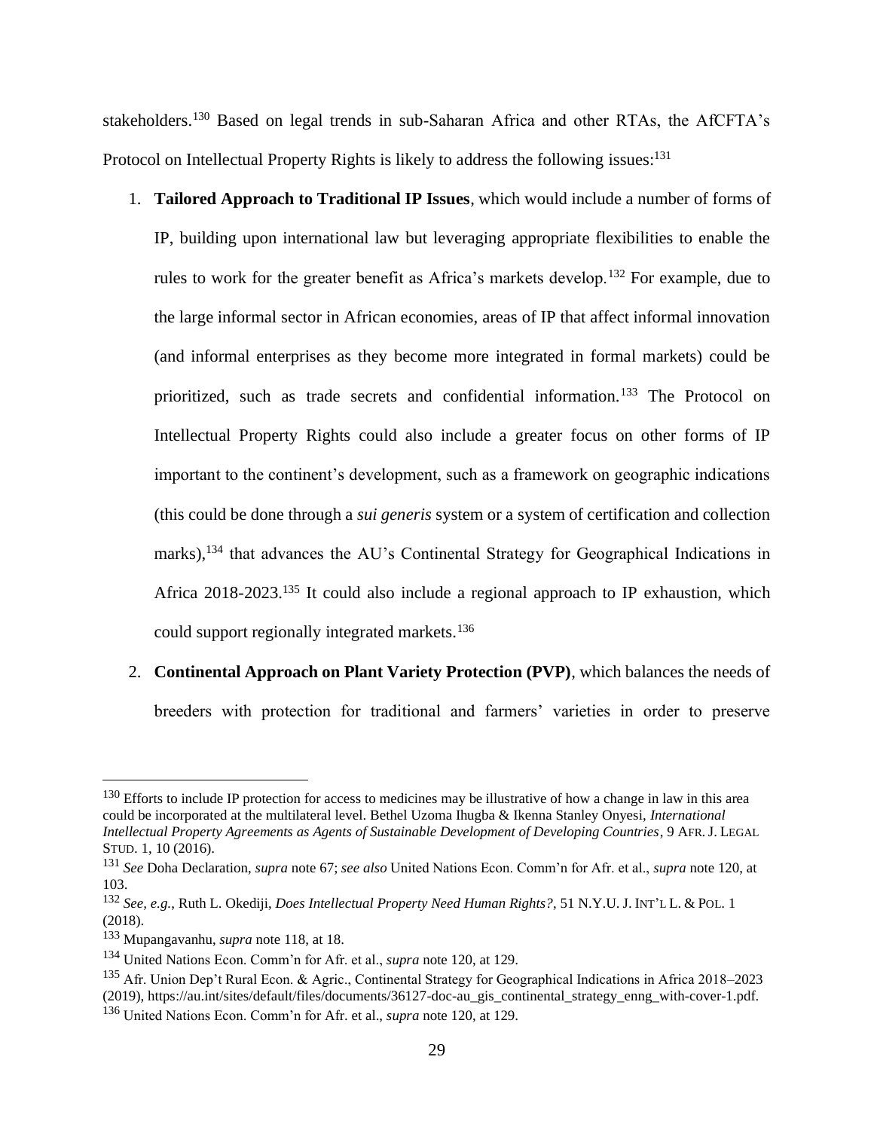stakeholders.<sup>130</sup> Based on legal trends in sub-Saharan Africa and other RTAs, the AfCFTA's Protocol on Intellectual Property Rights is likely to address the following issues:<sup>131</sup>

1. **Tailored Approach to Traditional IP Issues**, which would include a number of forms of IP, building upon international law but leveraging appropriate flexibilities to enable the rules to work for the greater benefit as Africa's markets develop.<sup>132</sup> For example, due to the large informal sector in African economies, areas of IP that affect informal innovation (and informal enterprises as they become more integrated in formal markets) could be prioritized, such as trade secrets and confidential information.<sup>133</sup> The Protocol on Intellectual Property Rights could also include a greater focus on other forms of IP important to the continent's development, such as a framework on geographic indications (this could be done through a *sui generis* system or a system of certification and collection marks),<sup>134</sup> that advances the AU's Continental Strategy for Geographical Indications in Africa 2018-2023.<sup>135</sup> It could also include a regional approach to IP exhaustion, which could support regionally integrated markets.<sup>136</sup>

# 2. **Continental Approach on Plant Variety Protection (PVP)**, which balances the needs of

breeders with protection for traditional and farmers' varieties in order to preserve

 $130$  Efforts to include IP protection for access to medicines may be illustrative of how a change in law in this area could be incorporated at the multilateral level. Bethel Uzoma Ihugba & Ikenna Stanley Onyesi, *International Intellectual Property Agreements as Agents of Sustainable Development of Developing Countries*, 9 AFR.J. LEGAL STUD. 1, 10 (2016).

<sup>131</sup> *See* Doha Declaration*, supra* note 67; *see also* United Nations Econ. Comm'n for Afr. et al., *supra* note 120, at 103.

<sup>132</sup> *See, e.g.*, Ruth L. Okediji, *Does Intellectual Property Need Human Rights?*, 51 N.Y.U. J. INT'L L. & POL. 1 (2018).

<sup>133</sup> Mupangavanhu, *supra* note 118, at 18.

<sup>134</sup> United Nations Econ. Comm'n for Afr. et al., *supra* note 120, at 129.

<sup>&</sup>lt;sup>135</sup> Afr. Union Dep't Rural Econ. & Agric., Continental Strategy for Geographical Indications in Africa 2018–2023 (2019), https://au.int/sites/default/files/documents/36127-doc-au\_gis\_continental\_strategy\_enng\_with-cover-1.pdf. <sup>136</sup> United Nations Econ. Comm'n for Afr. et al., *supra* note 120, at 129.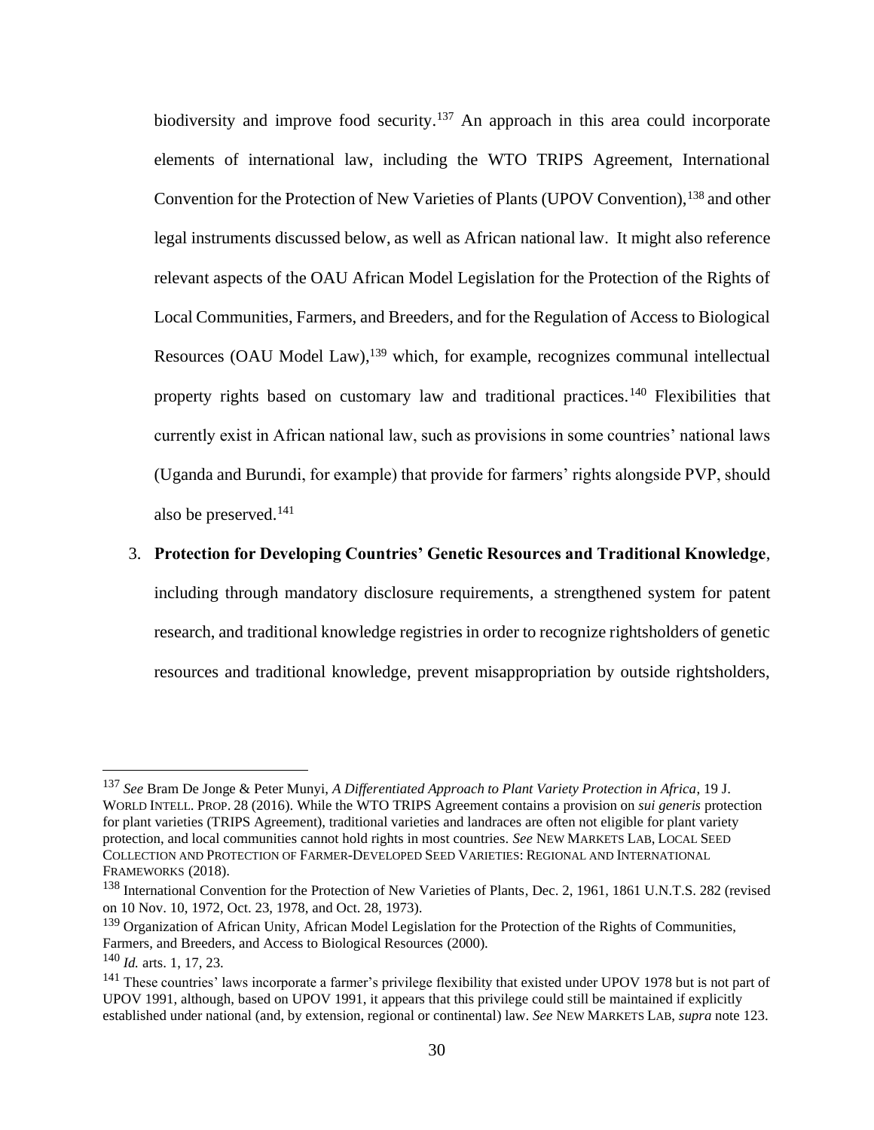biodiversity and improve food security.<sup>137</sup> An approach in this area could incorporate elements of international law, including the WTO TRIPS Agreement, International Convention for the Protection of New Varieties of Plants (UPOV Convention), <sup>138</sup> and other legal instruments discussed below, as well as African national law. It might also reference relevant aspects of the OAU African Model Legislation for the Protection of the Rights of Local Communities, Farmers, and Breeders, and for the Regulation of Access to Biological Resources (OAU Model Law),<sup>139</sup> which, for example, recognizes communal intellectual property rights based on customary law and traditional practices.<sup>140</sup> Flexibilities that currently exist in African national law, such as provisions in some countries' national laws (Uganda and Burundi, for example) that provide for farmers' rights alongside PVP, should also be preserved.<sup>141</sup>

# 3. **Protection for Developing Countries' Genetic Resources and Traditional Knowledge**,

including through mandatory disclosure requirements, a strengthened system for patent research, and traditional knowledge registries in order to recognize rightsholders of genetic resources and traditional knowledge, prevent misappropriation by outside rightsholders,

<sup>137</sup> *See* Bram De Jonge & Peter Munyi, *A Differentiated Approach to Plant Variety Protection in Africa*, 19 J. WORLD INTELL. PROP. 28 (2016). While the WTO TRIPS Agreement contains a provision on *sui generis* protection for plant varieties (TRIPS Agreement), traditional varieties and landraces are often not eligible for plant variety protection, and local communities cannot hold rights in most countries. *See* NEW MARKETS LAB, LOCAL SEED COLLECTION AND PROTECTION OF FARMER-DEVELOPED SEED VARIETIES: REGIONAL AND INTERNATIONAL FRAMEWORKS (2018).

<sup>138</sup> International Convention for the Protection of New Varieties of Plants, Dec. 2, 1961, 1861 U.N.T.S. 282 (revised on 10 Nov. 10, 1972, Oct. 23, 1978, and Oct. 28, 1973).

<sup>&</sup>lt;sup>139</sup> Organization of African Unity, African Model Legislation for the Protection of the Rights of Communities, Farmers, and Breeders, and Access to Biological Resources (2000).

<sup>140</sup> *Id.* arts. 1, 17, 23.

<sup>&</sup>lt;sup>141</sup> These countries' laws incorporate a farmer's privilege flexibility that existed under UPOV 1978 but is not part of UPOV 1991, although, based on UPOV 1991, it appears that this privilege could still be maintained if explicitly established under national (and, by extension, regional or continental) law. *See* NEW MARKETS LAB, *supra* note 123.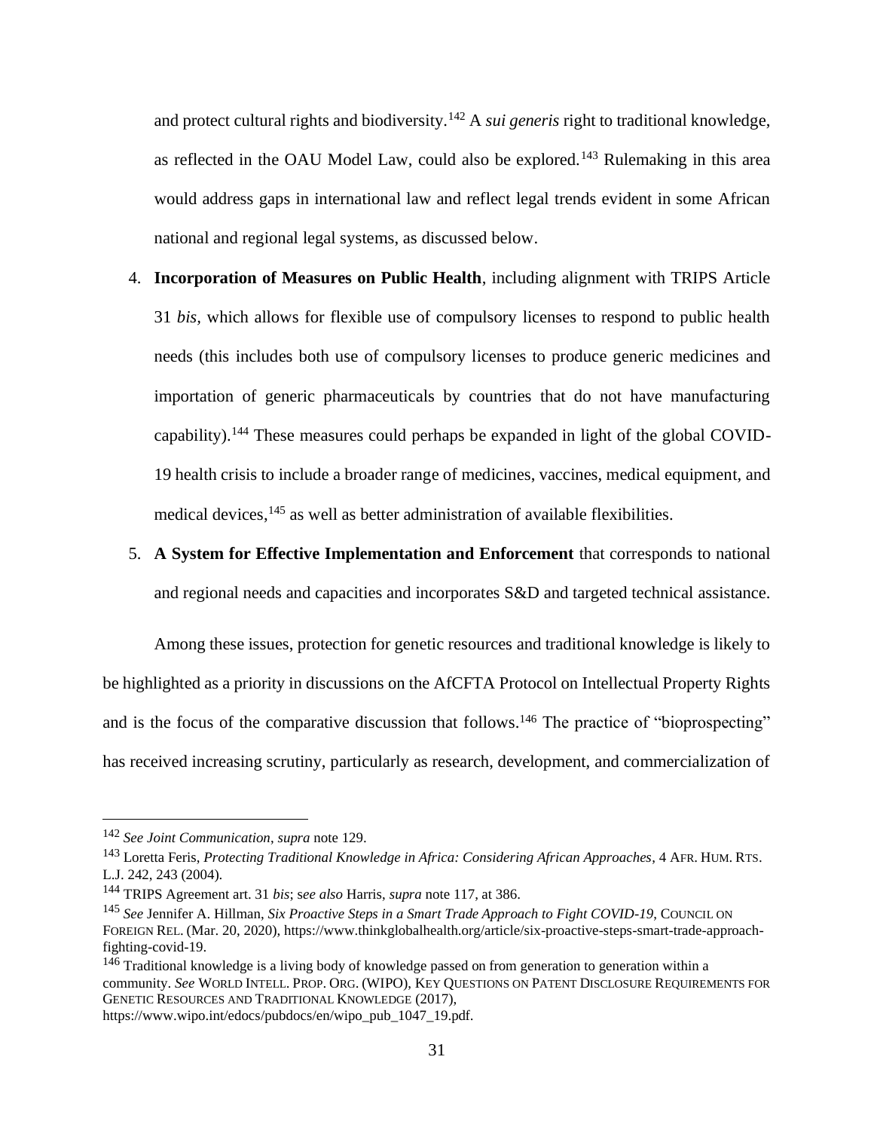and protect cultural rights and biodiversity.<sup>142</sup> A *sui generis* right to traditional knowledge, as reflected in the OAU Model Law, could also be explored.<sup>143</sup> Rulemaking in this area would address gaps in international law and reflect legal trends evident in some African national and regional legal systems, as discussed below.

- 4. **Incorporation of Measures on Public Health**, including alignment with TRIPS Article 31 *bis,* which allows for flexible use of compulsory licenses to respond to public health needs (this includes both use of compulsory licenses to produce generic medicines and importation of generic pharmaceuticals by countries that do not have manufacturing capability).<sup>144</sup> These measures could perhaps be expanded in light of the global COVID-19 health crisis to include a broader range of medicines, vaccines, medical equipment, and medical devices, <sup>145</sup> as well as better administration of available flexibilities.
- 5. **A System for Effective Implementation and Enforcement** that corresponds to national and regional needs and capacities and incorporates S&D and targeted technical assistance.

Among these issues, protection for genetic resources and traditional knowledge is likely to be highlighted as a priority in discussions on the AfCFTA Protocol on Intellectual Property Rights and is the focus of the comparative discussion that follows.<sup>146</sup> The practice of "bioprospecting" has received increasing scrutiny, particularly as research, development, and commercialization of

https://www.wipo.int/edocs/pubdocs/en/wipo\_pub\_1047\_19.pdf.

<sup>142</sup> *See Joint Communication*, *supra* note 129.

<sup>143</sup> Loretta Feris, *Protecting Traditional Knowledge in Africa: Considering African Approaches*, 4 AFR. HUM. RTS. L.J. 242, 243 (2004).

<sup>144</sup> TRIPS Agreement art. 31 *bis*; s*ee also* Harris, *supra* note 117, at 386.

<sup>145</sup> *See* Jennifer A. Hillman, *Six Proactive Steps in a Smart Trade Approach to Fight COVID-19*, COUNCIL ON FOREIGN REL. (Mar. 20, 2020), https://www.thinkglobalhealth.org/article/six-proactive-steps-smart-trade-approachfighting-covid-19.

<sup>&</sup>lt;sup>146</sup> Traditional knowledge is a living body of knowledge passed on from generation to generation within a community. *See* WORLD INTELL. PROP. ORG. (WIPO), KEY QUESTIONS ON PATENT DISCLOSURE REQUIREMENTS FOR GENETIC RESOURCES AND TRADITIONAL KNOWLEDGE (2017),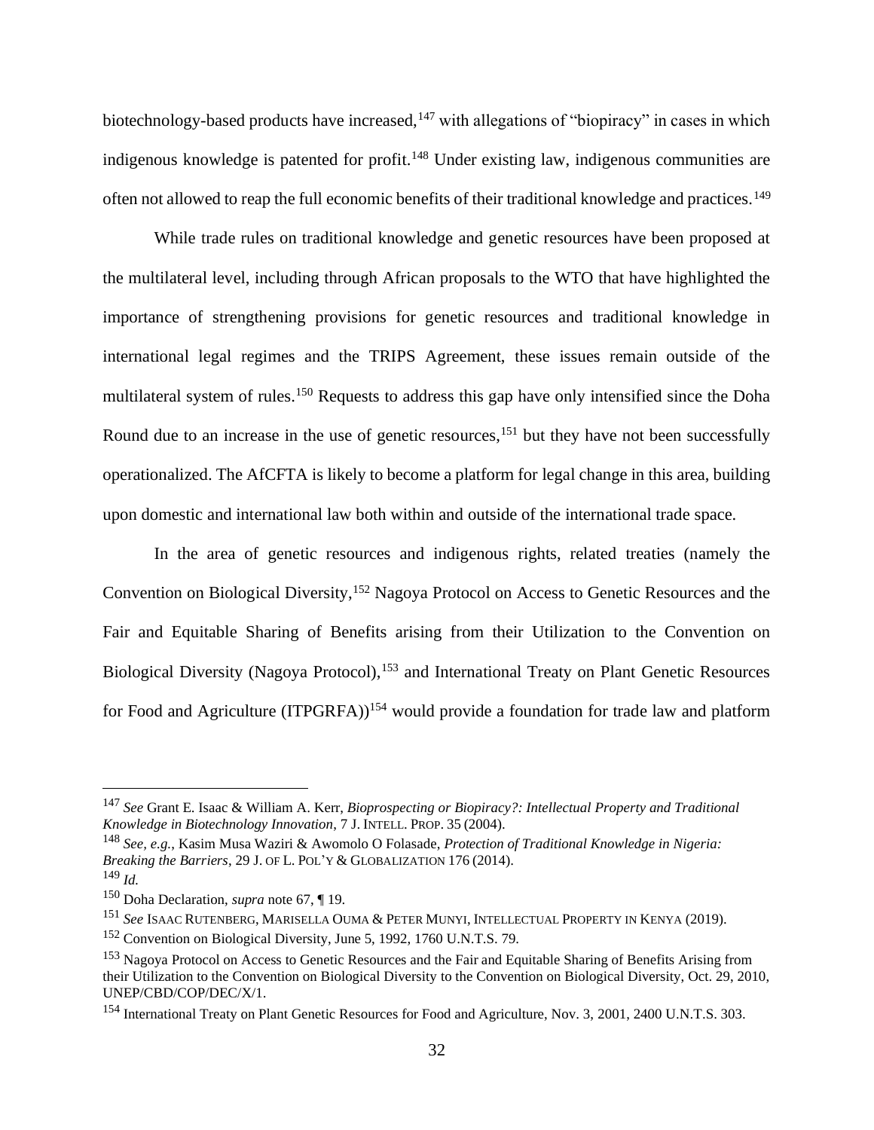biotechnology-based products have increased,<sup>147</sup> with allegations of "biopiracy" in cases in which indigenous knowledge is patented for profit.<sup>148</sup> Under existing law, indigenous communities are often not allowed to reap the full economic benefits of their traditional knowledge and practices.<sup>149</sup>

While trade rules on traditional knowledge and genetic resources have been proposed at the multilateral level, including through African proposals to the WTO that have highlighted the importance of strengthening provisions for genetic resources and traditional knowledge in international legal regimes and the TRIPS Agreement, these issues remain outside of the multilateral system of rules.<sup>150</sup> Requests to address this gap have only intensified since the Doha Round due to an increase in the use of genetic resources,<sup>151</sup> but they have not been successfully operationalized. The AfCFTA is likely to become a platform for legal change in this area, building upon domestic and international law both within and outside of the international trade space.

In the area of genetic resources and indigenous rights, related treaties (namely the Convention on Biological Diversity,<sup>152</sup> Nagoya Protocol on Access to Genetic Resources and the Fair and Equitable Sharing of Benefits arising from their Utilization to the Convention on Biological Diversity (Nagoya Protocol),<sup>153</sup> and International Treaty on Plant Genetic Resources for Food and Agriculture (ITPGRFA))<sup>154</sup> would provide a foundation for trade law and platform

<sup>147</sup> *See* Grant E. Isaac & William A. Kerr, *Bioprospecting or Biopiracy?: Intellectual Property and Traditional Knowledge in Biotechnology Innovation*, 7 J. INTELL.PROP. 35 (2004).

<sup>148</sup> *See, e.g.*, Kasim Musa Waziri & Awomolo O Folasade, *Protection of Traditional Knowledge in Nigeria: Breaking the Barriers*, 29 J. OF L.POL'Y & GLOBALIZATION 176 (2014).

<sup>149</sup> *Id.*

<sup>150</sup> Doha Declaration, *supra* note 67, ¶ 19.

<sup>151</sup> *See* ISAAC RUTENBERG, MARISELLA OUMA & PETER MUNYI, INTELLECTUAL PROPERTY IN KENYA (2019).

<sup>152</sup> Convention on Biological Diversity, June 5, 1992, 1760 U.N.T.S. 79.

<sup>153</sup> Nagoya Protocol on Access to Genetic Resources and the Fair and Equitable Sharing of Benefits Arising from their Utilization to the Convention on Biological Diversity to the Convention on Biological Diversity, Oct. 29, 2010, UNEP/CBD/COP/DEC/X/1.

<sup>154</sup> International Treaty on Plant Genetic Resources for Food and Agriculture, Nov. 3, 2001, 2400 U.N.T.S. 303.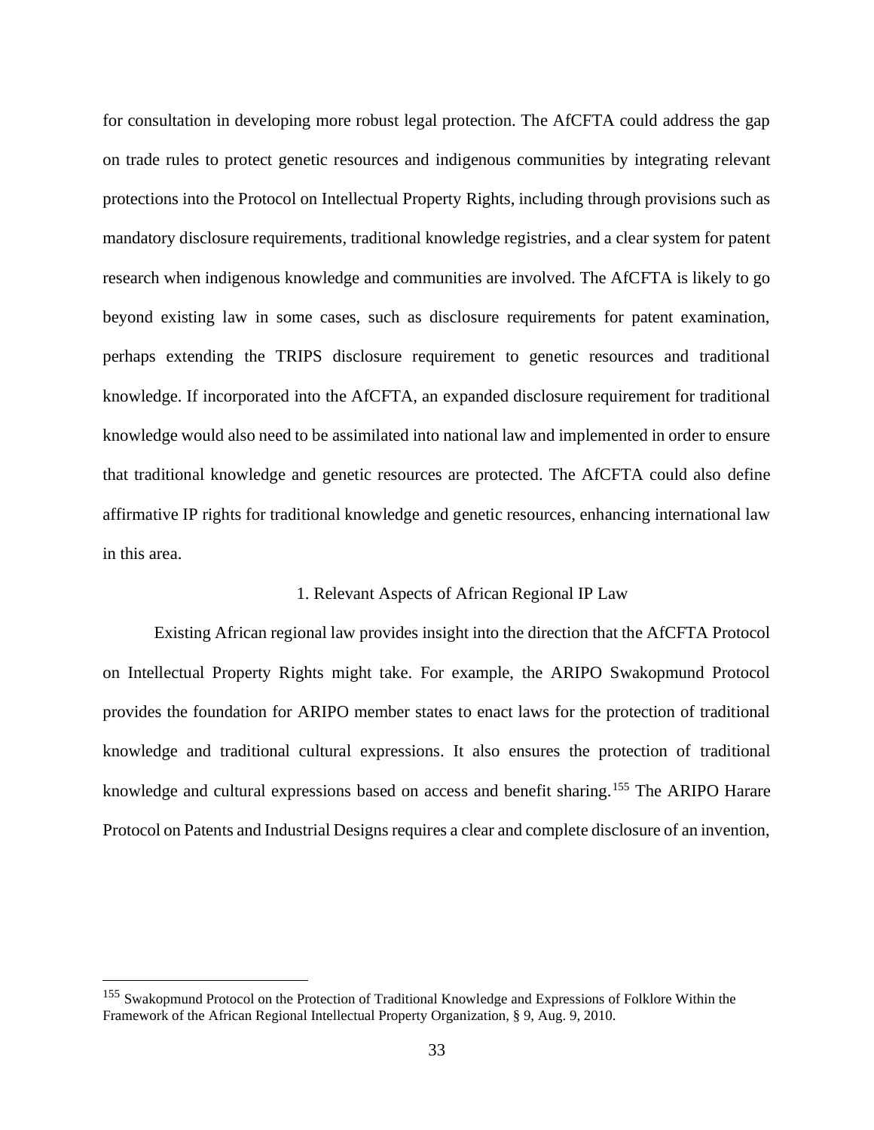for consultation in developing more robust legal protection. The AfCFTA could address the gap on trade rules to protect genetic resources and indigenous communities by integrating relevant protections into the Protocol on Intellectual Property Rights, including through provisions such as mandatory disclosure requirements, traditional knowledge registries, and a clear system for patent research when indigenous knowledge and communities are involved. The AfCFTA is likely to go beyond existing law in some cases, such as disclosure requirements for patent examination, perhaps extending the TRIPS disclosure requirement to genetic resources and traditional knowledge. If incorporated into the AfCFTA, an expanded disclosure requirement for traditional knowledge would also need to be assimilated into national law and implemented in order to ensure that traditional knowledge and genetic resources are protected. The AfCFTA could also define affirmative IP rights for traditional knowledge and genetic resources, enhancing international law in this area.

#### 1. Relevant Aspects of African Regional IP Law

Existing African regional law provides insight into the direction that the AfCFTA Protocol on Intellectual Property Rights might take. For example, the ARIPO Swakopmund Protocol provides the foundation for ARIPO member states to enact laws for the protection of traditional knowledge and traditional cultural expressions. It also ensures the protection of traditional knowledge and cultural expressions based on access and benefit sharing.<sup>155</sup> The ARIPO Harare Protocol on Patents and Industrial Designs requires a clear and complete disclosure of an invention,

<sup>&</sup>lt;sup>155</sup> Swakopmund Protocol on the Protection of Traditional Knowledge and Expressions of Folklore Within the Framework of the African Regional Intellectual Property Organization, § 9, Aug. 9, 2010.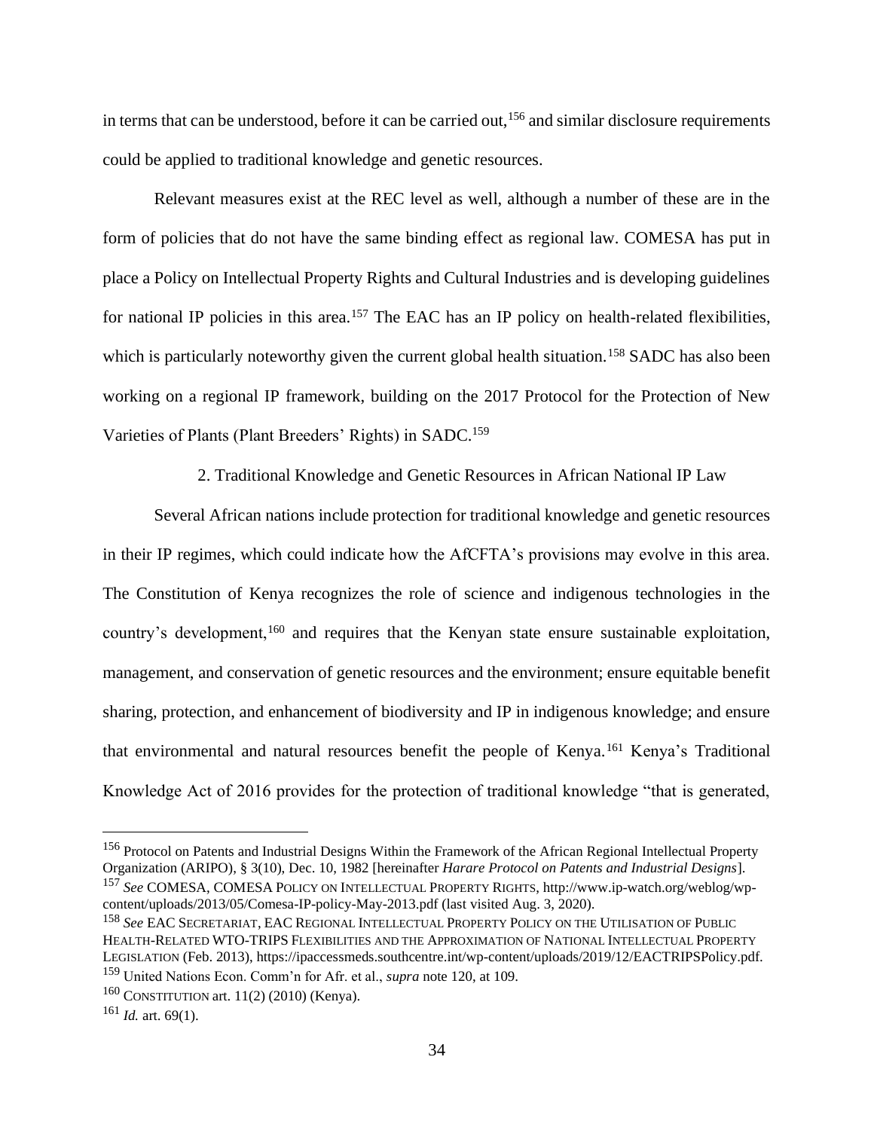in terms that can be understood, before it can be carried out,<sup>156</sup> and similar disclosure requirements could be applied to traditional knowledge and genetic resources.

Relevant measures exist at the REC level as well, although a number of these are in the form of policies that do not have the same binding effect as regional law. COMESA has put in place a Policy on Intellectual Property Rights and Cultural Industries and is developing guidelines for national IP policies in this area.<sup>157</sup> The EAC has an IP policy on health-related flexibilities, which is particularly noteworthy given the current global health situation.<sup>158</sup> SADC has also been working on a regional IP framework, building on the 2017 Protocol for the Protection of New Varieties of Plants (Plant Breeders' Rights) in SADC.<sup>159</sup>

2. Traditional Knowledge and Genetic Resources in African National IP Law

Several African nations include protection for traditional knowledge and genetic resources in their IP regimes, which could indicate how the AfCFTA's provisions may evolve in this area. The Constitution of Kenya recognizes the role of science and indigenous technologies in the country's development,<sup>160</sup> and requires that the Kenyan state ensure sustainable exploitation, management, and conservation of genetic resources and the environment; ensure equitable benefit sharing, protection, and enhancement of biodiversity and IP in indigenous knowledge; and ensure that environmental and natural resources benefit the people of Kenya.<sup>161</sup> Kenya's Traditional Knowledge Act of 2016 provides for the protection of traditional knowledge "that is generated,

<sup>158</sup> *See* EAC SECRETARIAT, EAC REGIONAL INTELLECTUAL PROPERTY POLICY ON THE UTILISATION OF PUBLIC HEALTH-RELATED WTO-TRIPS FLEXIBILITIES AND THE APPROXIMATION OF NATIONAL INTELLECTUAL PROPERTY LEGISLATION (Feb. 2013), https://ipaccessmeds.southcentre.int/wp-content/uploads/2019/12/EACTRIPSPolicy.pdf. <sup>159</sup> United Nations Econ. Comm'n for Afr. et al., *supra* note 120, at 109.

<sup>&</sup>lt;sup>156</sup> Protocol on Patents and Industrial Designs Within the Framework of the African Regional Intellectual Property Organization (ARIPO), § 3(10), Dec. 10, 1982 [hereinafter *Harare Protocol on Patents and Industrial Designs*]. <sup>157</sup> *See* COMESA, COMESA POLICY ON INTELLECTUAL PROPERTY RIGHTS, http://www.ip-watch.org/weblog/wpcontent/uploads/2013/05/Comesa-IP-policy-May-2013.pdf (last visited Aug. 3, 2020).

 $160$  CONSTITUTION art. 11(2) (2010) (Kenya).

 $161$  *Id.* art. 69(1).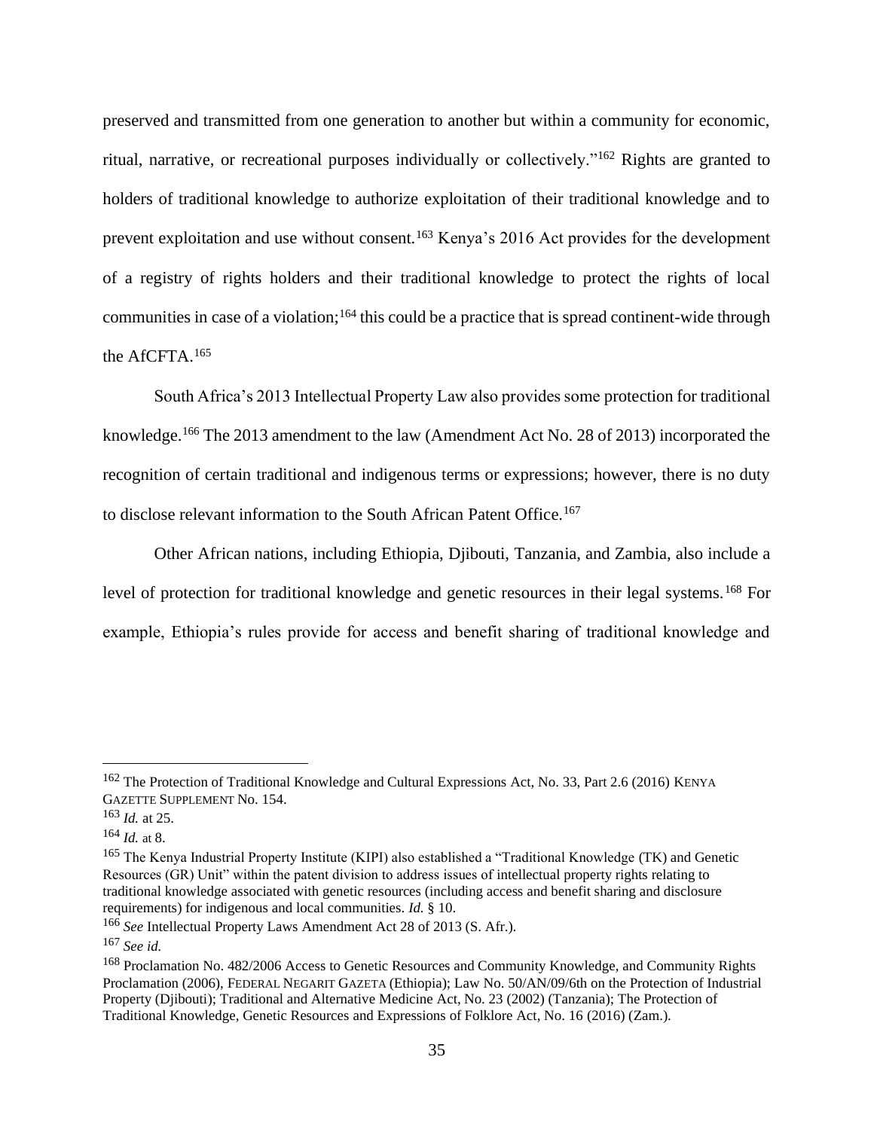preserved and transmitted from one generation to another but within a community for economic, ritual, narrative, or recreational purposes individually or collectively."<sup>162</sup> Rights are granted to holders of traditional knowledge to authorize exploitation of their traditional knowledge and to prevent exploitation and use without consent.<sup>163</sup> Kenya's 2016 Act provides for the development of a registry of rights holders and their traditional knowledge to protect the rights of local communities in case of a violation;<sup>164</sup> this could be a practice that is spread continent-wide through the AfCFTA.<sup>165</sup>

South Africa's 2013 Intellectual Property Law also provides some protection for traditional knowledge.<sup>166</sup> The 2013 amendment to the law (Amendment Act No. 28 of 2013) incorporated the recognition of certain traditional and indigenous terms or expressions; however, there is no duty to disclose relevant information to the South African Patent Office.<sup>167</sup>

Other African nations, including Ethiopia, Djibouti, Tanzania, and Zambia, also include a level of protection for traditional knowledge and genetic resources in their legal systems.<sup>168</sup> For example, Ethiopia's rules provide for access and benefit sharing of traditional knowledge and

<sup>&</sup>lt;sup>162</sup> The Protection of Traditional Knowledge and Cultural Expressions Act, No. 33, Part 2.6 (2016) KENYA GAZETTE SUPPLEMENT No. 154.

<sup>163</sup> *Id.* at 25.

 $164$  *Id.* at 8.

<sup>165</sup> The Kenya Industrial Property Institute (KIPI) also established a "Traditional Knowledge (TK) and Genetic Resources (GR) Unit" within the patent division to address issues of intellectual property rights relating to traditional knowledge associated with genetic resources (including access and benefit sharing and disclosure requirements) for indigenous and local communities. *Id.* § 10.

<sup>166</sup> *See* Intellectual Property Laws Amendment Act 28 of 2013 (S. Afr.).

<sup>167</sup> *See id.*

<sup>168</sup> Proclamation No. 482/2006 Access to Genetic Resources and Community Knowledge, and Community Rights Proclamation (2006), FEDERAL NEGARIT GAZETA (Ethiopia); Law No. 50/AN/09/6th on the Protection of Industrial Property (Djibouti); Traditional and Alternative Medicine Act, No. 23 (2002) (Tanzania); The Protection of Traditional Knowledge, Genetic Resources and Expressions of Folklore Act, No. 16 (2016) (Zam.).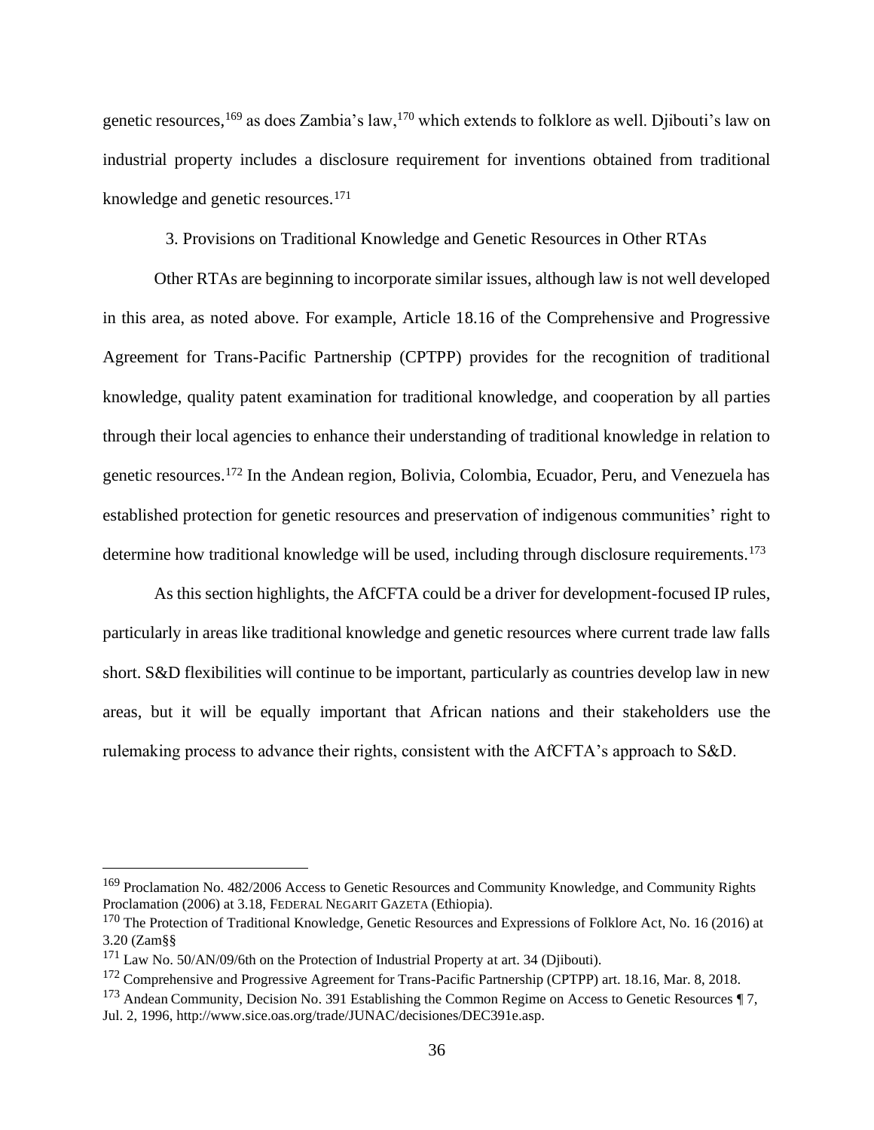genetic resources,<sup>169</sup> as does Zambia's law,<sup>170</sup> which extends to folklore as well. Djibouti's law on industrial property includes a disclosure requirement for inventions obtained from traditional knowledge and genetic resources.<sup>171</sup>

3. Provisions on Traditional Knowledge and Genetic Resources in Other RTAs

Other RTAs are beginning to incorporate similar issues, although law is not well developed in this area, as noted above. For example, Article 18.16 of the Comprehensive and Progressive Agreement for Trans-Pacific Partnership (CPTPP) provides for the recognition of traditional knowledge, quality patent examination for traditional knowledge, and cooperation by all parties through their local agencies to enhance their understanding of traditional knowledge in relation to genetic resources.<sup>172</sup> In the Andean region, Bolivia, Colombia, Ecuador, Peru, and Venezuela has established protection for genetic resources and preservation of indigenous communities' right to determine how traditional knowledge will be used, including through disclosure requirements.<sup>173</sup>

As this section highlights, the AfCFTA could be a driver for development-focused IP rules, particularly in areas like traditional knowledge and genetic resources where current trade law falls short. S&D flexibilities will continue to be important, particularly as countries develop law in new areas, but it will be equally important that African nations and their stakeholders use the rulemaking process to advance their rights, consistent with the AfCFTA's approach to S&D.

<sup>169</sup> Proclamation No. 482/2006 Access to Genetic Resources and Community Knowledge, and Community Rights Proclamation (2006) at 3.18, FEDERAL NEGARIT GAZETA (Ethiopia).

<sup>&</sup>lt;sup>170</sup> The Protection of Traditional Knowledge, Genetic Resources and Expressions of Folklore Act, No. 16 (2016) at 3.20 (Zam§§

<sup>&</sup>lt;sup>171</sup> Law No. 50/AN/09/6th on the Protection of Industrial Property at art. 34 (Djibouti).

<sup>&</sup>lt;sup>172</sup> Comprehensive and Progressive Agreement for Trans-Pacific Partnership (CPTPP) art. 18.16, Mar. 8, 2018.

<sup>&</sup>lt;sup>173</sup> Andean Community, Decision No. 391 Establishing the Common Regime on Access to Genetic Resources  $\P$ 7, Jul. 2, 1996, http://www.sice.oas.org/trade/JUNAC/decisiones/DEC391e.asp.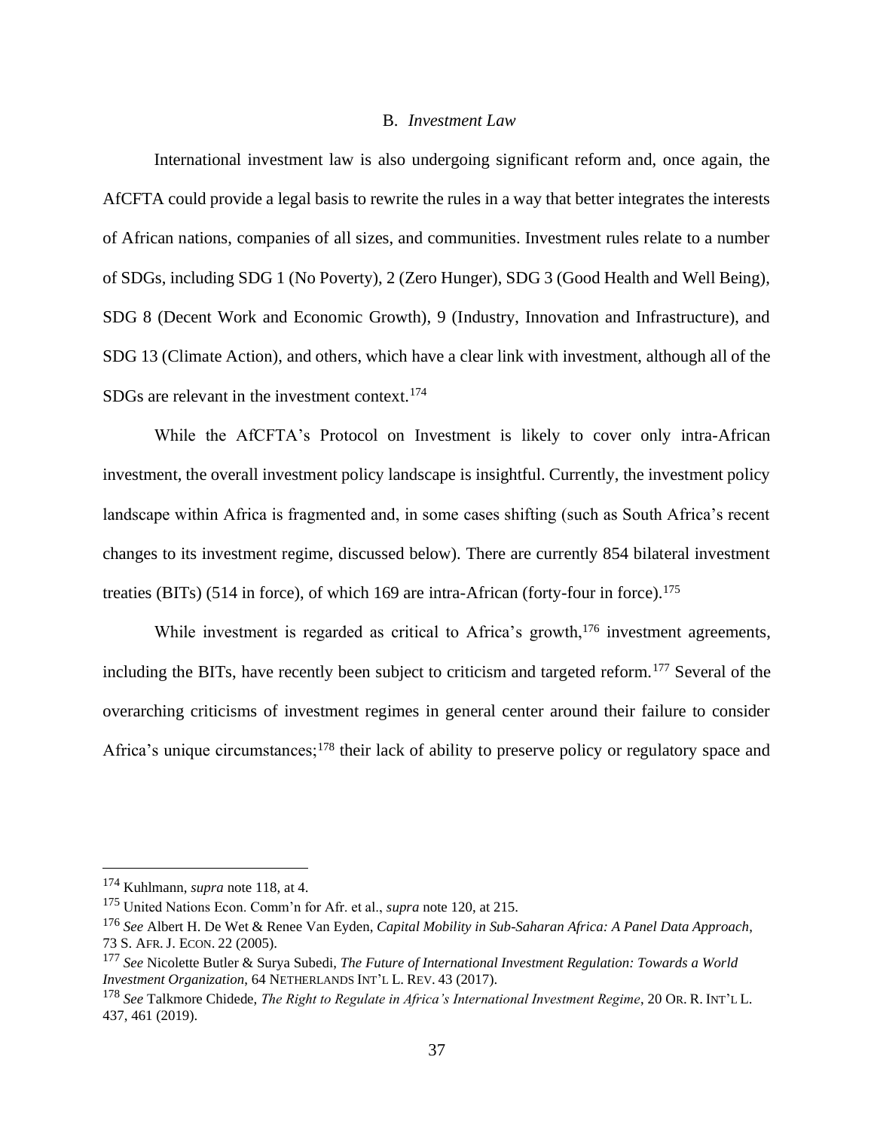#### B. *Investment Law*

International investment law is also undergoing significant reform and, once again, the AfCFTA could provide a legal basis to rewrite the rules in a way that better integrates the interests of African nations, companies of all sizes, and communities. Investment rules relate to a number of SDGs, including SDG 1 (No Poverty), 2 (Zero Hunger), SDG 3 (Good Health and Well Being), SDG 8 (Decent Work and Economic Growth), 9 (Industry, Innovation and Infrastructure), and SDG 13 (Climate Action), and others, which have a clear link with investment, although all of the SDGs are relevant in the investment context.<sup>174</sup>

While the AfCFTA's Protocol on Investment is likely to cover only intra-African investment, the overall investment policy landscape is insightful. Currently, the investment policy landscape within Africa is fragmented and, in some cases shifting (such as South Africa's recent changes to its investment regime, discussed below). There are currently 854 bilateral investment treaties (BITs) (514 in force), of which 169 are intra-African (forty-four in force).<sup>175</sup>

While investment is regarded as critical to Africa's growth,<sup>176</sup> investment agreements, including the BITs, have recently been subject to criticism and targeted reform.<sup>177</sup> Several of the overarching criticisms of investment regimes in general center around their failure to consider Africa's unique circumstances;<sup>178</sup> their lack of ability to preserve policy or regulatory space and

<sup>174</sup> Kuhlmann, *supra* note 118, at 4.

<sup>175</sup> United Nations Econ. Comm'n for Afr. et al., *supra* note 120, at 215.

<sup>176</sup> *See* Albert H. De Wet & Renee Van Eyden, *Capital Mobility in Sub-Saharan Africa: A Panel Data Approach*, 73 S. AFR. J. ECON. 22 (2005).

<sup>177</sup> *See* Nicolette Butler & Surya Subedi, *The Future of International Investment Regulation: Towards a World Investment Organization*, 64 NETHERLANDS INT'L L. REV. 43 (2017).

<sup>178</sup> *See* Talkmore Chidede, *The Right to Regulate in Africa's International Investment Regime*, 20 OR. R. INT'L L. 437, 461 (2019).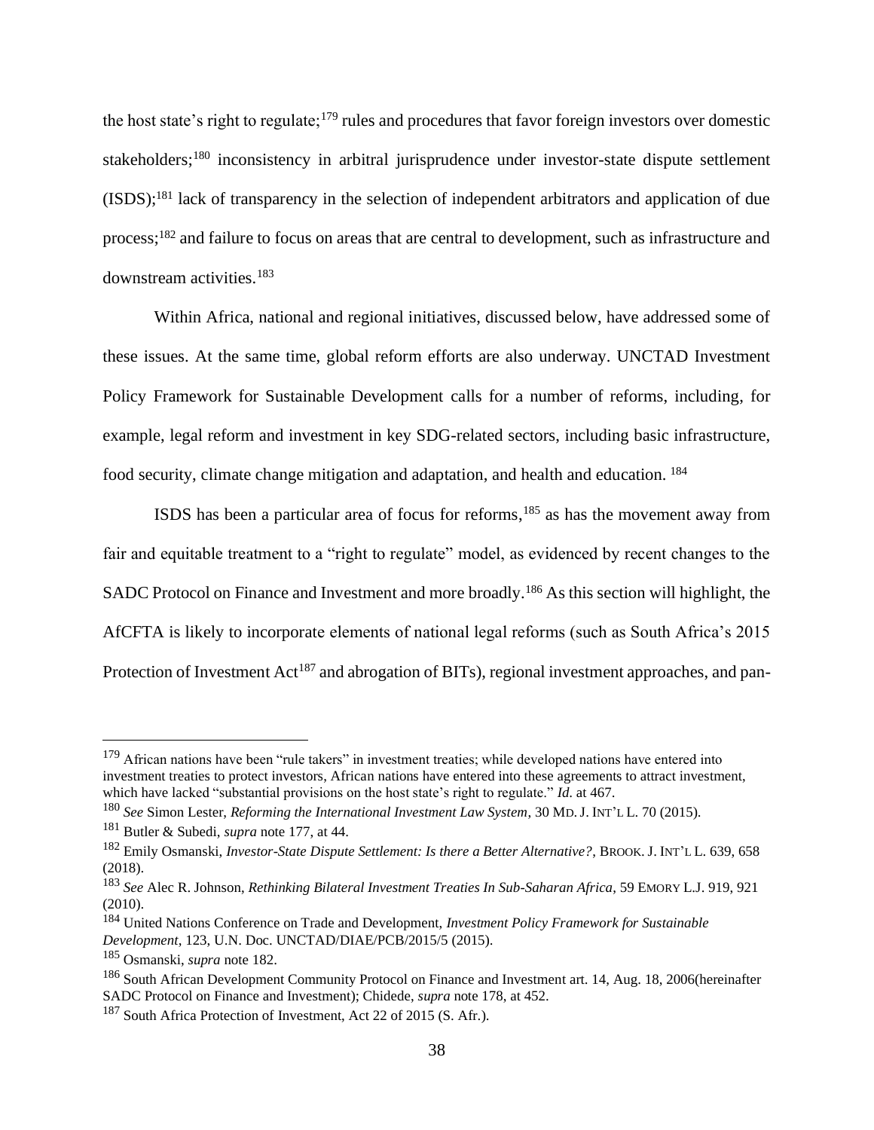the host state's right to regulate;<sup>179</sup> rules and procedures that favor foreign investors over domestic stakeholders;<sup>180</sup> inconsistency in arbitral jurisprudence under investor-state dispute settlement (ISDS);<sup>181</sup> lack of transparency in the selection of independent arbitrators and application of due process;<sup>182</sup> and failure to focus on areas that are central to development, such as infrastructure and downstream activities.<sup>183</sup>

Within Africa, national and regional initiatives, discussed below, have addressed some of these issues. At the same time, global reform efforts are also underway. UNCTAD Investment Policy Framework for Sustainable Development calls for a number of reforms, including, for example, legal reform and investment in key SDG-related sectors, including basic infrastructure, food security, climate change mitigation and adaptation, and health and education. <sup>184</sup>

ISDS has been a particular area of focus for reforms,<sup>185</sup> as has the movement away from fair and equitable treatment to a "right to regulate" model, as evidenced by recent changes to the SADC Protocol on Finance and Investment and more broadly.<sup>186</sup> As this section will highlight, the AfCFTA is likely to incorporate elements of national legal reforms (such as South Africa's 2015 Protection of Investment Act<sup>187</sup> and abrogation of BITs), regional investment approaches, and pan-

<sup>&</sup>lt;sup>179</sup> African nations have been "rule takers" in investment treaties; while developed nations have entered into investment treaties to protect investors, African nations have entered into these agreements to attract investment, which have lacked "substantial provisions on the host state's right to regulate." *Id*. at 467.

<sup>180</sup> *See* Simon Lester, *Reforming the International Investment Law System*, 30 MD.J. INT'L L. 70 (2015).

<sup>181</sup> Butler & Subedi, *supra* note 177, at 44.

<sup>182</sup> Emily Osmanski, *Investor-State Dispute Settlement: Is there a Better Alternative?*, BROOK. J. INT'L L. 639, 658 (2018).

<sup>183</sup> *See* Alec R. Johnson, *Rethinking Bilateral Investment Treaties In Sub-Saharan Africa*, 59 EMORY L.J. 919, 921 (2010).

<sup>184</sup> United Nations Conference on Trade and Development, *Investment Policy Framework for Sustainable Development*, 123, U.N. Doc. UNCTAD/DIAE/PCB/2015/5 (2015).

<sup>185</sup> Osmanski, *supra* note 182.

<sup>186</sup> South African Development Community Protocol on Finance and Investment art. 14, Aug. 18, 2006(hereinafter SADC Protocol on Finance and Investment); Chidede, *supra* note 178, at 452.

<sup>187</sup> South Africa Protection of Investment, Act 22 of 2015 (S. Afr.).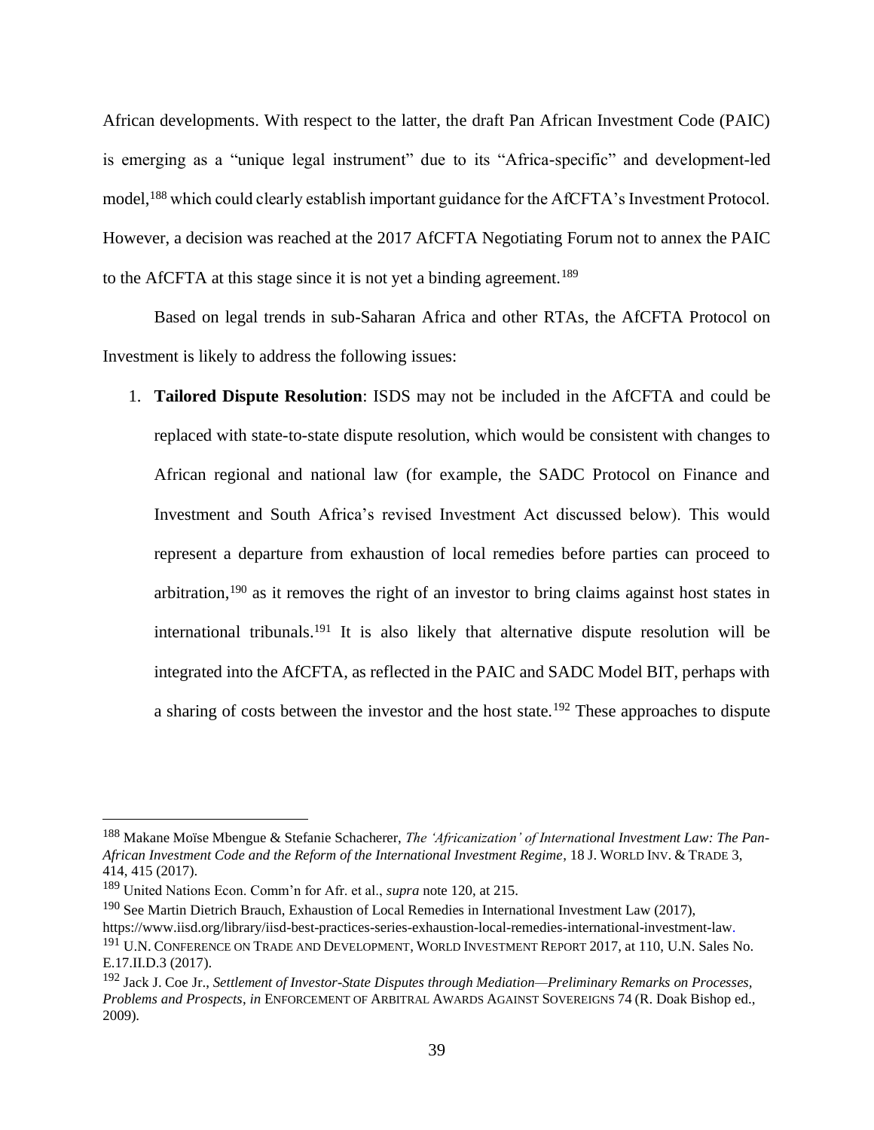African developments. With respect to the latter, the draft Pan African Investment Code (PAIC) is emerging as a "unique legal instrument" due to its "Africa-specific" and development-led model,<sup>188</sup> which could clearly establish important guidance for the AfCFTA's Investment Protocol. However, a decision was reached at the 2017 AfCFTA Negotiating Forum not to annex the PAIC to the AfCFTA at this stage since it is not yet a binding agreement.<sup>189</sup>

Based on legal trends in sub-Saharan Africa and other RTAs, the AfCFTA Protocol on Investment is likely to address the following issues:

1. **Tailored Dispute Resolution**: ISDS may not be included in the AfCFTA and could be replaced with state-to-state dispute resolution, which would be consistent with changes to African regional and national law (for example, the SADC Protocol on Finance and Investment and South Africa's revised Investment Act discussed below). This would represent a departure from exhaustion of local remedies before parties can proceed to arbitration,<sup>190</sup> as it removes the right of an investor to bring claims against host states in international tribunals.<sup>191</sup> It is also likely that alternative dispute resolution will be integrated into the AfCFTA, as reflected in the PAIC and SADC Model BIT, perhaps with a sharing of costs between the investor and the host state.<sup>192</sup> These approaches to dispute

<sup>188</sup> Makane Moïse Mbengue & Stefanie Schacherer, *The 'Africanization' of International Investment Law: The Pan-African Investment Code and the Reform of the International Investment Regime*, 18 J. WORLD INV. & TRADE 3, 414, 415 (2017).

<sup>189</sup> United Nations Econ. Comm'n for Afr. et al., *supra* note 120, at 215.

<sup>&</sup>lt;sup>190</sup> See Martin Dietrich Brauch, Exhaustion of Local Remedies in International Investment Law (2017),

https://www.iisd.org/library/iisd-best-practices-series-exhaustion-local-remedies-international-investment-law.

<sup>&</sup>lt;sup>191</sup> U.N. CONFERENCE ON TRADE AND DEVELOPMENT, WORLD INVESTMENT REPORT 2017, at 110, U.N. Sales No. E.17.II.D.3 (2017).

<sup>192</sup> Jack J. Coe Jr., *Settlement of Investor-State Disputes through Mediation—Preliminary Remarks on Processes, Problems and Prospects*, *in* ENFORCEMENT OF ARBITRAL AWARDS AGAINST SOVEREIGNS 74 (R. Doak Bishop ed., 2009).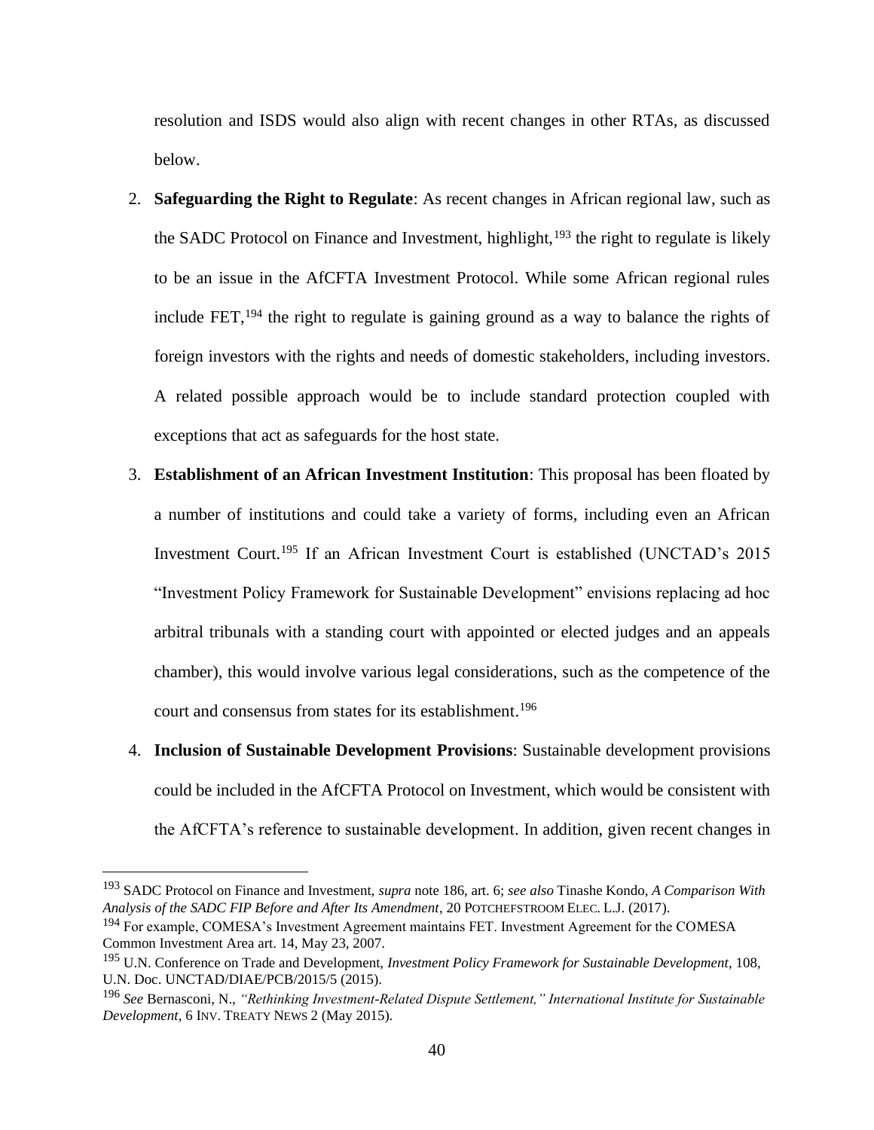resolution and ISDS would also align with recent changes in other RTAs, as discussed below.

- 2. **Safeguarding the Right to Regulate**: As recent changes in African regional law, such as the SADC Protocol on Finance and Investment, highlight, $193$  the right to regulate is likely to be an issue in the AfCFTA Investment Protocol. While some African regional rules include FET,  $194$  the right to regulate is gaining ground as a way to balance the rights of foreign investors with the rights and needs of domestic stakeholders, including investors. A related possible approach would be to include standard protection coupled with exceptions that act as safeguards for the host state.
- 3. **Establishment of an African Investment Institution**: This proposal has been floated by a number of institutions and could take a variety of forms, including even an African Investment Court.<sup>195</sup> If an African Investment Court is established (UNCTAD's 2015 "Investment Policy Framework for Sustainable Development" envisions replacing ad hoc arbitral tribunals with a standing court with appointed or elected judges and an appeals chamber), this would involve various legal considerations, such as the competence of the court and consensus from states for its establishment.<sup>196</sup>
- 4. **Inclusion of Sustainable Development Provisions**: Sustainable development provisions could be included in the AfCFTA Protocol on Investment, which would be consistent with the AfCFTA's reference to sustainable development. In addition, given recent changes in

<sup>193</sup> SADC Protocol on Finance and Investment, *supra* note 186, art. 6; *see also* Tinashe Kondo, *A Comparison With Analysis of the SADC FIP Before and After Its Amendment*, 20 POTCHEFSTROOM ELEC. L.J. (2017).

<sup>&</sup>lt;sup>194</sup> For example, COMESA's Investment Agreement maintains FET. Investment Agreement for the COMESA Common Investment Area art. 14, May 23, 2007.

<sup>195</sup> U.N. Conference on Trade and Development, *Investment Policy Framework for Sustainable Development*, 108, U.N. Doc. UNCTAD/DIAE/PCB/2015/5 (2015).

<sup>196</sup> *See* Bernasconi, N., *"Rethinking Investment-Related Dispute Settlement," International Institute for Sustainable Development*, 6 INV. TREATY NEWS 2 (May 2015).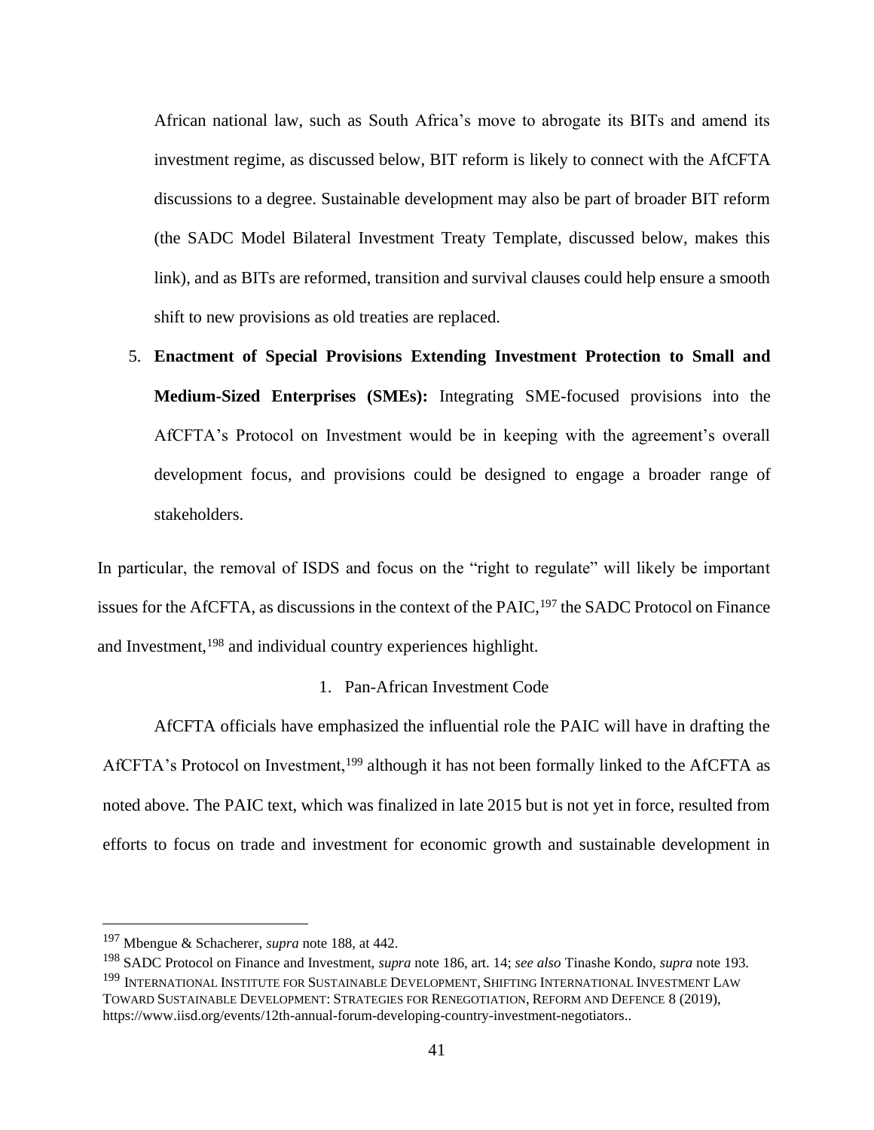African national law, such as South Africa's move to abrogate its BITs and amend its investment regime, as discussed below, BIT reform is likely to connect with the AfCFTA discussions to a degree. Sustainable development may also be part of broader BIT reform (the SADC Model Bilateral Investment Treaty Template, discussed below, makes this link), and as BITs are reformed, transition and survival clauses could help ensure a smooth shift to new provisions as old treaties are replaced.

5. **Enactment of Special Provisions Extending Investment Protection to Small and Medium-Sized Enterprises (SMEs):** Integrating SME-focused provisions into the AfCFTA's Protocol on Investment would be in keeping with the agreement's overall development focus, and provisions could be designed to engage a broader range of stakeholders.

In particular, the removal of ISDS and focus on the "right to regulate" will likely be important issues for the AfCFTA, as discussions in the context of the PAIC,<sup>197</sup> the SADC Protocol on Finance and Investment,<sup>198</sup> and individual country experiences highlight.

# 1. Pan-African Investment Code

AfCFTA officials have emphasized the influential role the PAIC will have in drafting the AfCFTA's Protocol on Investment,<sup>199</sup> although it has not been formally linked to the AfCFTA as noted above. The PAIC text, which was finalized in late 2015 but is not yet in force, resulted from efforts to focus on trade and investment for economic growth and sustainable development in

<sup>197</sup> Mbengue & Schacherer, *supra* note 188, at 442.

<sup>198</sup> SADC Protocol on Finance and Investment, *supra* note 186, art. 14; *see also* Tinashe Kondo, *supra* note 193. <sup>199</sup> INTERNATIONAL INSTITUTE FOR SUSTAINABLE DEVELOPMENT, SHIFTING INTERNATIONAL INVESTMENT LAW TOWARD SUSTAINABLE DEVELOPMENT: STRATEGIES FOR RENEGOTIATION, REFORM AND DEFENCE 8 (2019). https://www.iisd.org/events/12th-annual-forum-developing-country-investment-negotiators..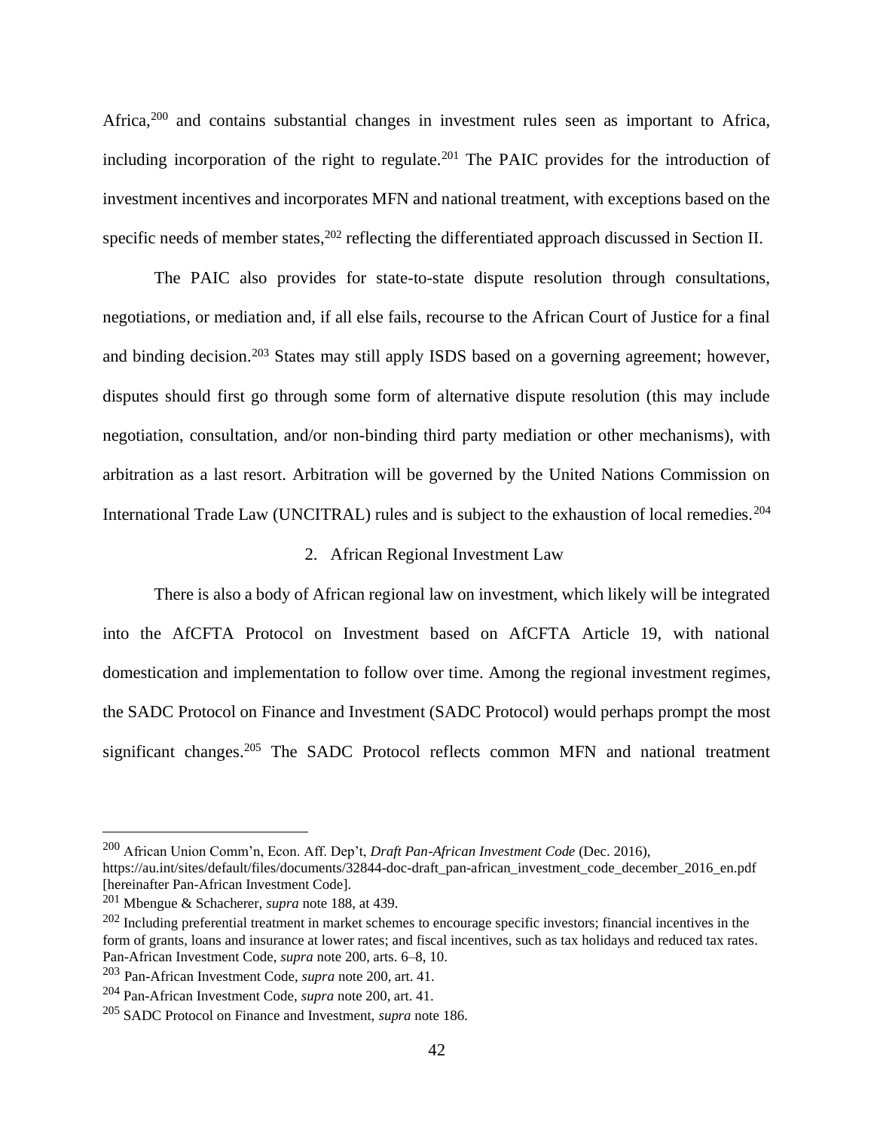Africa,<sup>200</sup> and contains substantial changes in investment rules seen as important to Africa, including incorporation of the right to regulate.<sup>201</sup> The PAIC provides for the introduction of investment incentives and incorporates MFN and national treatment, with exceptions based on the specific needs of member states,<sup>202</sup> reflecting the differentiated approach discussed in Section II.

The PAIC also provides for state-to-state dispute resolution through consultations, negotiations, or mediation and, if all else fails, recourse to the African Court of Justice for a final and binding decision.<sup>203</sup> States may still apply ISDS based on a governing agreement; however, disputes should first go through some form of alternative dispute resolution (this may include negotiation, consultation, and/or non-binding third party mediation or other mechanisms), with arbitration as a last resort. Arbitration will be governed by the United Nations Commission on International Trade Law (UNCITRAL) rules and is subject to the exhaustion of local remedies.<sup>204</sup>

#### 2. African Regional Investment Law

There is also a body of African regional law on investment, which likely will be integrated into the AfCFTA Protocol on Investment based on AfCFTA Article 19, with national domestication and implementation to follow over time. Among the regional investment regimes, the SADC Protocol on Finance and Investment (SADC Protocol) would perhaps prompt the most significant changes.<sup>205</sup> The SADC Protocol reflects common MFN and national treatment

<sup>200</sup> African Union Comm'n, Econ. Aff. Dep't, *Draft Pan-African Investment Code* (Dec. 2016),

https://au.int/sites/default/files/documents/32844-doc-draft\_pan-african\_investment\_code\_december\_2016\_en.pdf [hereinafter Pan-African Investment Code].

<sup>201</sup> Mbengue & Schacherer, *supra* note 188, at 439.

 $202$  Including preferential treatment in market schemes to encourage specific investors; financial incentives in the form of grants, loans and insurance at lower rates; and fiscal incentives, such as tax holidays and reduced tax rates. Pan-African Investment Code, *supra* note 200, arts. 6–8, 10.

<sup>203</sup> Pan-African Investment Code, *supra* note 200, art. 41.

<sup>204</sup> Pan-African Investment Code, *supra* note 200, art. 41.

<sup>205</sup> SADC Protocol on Finance and Investment, *supra* note 186.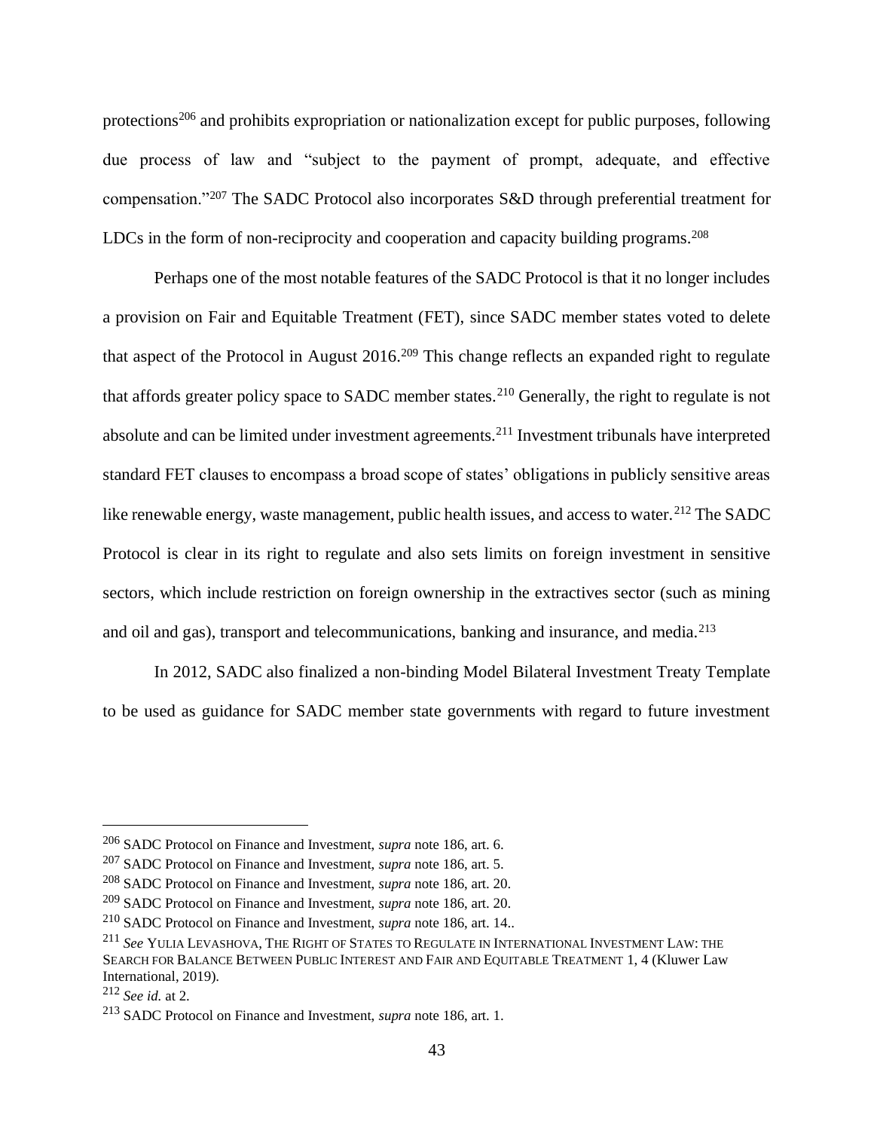protections<sup>206</sup> and prohibits expropriation or nationalization except for public purposes, following due process of law and "subject to the payment of prompt, adequate, and effective compensation."<sup>207</sup> The SADC Protocol also incorporates S&D through preferential treatment for LDCs in the form of non-reciprocity and cooperation and capacity building programs.<sup>208</sup>

Perhaps one of the most notable features of the SADC Protocol is that it no longer includes a provision on Fair and Equitable Treatment (FET), since SADC member states voted to delete that aspect of the Protocol in August  $2016$ <sup>209</sup> This change reflects an expanded right to regulate that affords greater policy space to SADC member states.<sup>210</sup> Generally, the right to regulate is not absolute and can be limited under investment agreements.<sup>211</sup> Investment tribunals have interpreted standard FET clauses to encompass a broad scope of states' obligations in publicly sensitive areas like renewable energy, waste management, public health issues, and access to water.<sup>212</sup> The SADC Protocol is clear in its right to regulate and also sets limits on foreign investment in sensitive sectors, which include restriction on foreign ownership in the extractives sector (such as mining and oil and gas), transport and telecommunications, banking and insurance, and media.<sup>213</sup>

In 2012, SADC also finalized a non-binding Model Bilateral Investment Treaty Template to be used as guidance for SADC member state governments with regard to future investment

<sup>206</sup> SADC Protocol on Finance and Investment, *supra* note 186, art. 6.

<sup>207</sup> SADC Protocol on Finance and Investment, *supra* note 186, art. 5.

<sup>208</sup> SADC Protocol on Finance and Investment, *supra* note 186, art. 20.

<sup>209</sup> SADC Protocol on Finance and Investment, *supra* note 186, art. 20.

<sup>210</sup> SADC Protocol on Finance and Investment, *supra* note 186, art. 14..

<sup>211</sup> *See* YULIA LEVASHOVA, THE RIGHT OF STATES TO REGULATE IN INTERNATIONAL INVESTMENT LAW: THE SEARCH FOR BALANCE BETWEEN PUBLIC INTEREST AND FAIR AND EQUITABLE TREATMENT 1, 4 (Kluwer Law International, 2019).

<sup>212</sup> *See id.* at 2.

<sup>213</sup> SADC Protocol on Finance and Investment, *supra* note 186, art. 1.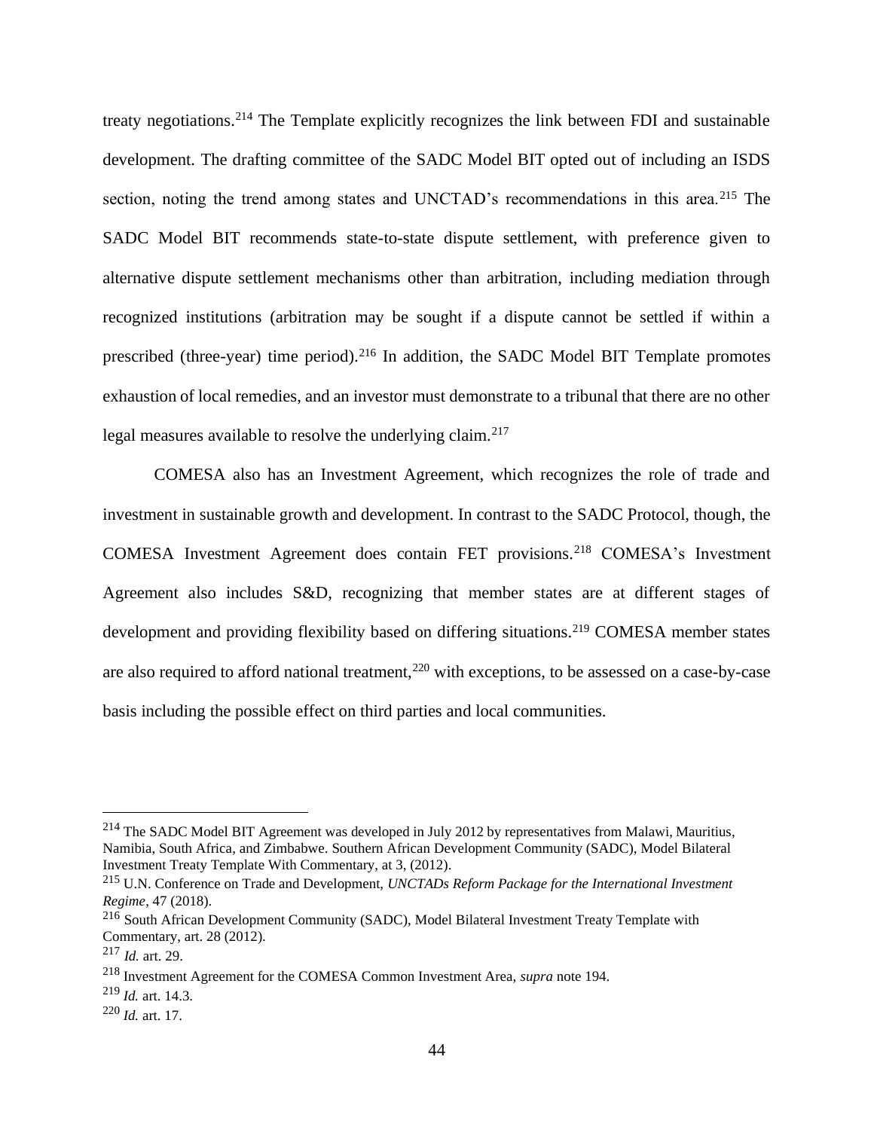treaty negotiations.<sup>214</sup> The Template explicitly recognizes the link between FDI and sustainable development. The drafting committee of the SADC Model BIT opted out of including an ISDS section, noting the trend among states and UNCTAD's recommendations in this area.<sup>215</sup> The SADC Model BIT recommends state-to-state dispute settlement, with preference given to alternative dispute settlement mechanisms other than arbitration, including mediation through recognized institutions (arbitration may be sought if a dispute cannot be settled if within a prescribed (three-year) time period).<sup>216</sup> In addition, the SADC Model BIT Template promotes exhaustion of local remedies, and an investor must demonstrate to a tribunal that there are no other legal measures available to resolve the underlying claim.<sup>217</sup>

COMESA also has an Investment Agreement, which recognizes the role of trade and investment in sustainable growth and development. In contrast to the SADC Protocol, though, the COMESA Investment Agreement does contain FET provisions.<sup>218</sup> COMESA's Investment Agreement also includes S&D, recognizing that member states are at different stages of development and providing flexibility based on differing situations.<sup>219</sup> COMESA member states are also required to afford national treatment,<sup>220</sup> with exceptions, to be assessed on a case-by-case basis including the possible effect on third parties and local communities.

<sup>&</sup>lt;sup>214</sup> The SADC Model BIT Agreement was developed in July 2012 by representatives from Malawi, Mauritius, Namibia, South Africa, and Zimbabwe. Southern African Development Community (SADC), Model Bilateral Investment Treaty Template With Commentary, at 3, (2012).

<sup>215</sup> U.N. Conference on Trade and Development, *UNCTADs Reform Package for the International Investment Regime*, 47 (2018).

<sup>216</sup> South African Development Community (SADC), Model Bilateral Investment Treaty Template with Commentary, art. 28 (2012).

<sup>217</sup> *Id.* art. 29.

<sup>218</sup> Investment Agreement for the COMESA Common Investment Area, *supra* note 194.

<sup>219</sup> *Id.* art. 14.3.

<sup>220</sup> *Id.* art. 17.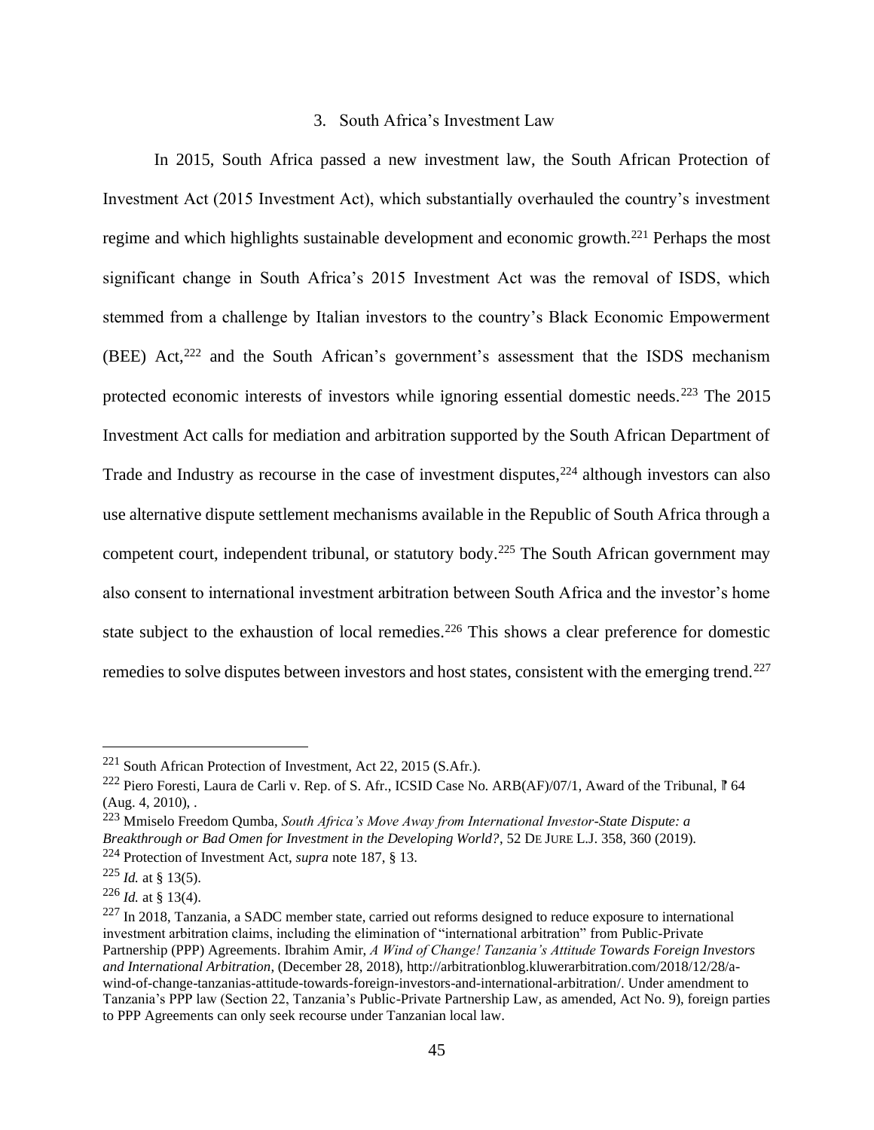# 3. South Africa's Investment Law

In 2015, South Africa passed a new investment law, the South African Protection of Investment Act (2015 Investment Act), which substantially overhauled the country's investment regime and which highlights sustainable development and economic growth.<sup>221</sup> Perhaps the most significant change in South Africa's 2015 Investment Act was the removal of ISDS, which stemmed from a challenge by Italian investors to the country's Black Economic Empowerment (BEE) Act, $222$  and the South African's government's assessment that the ISDS mechanism protected economic interests of investors while ignoring essential domestic needs.<sup>223</sup> The 2015 Investment Act calls for mediation and arbitration supported by the South African Department of Trade and Industry as recourse in the case of investment disputes,<sup>224</sup> although investors can also use alternative dispute settlement mechanisms available in the Republic of South Africa through a competent court, independent tribunal, or statutory body.<sup>225</sup> The South African government may also consent to international investment arbitration between South Africa and the investor's home state subject to the exhaustion of local remedies.<sup>226</sup> This shows a clear preference for domestic remedies to solve disputes between investors and host states, consistent with the emerging trend.<sup>227</sup>

<sup>221</sup> South African Protection of Investment, Act 22, 2015 (S.Afr.).

<sup>&</sup>lt;sup>222</sup> Piero Foresti, Laura de Carli v. Rep. of S. Afr., ICSID Case No. ARB(AF)/07/1, Award of the Tribunal, *f* 64 (Aug. 4, 2010), .

<sup>223</sup> Mmiselo Freedom Qumba, *South Africa's Move Away from International Investor-State Dispute: a Breakthrough or Bad Omen for Investment in the Developing World?*, 52 DE JURE L.J. 358, 360 (2019).

<sup>224</sup> Protection of Investment Act, *supra* note 187, § 13.

 $^{225}$  *Id.* at § 13(5).

 $^{226}$  *Id.* at § 13(4).

 $^{227}$  In 2018, Tanzania, a SADC member state, carried out reforms designed to reduce exposure to international investment arbitration claims, including the elimination of "international arbitration" from Public-Private Partnership (PPP) Agreements. Ibrahim Amir, *A Wind of Change! Tanzania's Attitude Towards Foreign Investors and International Arbitration*, (December 28, 2018), http://arbitrationblog.kluwerarbitration.com/2018/12/28/awind-of-change-tanzanias-attitude-towards-foreign-investors-and-international-arbitration/. Under amendment to Tanzania's PPP law (Section 22, Tanzania's Public-Private Partnership Law, as amended, Act No. 9), foreign parties to PPP Agreements can only seek recourse under Tanzanian local law.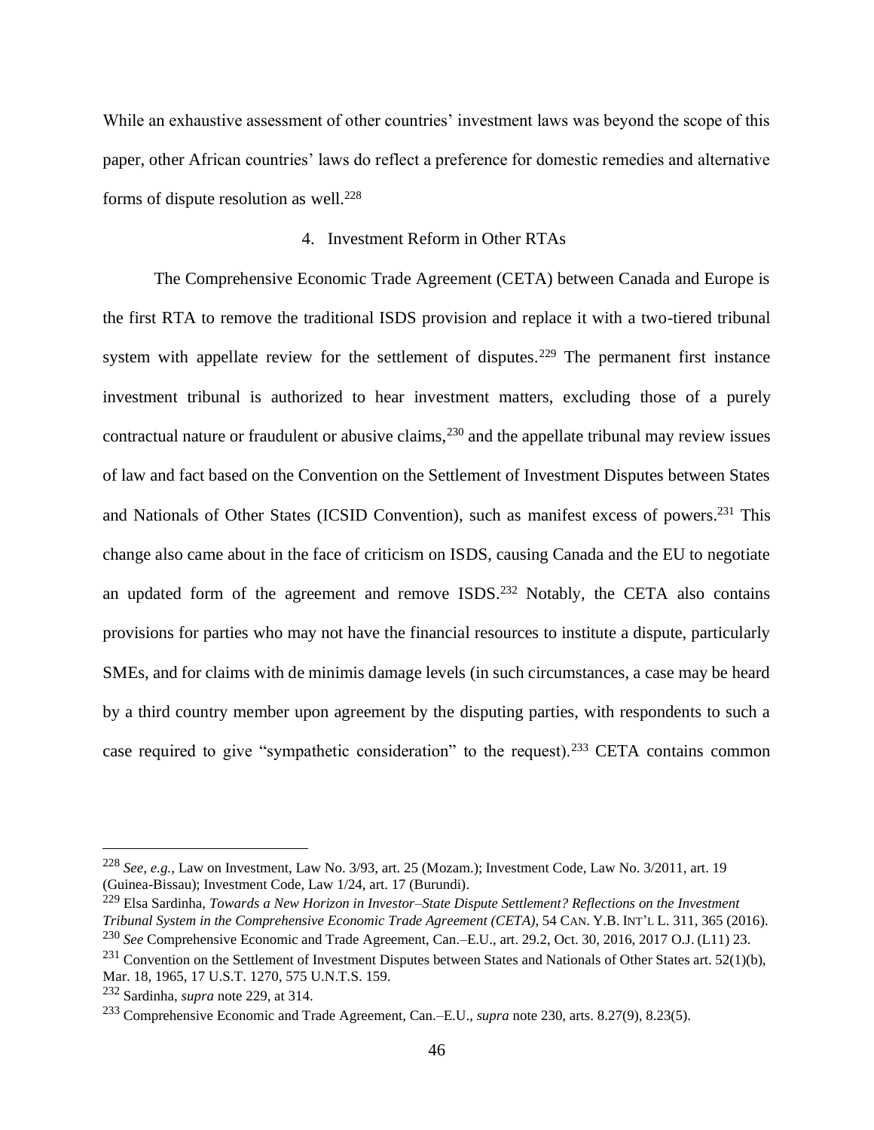While an exhaustive assessment of other countries' investment laws was beyond the scope of this paper, other African countries' laws do reflect a preference for domestic remedies and alternative forms of dispute resolution as well.<sup>228</sup>

# 4. Investment Reform in Other RTAs

The Comprehensive Economic Trade Agreement (CETA) between Canada and Europe is the first RTA to remove the traditional ISDS provision and replace it with a two-tiered tribunal system with appellate review for the settlement of disputes.<sup>229</sup> The permanent first instance investment tribunal is authorized to hear investment matters, excluding those of a purely contractual nature or fraudulent or abusive claims,<sup>230</sup> and the appellate tribunal may review issues of law and fact based on the Convention on the Settlement of Investment Disputes between States and Nationals of Other States (ICSID Convention), such as manifest excess of powers.<sup>231</sup> This change also came about in the face of criticism on ISDS, causing Canada and the EU to negotiate an updated form of the agreement and remove ISDS.<sup>232</sup> Notably, the CETA also contains provisions for parties who may not have the financial resources to institute a dispute, particularly SMEs, and for claims with de minimis damage levels (in such circumstances, a case may be heard by a third country member upon agreement by the disputing parties, with respondents to such a case required to give "sympathetic consideration" to the request).<sup>233</sup> CETA contains common

<sup>228</sup> *See, e.g.*, Law on Investment, Law No. 3/93, art. 25 (Mozam.); Investment Code, Law No. 3/2011, art. 19 (Guinea-Bissau); Investment Code, Law 1/24, art. 17 (Burundi).

<sup>229</sup> Elsa Sardinha, *Towards a New Horizon in Investor–State Dispute Settlement? Reflections on the Investment Tribunal System in the Comprehensive Economic Trade Agreement (CETA)*, 54 CAN. Y.B. INT'L L. 311, 365 (2016). <sup>230</sup> *See* Comprehensive Economic and Trade Agreement, Can.–E.U., art. 29.2, Oct. 30, 2016, 2017 O.J. (L11) 23.

 $^{231}$  Convention on the Settlement of Investment Disputes between States and Nationals of Other States art. 52(1)(b), Mar. 18, 1965, 17 U.S.T. 1270, 575 U.N.T.S. 159.

<sup>232</sup> Sardinha, *supra* note 229, at 314.

<sup>233</sup> Comprehensive Economic and Trade Agreement, Can.–E.U., *supra* note 230, arts. 8.27(9), 8.23(5).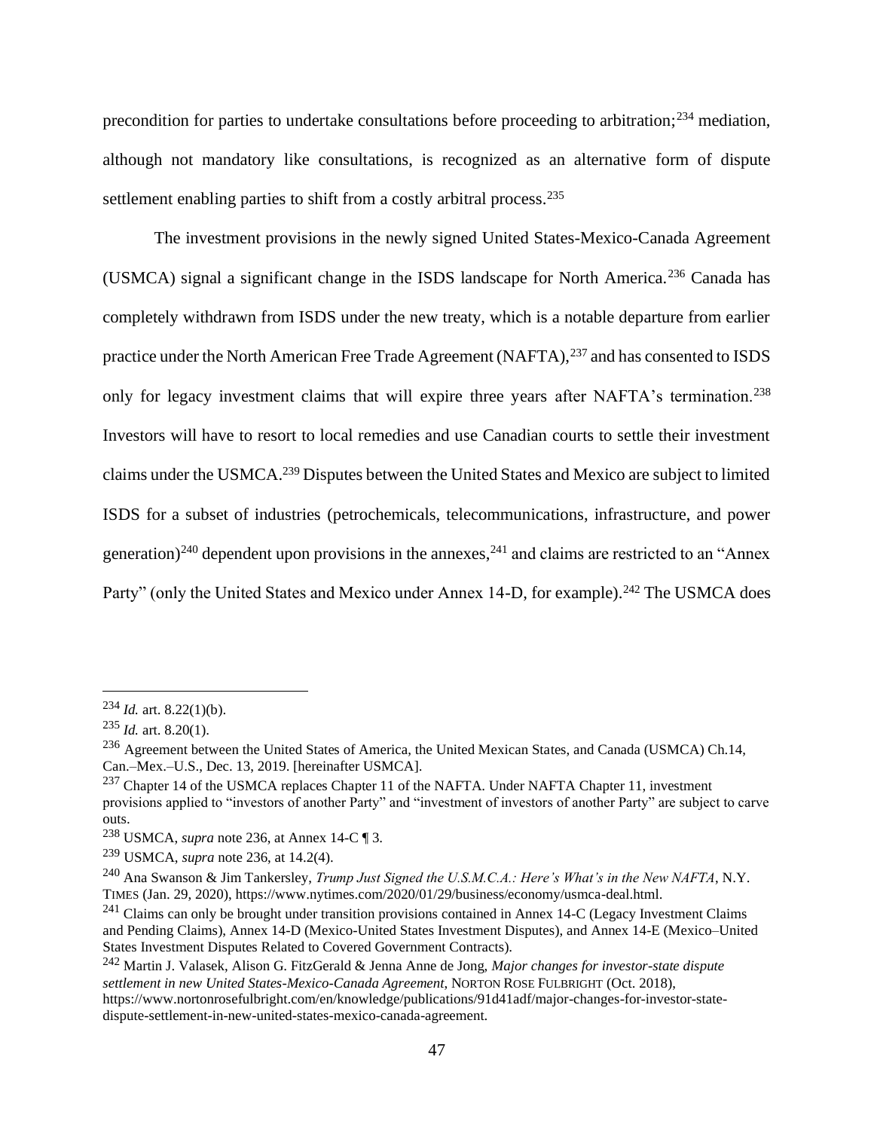precondition for parties to undertake consultations before proceeding to arbitration;<sup>234</sup> mediation, although not mandatory like consultations, is recognized as an alternative form of dispute settlement enabling parties to shift from a costly arbitral process.<sup>235</sup>

The investment provisions in the newly signed United States-Mexico-Canada Agreement (USMCA) signal a significant change in the ISDS landscape for North America.<sup>236</sup> Canada has completely withdrawn from ISDS under the new treaty, which is a notable departure from earlier practice under the North American Free Trade Agreement (NAFTA),<sup>237</sup> and has consented to ISDS only for legacy investment claims that will expire three years after NAFTA's termination.<sup>238</sup> Investors will have to resort to local remedies and use Canadian courts to settle their investment claims under the USMCA.<sup>239</sup> Disputes between the United States and Mexico are subject to limited ISDS for a subset of industries (petrochemicals, telecommunications, infrastructure, and power generation)<sup>240</sup> dependent upon provisions in the annexes,<sup>241</sup> and claims are restricted to an "Annex" Party" (only the United States and Mexico under Annex 14-D, for example).<sup>242</sup> The USMCA does

 $^{234}$  *Id.* art. 8.22(1)(b).

<sup>235</sup> *Id.* art. 8.20(1).

<sup>236</sup> Agreement between the United States of America, the United Mexican States, and Canada (USMCA) Ch.14, Can.–Mex.–U.S., Dec. 13, 2019. [hereinafter USMCA].

<sup>&</sup>lt;sup>237</sup> Chapter 14 of the USMCA replaces Chapter 11 of the NAFTA. Under NAFTA Chapter 11, investment provisions applied to "investors of another Party" and "investment of investors of another Party" are subject to carve outs.

<sup>238</sup> USMCA, *supra* note 236, at Annex 14-C ¶ 3.

<sup>239</sup> USMCA, *supra* note 236, at 14.2(4).

<sup>240</sup> Ana Swanson & Jim Tankersley, *Trump Just Signed the U.S.M.C.A.: Here's What's in the New NAFTA*, N.Y. TIMES (Jan. 29, 2020), https://www.nytimes.com/2020/01/29/business/economy/usmca-deal.html.

<sup>&</sup>lt;sup>241</sup> Claims can only be brought under transition provisions contained in Annex 14-C (Legacy Investment Claims and Pending Claims), Annex 14-D (Mexico-United States Investment Disputes), and Annex 14-E (Mexico–United States Investment Disputes Related to Covered Government Contracts).

<sup>242</sup> Martin J. Valasek, Alison G. FitzGerald & Jenna Anne de Jong, *Major changes for investor-state dispute settlement in new United States-Mexico-Canada Agreement*, NORTON ROSE FULBRIGHT (Oct. 2018), https://www.nortonrosefulbright.com/en/knowledge/publications/91d41adf/major-changes-for-investor-statedispute-settlement-in-new-united-states-mexico-canada-agreement.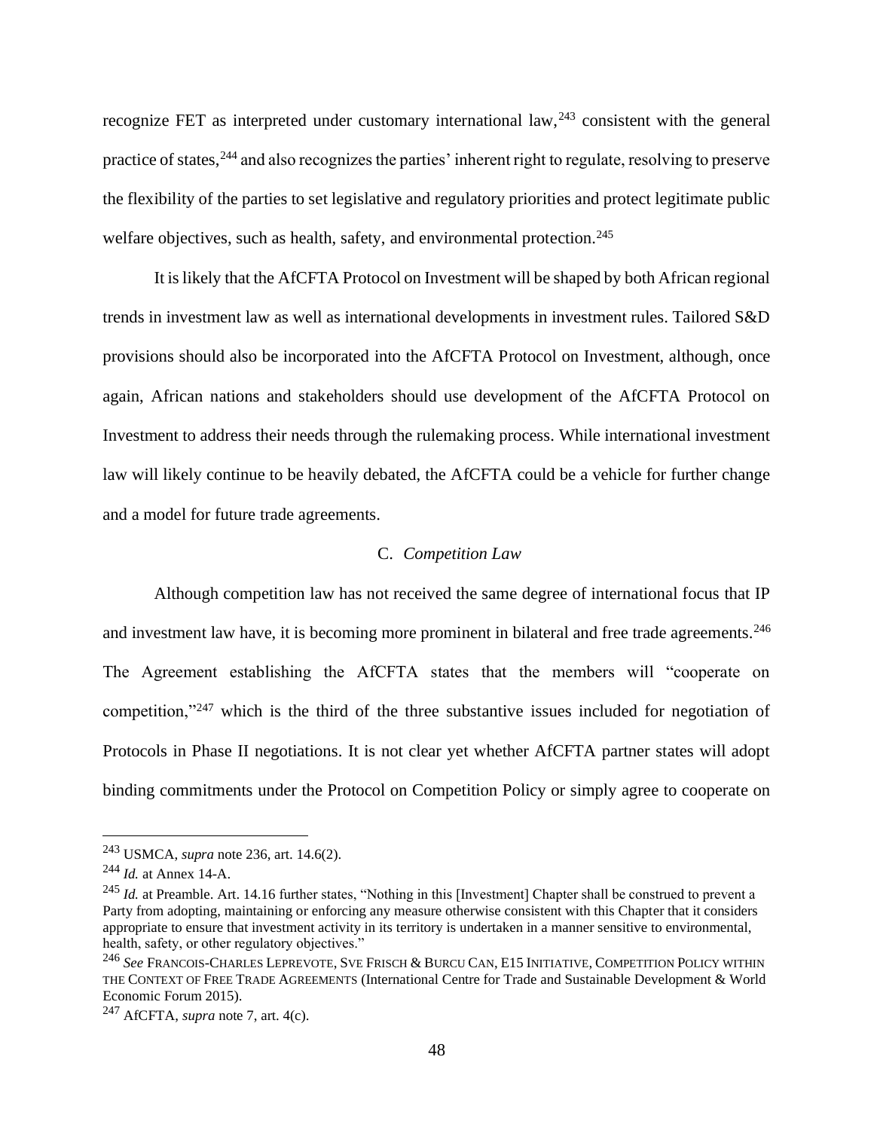recognize FET as interpreted under customary international  $law<sub>1</sub><sup>243</sup>$  consistent with the general practice of states,<sup>244</sup> and also recognizes the parties' inherent right to regulate, resolving to preserve the flexibility of the parties to set legislative and regulatory priorities and protect legitimate public welfare objectives, such as health, safety, and environmental protection.<sup>245</sup>

It is likely that the AfCFTA Protocol on Investment will be shaped by both African regional trends in investment law as well as international developments in investment rules. Tailored S&D provisions should also be incorporated into the AfCFTA Protocol on Investment, although, once again, African nations and stakeholders should use development of the AfCFTA Protocol on Investment to address their needs through the rulemaking process. While international investment law will likely continue to be heavily debated, the AfCFTA could be a vehicle for further change and a model for future trade agreements.

#### C. *Competition Law*

Although competition law has not received the same degree of international focus that IP and investment law have, it is becoming more prominent in bilateral and free trade agreements.<sup>246</sup> The Agreement establishing the AfCFTA states that the members will "cooperate on competition,"<sup>247</sup> which is the third of the three substantive issues included for negotiation of Protocols in Phase II negotiations. It is not clear yet whether AfCFTA partner states will adopt binding commitments under the Protocol on Competition Policy or simply agree to cooperate on

<sup>243</sup> USMCA, *supra* note 236, art. 14.6(2).

<sup>244</sup> *Id.* at Annex 14-A.

<sup>&</sup>lt;sup>245</sup> *Id.* at Preamble. Art. 14.16 further states, "Nothing in this [Investment] Chapter shall be construed to prevent a Party from adopting, maintaining or enforcing any measure otherwise consistent with this Chapter that it considers appropriate to ensure that investment activity in its territory is undertaken in a manner sensitive to environmental, health, safety, or other regulatory objectives."

<sup>246</sup> *See* FRANCOIS-CHARLES LEPREVOTE,SVE FRISCH & BURCU CAN, E15 INITIATIVE, COMPETITION POLICY WITHIN THE CONTEXT OF FREE TRADE AGREEMENTS (International Centre for Trade and Sustainable Development & World Economic Forum 2015).

<sup>247</sup> AfCFTA, *supra* note 7, art. 4(c).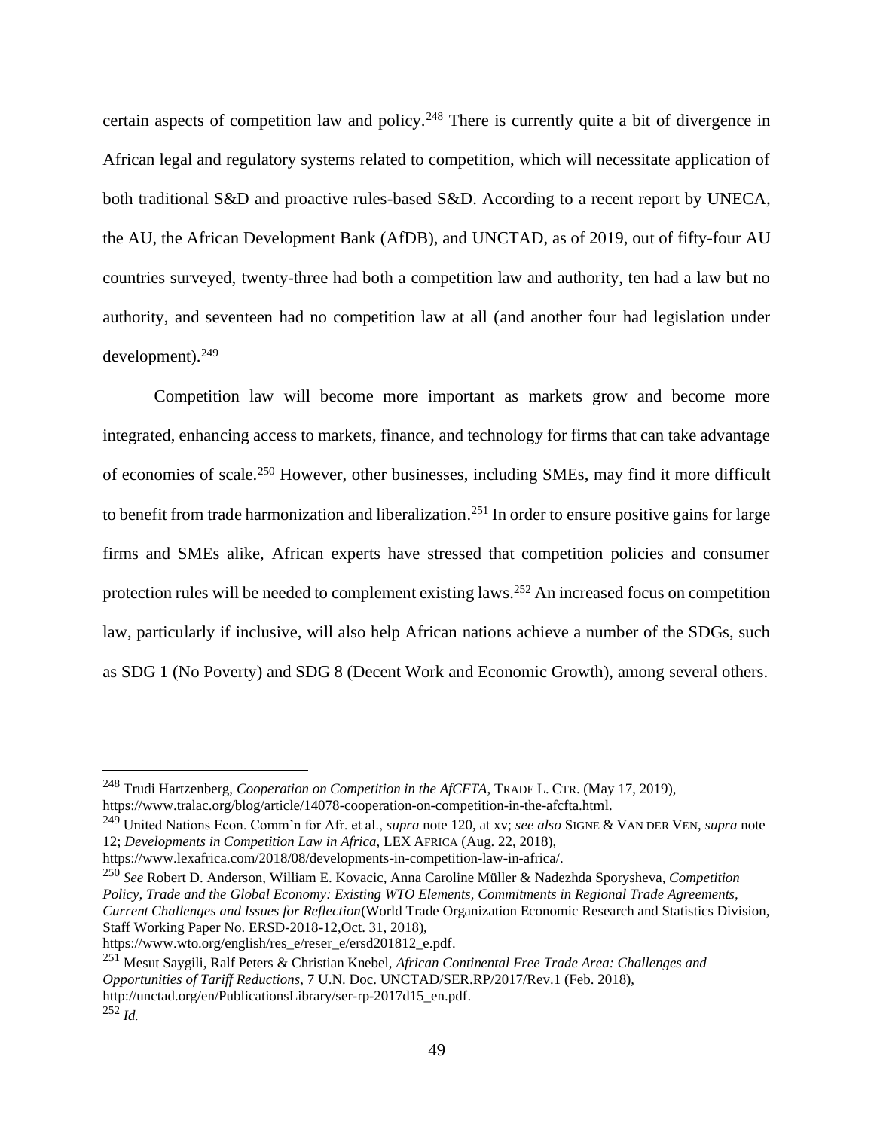certain aspects of competition law and policy.<sup>248</sup> There is currently quite a bit of divergence in African legal and regulatory systems related to competition, which will necessitate application of both traditional S&D and proactive rules-based S&D. According to a recent report by UNECA, the AU, the African Development Bank (AfDB), and UNCTAD, as of 2019, out of fifty-four AU countries surveyed, twenty-three had both a competition law and authority, ten had a law but no authority, and seventeen had no competition law at all (and another four had legislation under development). $249$ 

Competition law will become more important as markets grow and become more integrated, enhancing access to markets, finance, and technology for firms that can take advantage of economies of scale.<sup>250</sup> However, other businesses, including SMEs, may find it more difficult to benefit from trade harmonization and liberalization.<sup>251</sup> In order to ensure positive gains for large firms and SMEs alike, African experts have stressed that competition policies and consumer protection rules will be needed to complement existing laws.<sup>252</sup> An increased focus on competition law, particularly if inclusive, will also help African nations achieve a number of the SDGs, such as SDG 1 (No Poverty) and SDG 8 (Decent Work and Economic Growth), among several others.

<sup>250</sup> *See* Robert D. Anderson, William E. Kovacic, Anna Caroline Müller & Nadezhda Sporysheva, *Competition Policy, Trade and the Global Economy: Existing WTO Elements, Commitments in Regional Trade Agreements, Current Challenges and Issues for Reflection*(World Trade Organization Economic Research and Statistics Division, Staff Working Paper No. ERSD-2018-12,Oct. 31, 2018),

<sup>248</sup> Trudi Hartzenberg, *Cooperation on Competition in the AfCFTA*, TRADE L. CTR. (May 17, 2019), https://www.tralac.org/blog/article/14078-cooperation-on-competition-in-the-afcfta.html.

<sup>249</sup> United Nations Econ. Comm'n for Afr. et al., *supra* note 120, at xv; *see also* SIGNE & VAN DER VEN, *supra* note 12; *Developments in Competition Law in Africa*, LEX AFRICA (Aug. 22, 2018),

https://www.lexafrica.com/2018/08/developments-in-competition-law-in-africa/.

[https://www.wto.org/english/res\\_e/reser\\_e/ersd201812\\_e.pdf.](https://www.wto.org/english/res_e/reser_e/ersd201812_e.pdf)

<sup>251</sup> Mesut Saygili, Ralf Peters & Christian Knebel, *African Continental Free Trade Area: Challenges and Opportunities of Tariff Reductions*, 7 U.N. Doc. UNCTAD/SER.RP/2017/Rev.1 (Feb. 2018), [http://unctad.org/en/PublicationsLibrary/ser-rp-2017d15\\_en.pdf.](http://unctad.org/en/PublicationsLibrary/ser-rp-2017d15_en.pdf) <sup>252</sup> *Id.*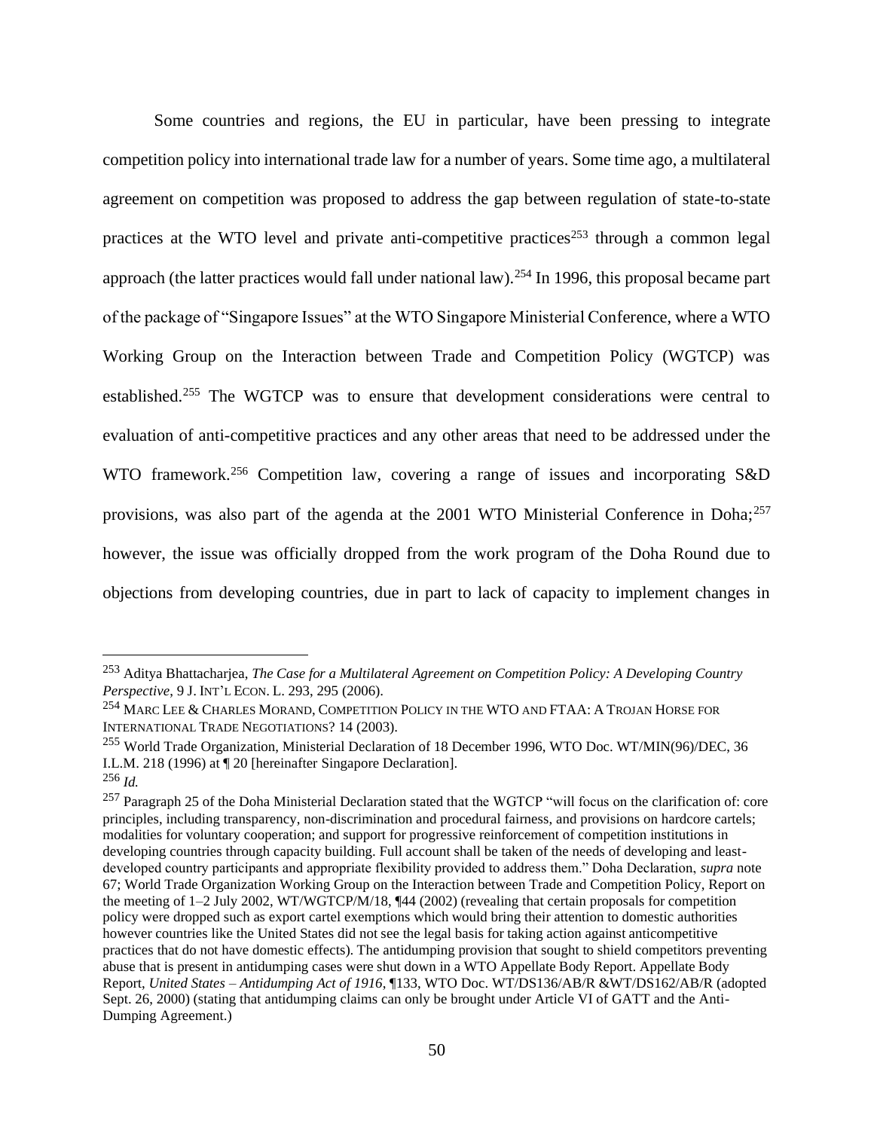Some countries and regions, the EU in particular, have been pressing to integrate competition policy into international trade law for a number of years. Some time ago, a multilateral agreement on competition was proposed to address the gap between regulation of state-to-state practices at the WTO level and private anti-competitive practices<sup>253</sup> through a common legal approach (the latter practices would fall under national law).<sup>254</sup> In 1996, this proposal became part of the package of "Singapore Issues" at the WTO Singapore Ministerial Conference, where a WTO Working Group on the Interaction between Trade and Competition Policy (WGTCP) was established.<sup>255</sup> The WGTCP was to ensure that development considerations were central to evaluation of anti-competitive practices and any other areas that need to be addressed under the WTO framework.<sup>256</sup> Competition law, covering a range of issues and incorporating S&D provisions, was also part of the agenda at the 2001 WTO Ministerial Conference in Doha; $^{257}$ however, the issue was officially dropped from the work program of the Doha Round due to objections from developing countries, due in part to lack of capacity to implement changes in

<sup>253</sup> Aditya Bhattacharjea, *The Case for a Multilateral Agreement on Competition Policy: A Developing Country Perspective*, 9 J. INT'L ECON. L. 293, 295 (2006).

<sup>254</sup> MARC LEE & CHARLES MORAND, COMPETITION POLICY IN THE WTO AND FTAA: A TROJAN HORSE FOR INTERNATIONAL TRADE NEGOTIATIONS? 14 (2003).

<sup>255</sup> World Trade Organization, Ministerial Declaration of 18 December 1996, WTO Doc. WT/MIN(96)/DEC, 36 I.L.M. 218 (1996) at ¶ 20 [hereinafter Singapore Declaration].

<sup>256</sup> *Id.*

<sup>&</sup>lt;sup>257</sup> Paragraph 25 of the Doha Ministerial Declaration stated that the WGTCP "will focus on the clarification of: core principles, including transparency, non-discrimination and procedural fairness, and provisions on hardcore cartels; modalities for voluntary cooperation; and support for progressive reinforcement of competition institutions in developing countries through capacity building. Full account shall be taken of the needs of developing and leastdeveloped country participants and appropriate flexibility provided to address them." Doha Declaration, *supra* note 67; World Trade Organization Working Group on the Interaction between Trade and Competition Policy, Report on the meeting of 1–2 July 2002, WT/WGTCP/M/18, ¶44 (2002) (revealing that certain proposals for competition policy were dropped such as export cartel exemptions which would bring their attention to domestic authorities however countries like the United States did not see the legal basis for taking action against anticompetitive practices that do not have domestic effects). The antidumping provision that sought to shield competitors preventing abuse that is present in antidumping cases were shut down in a WTO Appellate Body Report. Appellate Body Report, *United States – Antidumping Act of 1916*, ¶133, WTO Doc. WT/DS136/AB/R &WT/DS162/AB/R (adopted Sept. 26, 2000) (stating that antidumping claims can only be brought under Article VI of GATT and the Anti-Dumping Agreement.)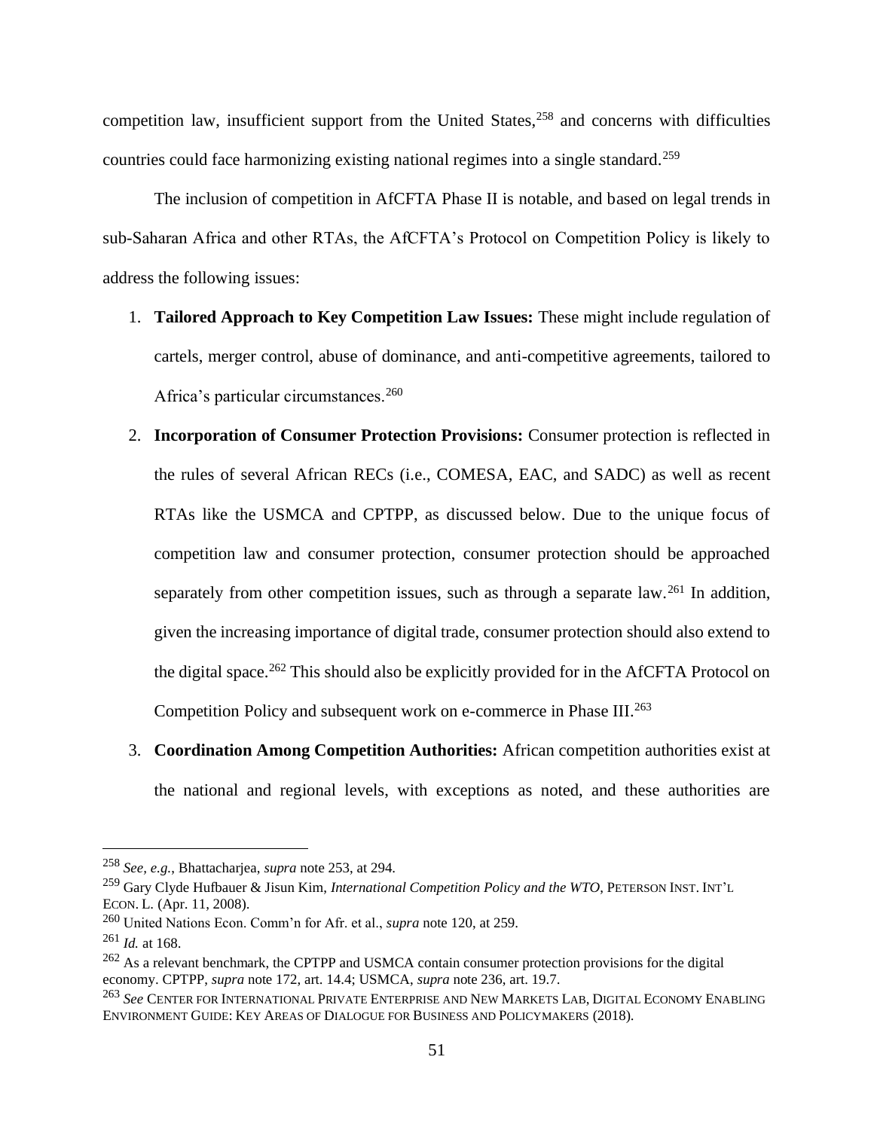competition law, insufficient support from the United States,<sup>258</sup> and concerns with difficulties countries could face harmonizing existing national regimes into a single standard.<sup>259</sup>

The inclusion of competition in AfCFTA Phase II is notable, and based on legal trends in sub-Saharan Africa and other RTAs, the AfCFTA's Protocol on Competition Policy is likely to address the following issues:

- 1. **Tailored Approach to Key Competition Law Issues:** These might include regulation of cartels, merger control, abuse of dominance, and anti-competitive agreements, tailored to Africa's particular circumstances.<sup>260</sup>
- 2. **Incorporation of Consumer Protection Provisions:** Consumer protection is reflected in the rules of several African RECs (i.e., COMESA, EAC, and SADC) as well as recent RTAs like the USMCA and CPTPP, as discussed below. Due to the unique focus of competition law and consumer protection, consumer protection should be approached separately from other competition issues, such as through a separate law.<sup>261</sup> In addition, given the increasing importance of digital trade, consumer protection should also extend to the digital space.<sup>262</sup> This should also be explicitly provided for in the AfCFTA Protocol on Competition Policy and subsequent work on e-commerce in Phase III.<sup>263</sup>
- 3. **Coordination Among Competition Authorities:** African competition authorities exist at the national and regional levels, with exceptions as noted, and these authorities are

<sup>258</sup> *See, e.g.*, Bhattacharjea, *supra* note 253, at 294.

<sup>259</sup> Gary Clyde Hufbauer & Jisun Kim, *International Competition Policy and the WTO*, PETERSON INST. INT'<sup>L</sup> ECON. L. (Apr. 11, 2008).

<sup>260</sup> United Nations Econ. Comm'n for Afr. et al., *supra* note 120, at 259.

<sup>261</sup> *Id.* at 168.

<sup>&</sup>lt;sup>262</sup> As a relevant benchmark, the CPTPP and USMCA contain consumer protection provisions for the digital economy. CPTPP, *supra* note 172, art. 14.4; USMCA, *supra* note 236, art. 19.7.

<sup>263</sup> *See* CENTER FOR INTERNATIONAL PRIVATE ENTERPRISE AND NEW MARKETS LAB, DIGITAL ECONOMY ENABLING ENVIRONMENT GUIDE: KEY AREAS OF DIALOGUE FOR BUSINESS AND POLICYMAKERS (2018).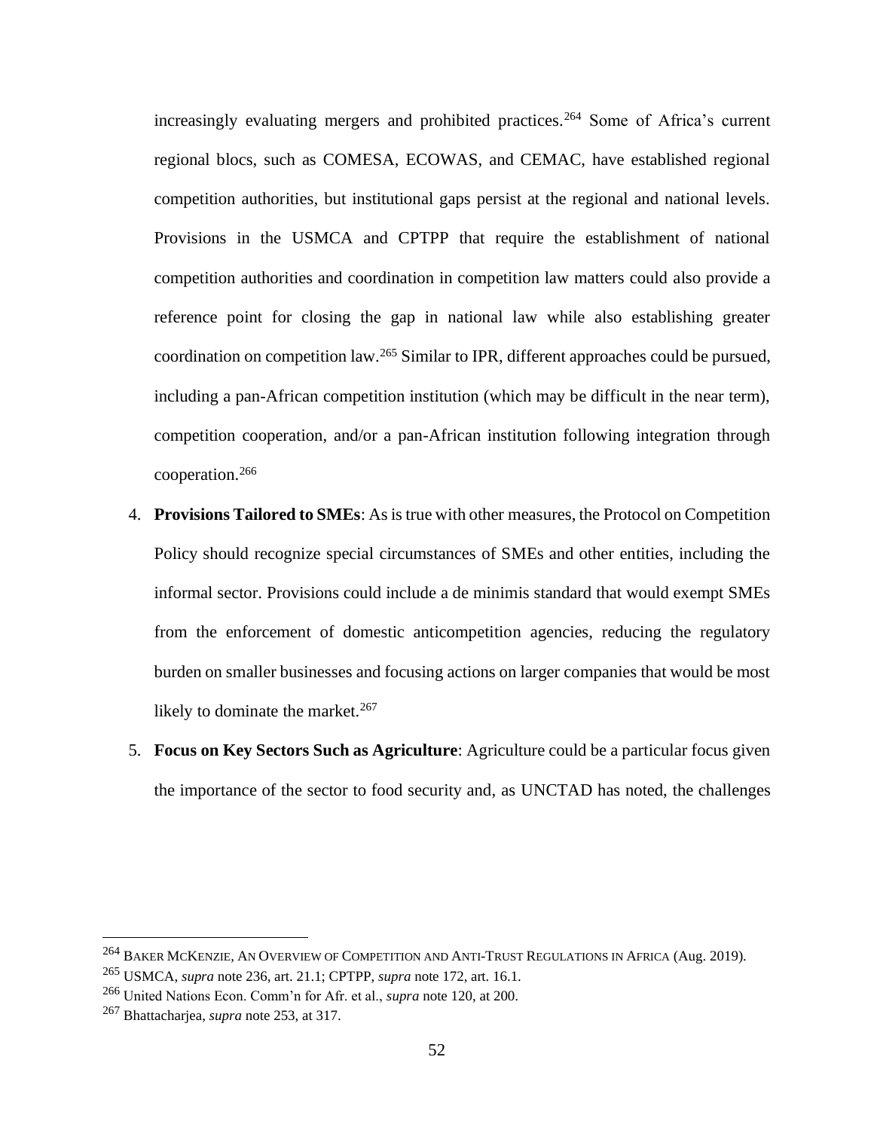increasingly evaluating mergers and prohibited practices.<sup>264</sup> Some of Africa's current regional blocs, such as COMESA, ECOWAS, and CEMAC, have established regional competition authorities, but institutional gaps persist at the regional and national levels. Provisions in the USMCA and CPTPP that require the establishment of national competition authorities and coordination in competition law matters could also provide a reference point for closing the gap in national law while also establishing greater coordination on competition law.<sup>265</sup> Similar to IPR, different approaches could be pursued, including a pan-African competition institution (which may be difficult in the near term), competition cooperation, and/or a pan-African institution following integration through cooperation.<sup>266</sup>

- 4. **Provisions Tailored to SMEs**: As is true with other measures, the Protocol on Competition Policy should recognize special circumstances of SMEs and other entities, including the informal sector. Provisions could include a de minimis standard that would exempt SMEs from the enforcement of domestic anticompetition agencies, reducing the regulatory burden on smaller businesses and focusing actions on larger companies that would be most likely to dominate the market. $267$
- 5. **Focus on Key Sectors Such as Agriculture**: Agriculture could be a particular focus given the importance of the sector to food security and, as UNCTAD has noted, the challenges

<sup>&</sup>lt;sup>264</sup> BAKER MCKENZIE, AN OVERVIEW OF COMPETITION AND ANTI-TRUST REGULATIONS IN AFRICA (Aug. 2019).

<sup>265</sup> USMCA, *supra* note 236, art. 21.1; CPTPP, *supra* note 172, art. 16.1.

<sup>266</sup> United Nations Econ. Comm'n for Afr. et al., *supra* note 120, at 200.

<sup>267</sup> Bhattacharjea, *supra* note 253, at 317.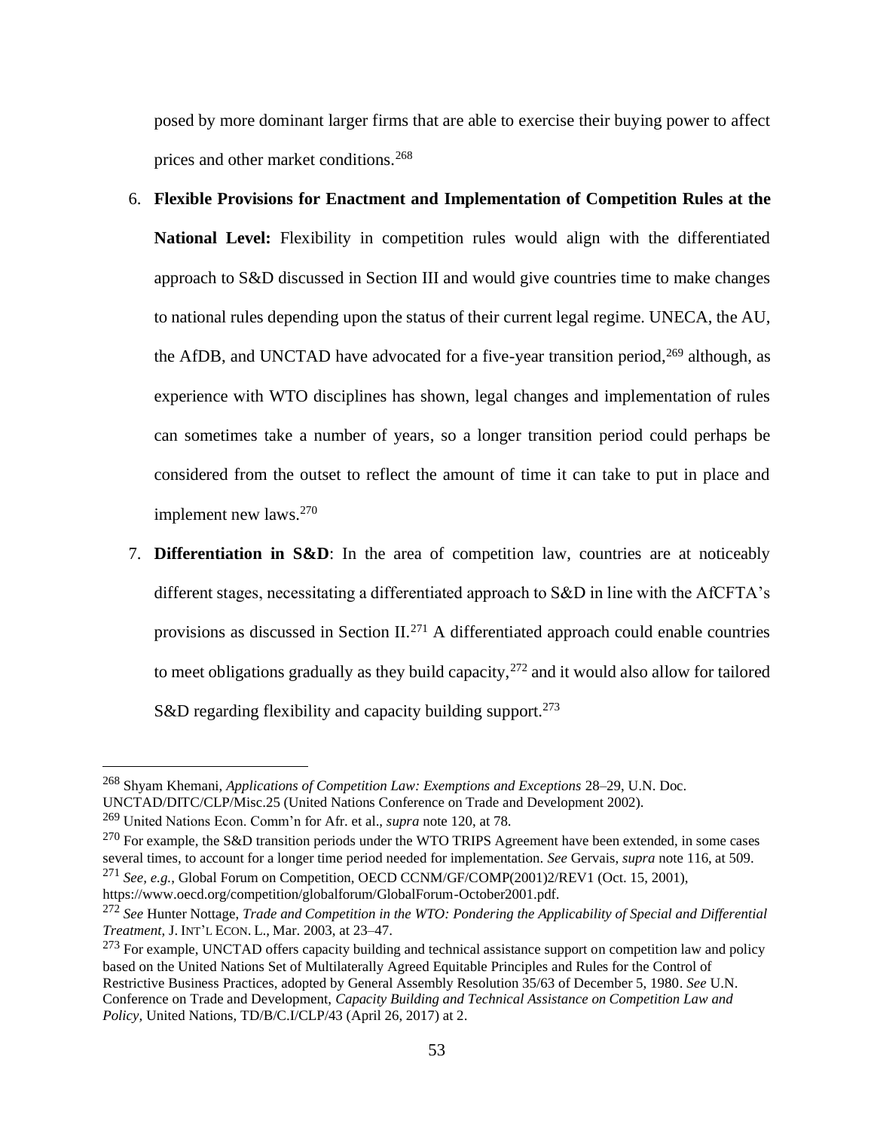posed by more dominant larger firms that are able to exercise their buying power to affect prices and other market conditions.<sup>268</sup>

- 6. **Flexible Provisions for Enactment and Implementation of Competition Rules at the National Level:** Flexibility in competition rules would align with the differentiated approach to S&D discussed in Section III and would give countries time to make changes to national rules depending upon the status of their current legal regime. UNECA, the AU, the AfDB, and UNCTAD have advocated for a five-year transition period,  $269$  although, as experience with WTO disciplines has shown, legal changes and implementation of rules can sometimes take a number of years, so a longer transition period could perhaps be considered from the outset to reflect the amount of time it can take to put in place and implement new laws.<sup>270</sup>
- 7. **Differentiation in S&D**: In the area of competition law, countries are at noticeably different stages, necessitating a differentiated approach to S&D in line with the AfCFTA's provisions as discussed in Section II.<sup>271</sup> A differentiated approach could enable countries to meet obligations gradually as they build capacity, $272$  and it would also allow for tailored S&D regarding flexibility and capacity building support.<sup>273</sup>

[https://www.oecd.org/competition/globalforum/GlobalForum-October2001.pdf.](https://www.oecd.org/competition/globalforum/GlobalForum-October2001.pdf)

<sup>268</sup> Shyam Khemani, *Applications of Competition Law: Exemptions and Exceptions* 28–29, U.N. Doc. UNCTAD/DITC/CLP/Misc.25 (United Nations Conference on Trade and Development 2002).

<sup>269</sup> United Nations Econ. Comm'n for Afr. et al., *supra* note 120, at 78.

 $^{270}$  For example, the S&D transition periods under the WTO TRIPS Agreement have been extended, in some cases several times, to account for a longer time period needed for implementation. *See* Gervais, *supra* note 116, at 509. <sup>271</sup> *See, e.g.*, Global Forum on Competition, OECD CCNM/GF/COMP(2001)2/REV1 (Oct. 15, 2001),

<sup>272</sup> *See* Hunter Nottage, *Trade and Competition in the WTO: Pondering the Applicability of Special and Differential Treatment*, J. INT'L ECON. L., Mar. 2003, at 23–47.

 $273$  For example, UNCTAD offers capacity building and technical assistance support on competition law and policy based on the United Nations Set of Multilaterally Agreed Equitable Principles and Rules for the Control of Restrictive Business Practices, adopted by General Assembly Resolution 35/63 of December 5, 1980. *See* U.N. Conference on Trade and Development, *Capacity Building and Technical Assistance on Competition Law and Policy,* United Nations, TD/B/C.I/CLP/43 (April 26, 2017) at 2.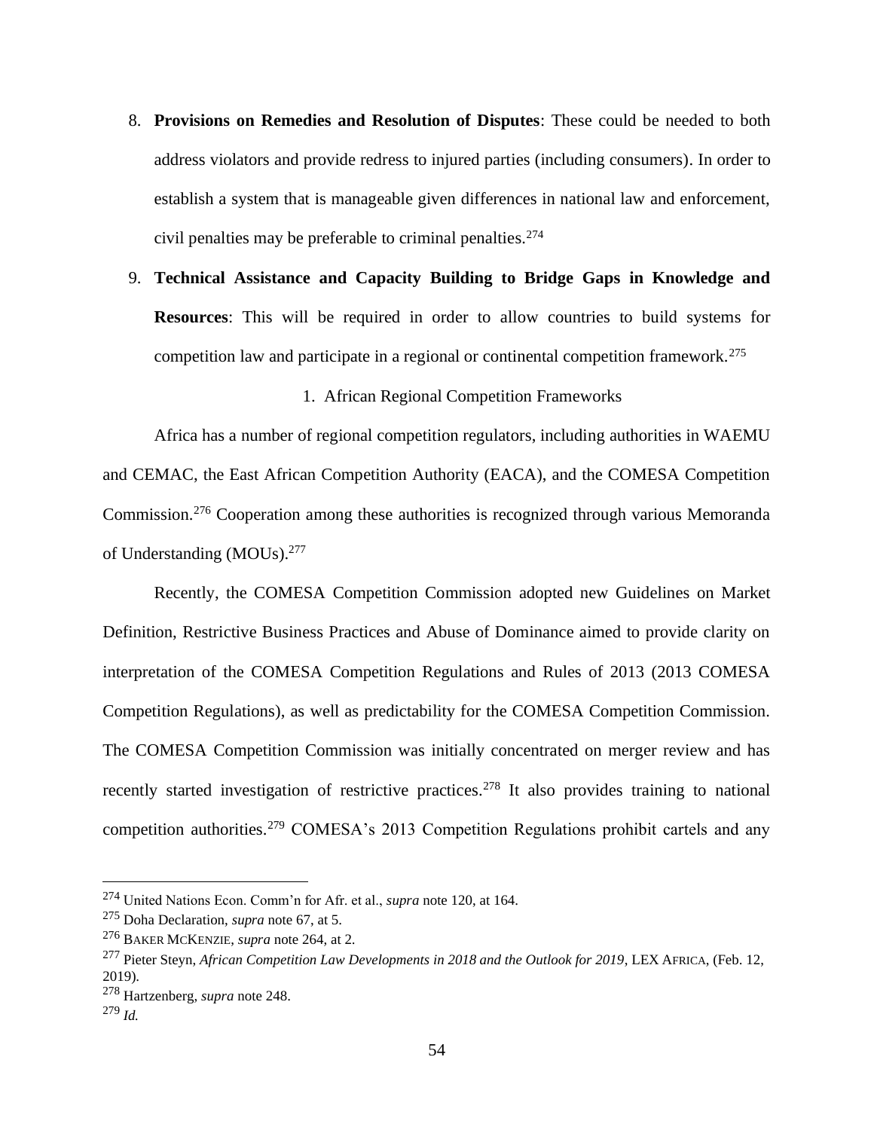- 8. **Provisions on Remedies and Resolution of Disputes**: These could be needed to both address violators and provide redress to injured parties (including consumers). In order to establish a system that is manageable given differences in national law and enforcement, civil penalties may be preferable to criminal penalties.<sup>274</sup>
- 9. **Technical Assistance and Capacity Building to Bridge Gaps in Knowledge and Resources**: This will be required in order to allow countries to build systems for competition law and participate in a regional or continental competition framework.<sup>275</sup>

1. African Regional Competition Frameworks

Africa has a number of regional competition regulators, including authorities in WAEMU and CEMAC, the East African Competition Authority (EACA), and the COMESA Competition Commission.<sup>276</sup> Cooperation among these authorities is recognized through various Memoranda of Understanding (MOUs).<sup>277</sup>

Recently, the COMESA Competition Commission adopted new Guidelines on Market Definition, Restrictive Business Practices and Abuse of Dominance aimed to provide clarity on interpretation of the COMESA Competition Regulations and Rules of 2013 (2013 COMESA Competition Regulations), as well as predictability for the COMESA Competition Commission. The COMESA Competition Commission was initially concentrated on merger review and has recently started investigation of restrictive practices.<sup>278</sup> It also provides training to national competition authorities.<sup>279</sup> COMESA's 2013 Competition Regulations prohibit cartels and any

<sup>274</sup> United Nations Econ. Comm'n for Afr. et al., *supra* note 120, at 164.

<sup>275</sup> Doha Declaration, *supra* note 67, at 5.

<sup>276</sup> BAKER MCKENZIE, *supra* note 264, at 2.

<sup>277</sup> Pieter Steyn, *African Competition Law Developments in 2018 and the Outlook for 2019*, LEX AFRICA, (Feb. 12, 2019).

<sup>278</sup> Hartzenberg, *supra* note 248.

<sup>279</sup> *Id.*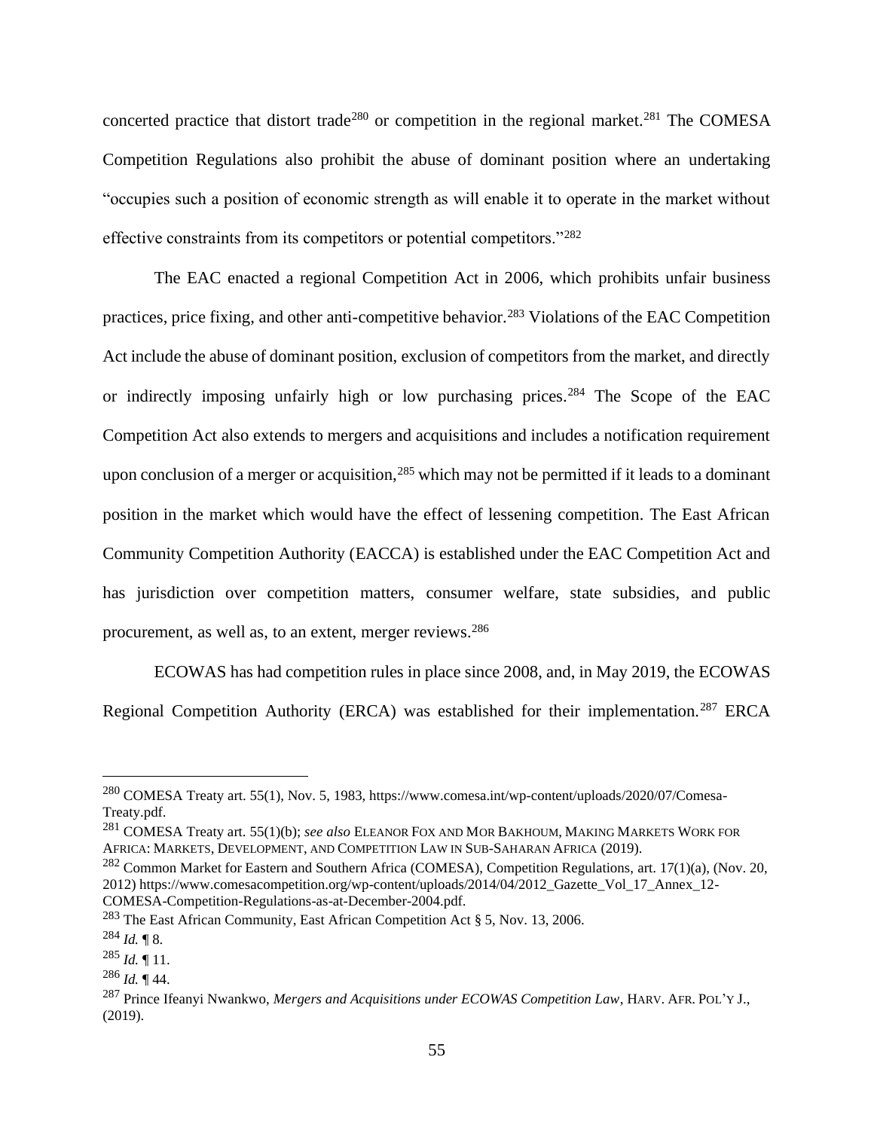concerted practice that distort trade<sup>280</sup> or competition in the regional market.<sup>281</sup> The COMESA Competition Regulations also prohibit the abuse of dominant position where an undertaking "occupies such a position of economic strength as will enable it to operate in the market without effective constraints from its competitors or potential competitors."<sup>282</sup>

The EAC enacted a regional Competition Act in 2006, which prohibits unfair business practices, price fixing, and other anti-competitive behavior.<sup>283</sup> Violations of the EAC Competition Act include the abuse of dominant position, exclusion of competitors from the market, and directly or indirectly imposing unfairly high or low purchasing prices.<sup>284</sup> The Scope of the EAC Competition Act also extends to mergers and acquisitions and includes a notification requirement upon conclusion of a merger or acquisition,<sup>285</sup> which may not be permitted if it leads to a dominant position in the market which would have the effect of lessening competition. The East African Community Competition Authority (EACCA) is established under the EAC Competition Act and has jurisdiction over competition matters, consumer welfare, state subsidies, and public procurement, as well as, to an extent, merger reviews.<sup>286</sup>

ECOWAS has had competition rules in place since 2008, and, in May 2019, the ECOWAS Regional Competition Authority (ERCA) was established for their implementation.<sup>287</sup> ERCA

<sup>280</sup> COMESA Treaty art. 55(1), Nov. 5, 1983, https://www.comesa.int/wp-content/uploads/2020/07/Comesa-Treaty.pdf.

<sup>281</sup> COMESA Treaty art. 55(1)(b); *see also* ELEANOR FOX AND MOR BAKHOUM, MAKING MARKETS WORK FOR AFRICA: MARKETS, DEVELOPMENT, AND COMPETITION LAW IN SUB-SAHARAN AFRICA (2019).

<sup>282</sup> Common Market for Eastern and Southern Africa (COMESA), Competition Regulations, art. 17(1)(a), (Nov. 20, 2012) https://www.comesacompetition.org/wp-content/uploads/2014/04/2012\_Gazette\_Vol\_17\_Annex\_12- COMESA-Competition-Regulations-as-at-December-2004.pdf.

<sup>283</sup> The East African Community, East African Competition Act § 5, Nov. 13, 2006.

 $^{284}$  *Id.* ¶ 8.

 $^{285}$  *Id.* ¶ 11.

<sup>286</sup> *Id.* ¶ 44.

<sup>287</sup> Prince Ifeanyi Nwankwo, *Mergers and Acquisitions under ECOWAS Competition Law*, HARV. AFR.POL'Y J., (2019).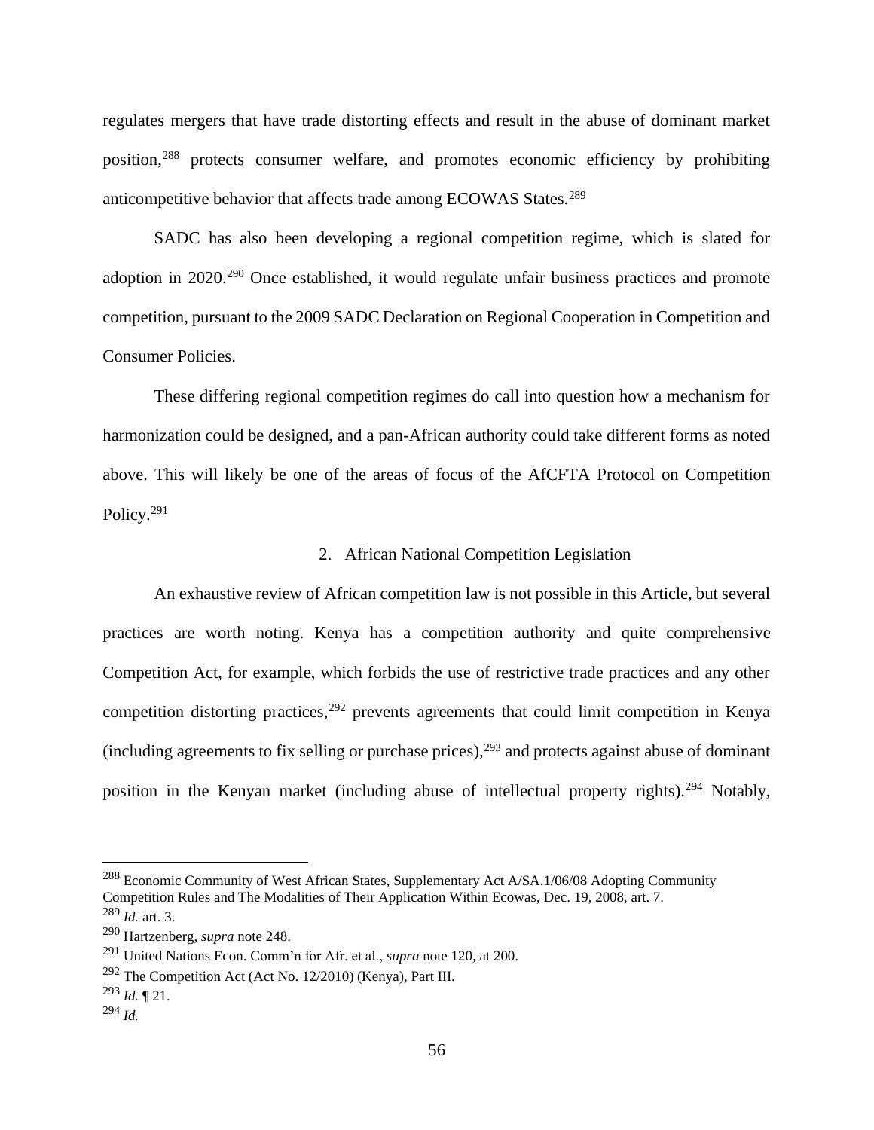regulates mergers that have trade distorting effects and result in the abuse of dominant market position,<sup>288</sup> protects consumer welfare, and promotes economic efficiency by prohibiting anticompetitive behavior that affects trade among ECOWAS States.<sup>289</sup>

SADC has also been developing a regional competition regime, which is slated for adoption in 2020.<sup>290</sup> Once established, it would regulate unfair business practices and promote competition, pursuant to the 2009 SADC Declaration on Regional Cooperation in Competition and Consumer Policies.

These differing regional competition regimes do call into question how a mechanism for harmonization could be designed, and a pan-African authority could take different forms as noted above. This will likely be one of the areas of focus of the AfCFTA Protocol on Competition Policy.<sup>291</sup>

#### 2. African National Competition Legislation

An exhaustive review of African competition law is not possible in this Article, but several practices are worth noting. Kenya has a competition authority and quite comprehensive Competition Act, for example, which forbids the use of restrictive trade practices and any other competition distorting practices,  $292$  prevents agreements that could limit competition in Kenya (including agreements to fix selling or purchase prices),  $293$  and protects against abuse of dominant position in the Kenyan market (including abuse of intellectual property rights).<sup>294</sup> Notably,

<sup>&</sup>lt;sup>288</sup> Economic Community of West African States, Supplementary Act A/SA.1/06/08 Adopting Community Competition Rules and The Modalities of Their Application Within Ecowas, Dec. 19, 2008, art. 7. <sup>289</sup> *Id.* art. 3.

<sup>290</sup> Hartzenberg, *supra* note 248.

<sup>291</sup> United Nations Econ. Comm'n for Afr. et al., *supra* note 120, at 200.

<sup>292</sup> The Competition Act (Act No. 12/2010) (Kenya), Part III.

<sup>293</sup> *Id.* ¶ 21.

<sup>294</sup> *Id.*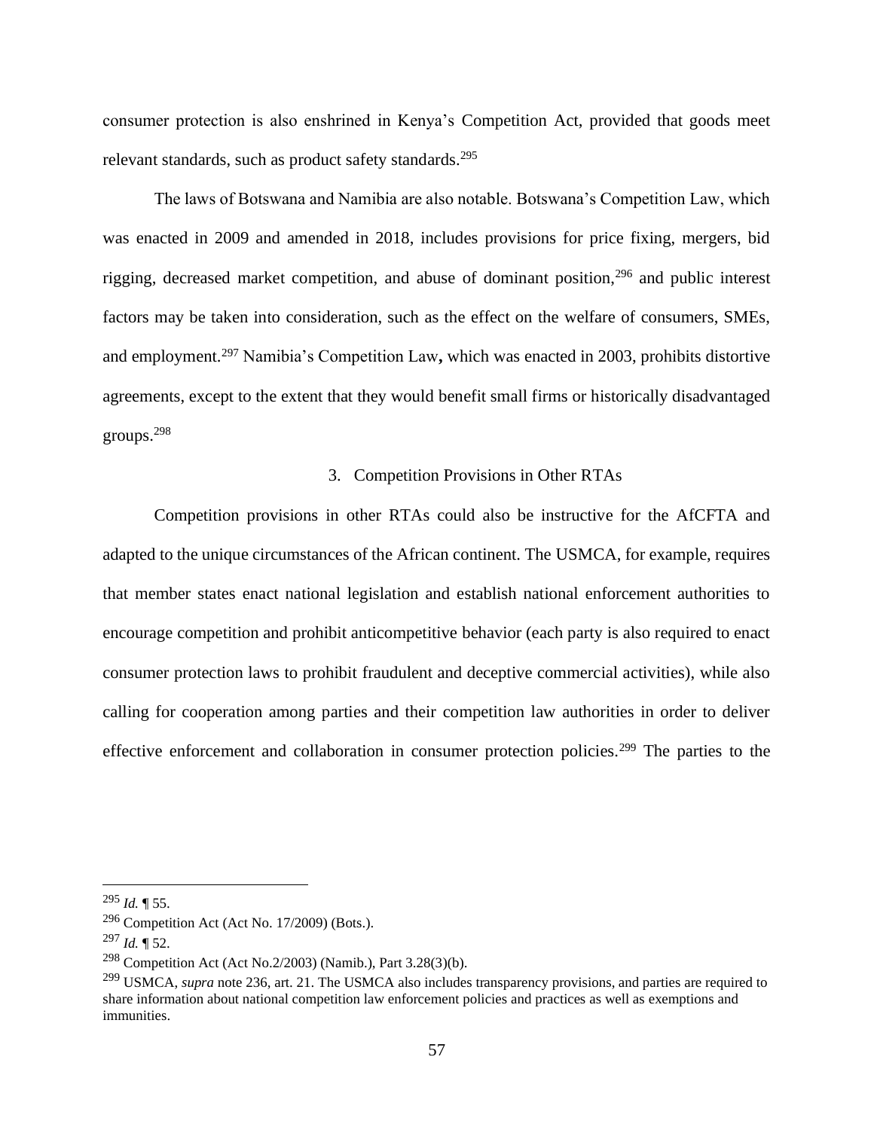consumer protection is also enshrined in Kenya's Competition Act, provided that goods meet relevant standards, such as product safety standards.<sup>295</sup>

The laws of Botswana and Namibia are also notable. Botswana's Competition Law, which was enacted in 2009 and amended in 2018, includes provisions for price fixing, mergers, bid rigging, decreased market competition, and abuse of dominant position,<sup>296</sup> and public interest factors may be taken into consideration, such as the effect on the welfare of consumers, SMEs, and employment.<sup>297</sup> Namibia's Competition Law**,** which was enacted in 2003, prohibits distortive agreements, except to the extent that they would benefit small firms or historically disadvantaged groups.<sup>298</sup>

#### 3. Competition Provisions in Other RTAs

Competition provisions in other RTAs could also be instructive for the AfCFTA and adapted to the unique circumstances of the African continent. The USMCA, for example, requires that member states enact national legislation and establish national enforcement authorities to encourage competition and prohibit anticompetitive behavior (each party is also required to enact consumer protection laws to prohibit fraudulent and deceptive commercial activities), while also calling for cooperation among parties and their competition law authorities in order to deliver effective enforcement and collaboration in consumer protection policies.<sup>299</sup> The parties to the

<sup>295</sup> *Id.* ¶ 55.

 $296$  Competition Act (Act No. 17/2009) (Bots.).

<sup>297</sup> *Id.* ¶ 52.

<sup>298</sup> Competition Act (Act No.2/2003) (Namib.), Part 3.28(3)(b).

<sup>299</sup> USMCA, *supra* note 236, art. 21. The USMCA also includes transparency provisions, and parties are required to share information about national competition law enforcement policies and practices as well as exemptions and immunities.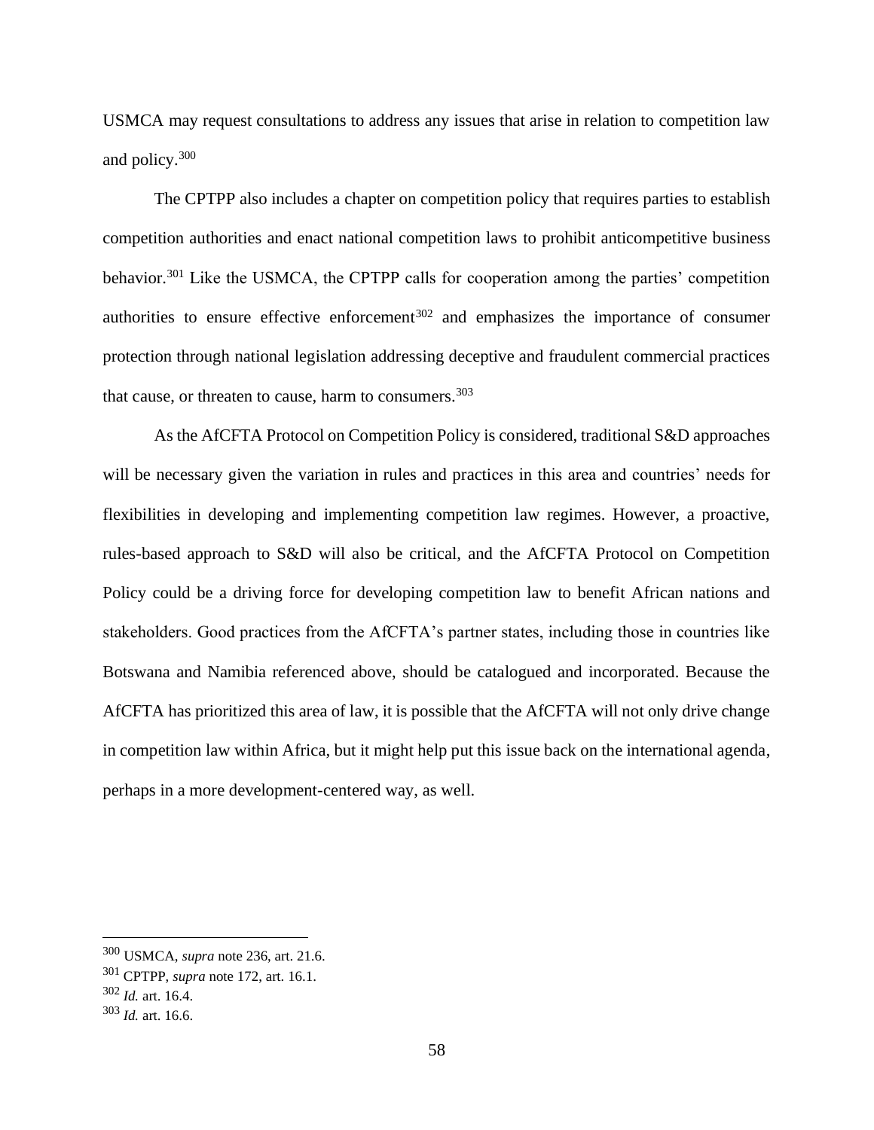USMCA may request consultations to address any issues that arise in relation to competition law and policy.<sup>300</sup>

The CPTPP also includes a chapter on competition policy that requires parties to establish competition authorities and enact national competition laws to prohibit anticompetitive business behavior.<sup>301</sup> Like the USMCA, the CPTPP calls for cooperation among the parties' competition authorities to ensure effective enforcement<sup>302</sup> and emphasizes the importance of consumer protection through national legislation addressing deceptive and fraudulent commercial practices that cause, or threaten to cause, harm to consumers. $303$ 

As the AfCFTA Protocol on Competition Policy is considered, traditional S&D approaches will be necessary given the variation in rules and practices in this area and countries' needs for flexibilities in developing and implementing competition law regimes. However, a proactive, rules-based approach to S&D will also be critical, and the AfCFTA Protocol on Competition Policy could be a driving force for developing competition law to benefit African nations and stakeholders. Good practices from the AfCFTA's partner states, including those in countries like Botswana and Namibia referenced above, should be catalogued and incorporated. Because the AfCFTA has prioritized this area of law, it is possible that the AfCFTA will not only drive change in competition law within Africa, but it might help put this issue back on the international agenda, perhaps in a more development-centered way, as well.

<sup>300</sup> USMCA, *supra* note 236, art. 21.6.

<sup>301</sup> CPTPP, *supra* note 172, art. 16.1.

<sup>302</sup> *Id.* art. 16.4.

<sup>303</sup> *Id.* art. 16.6.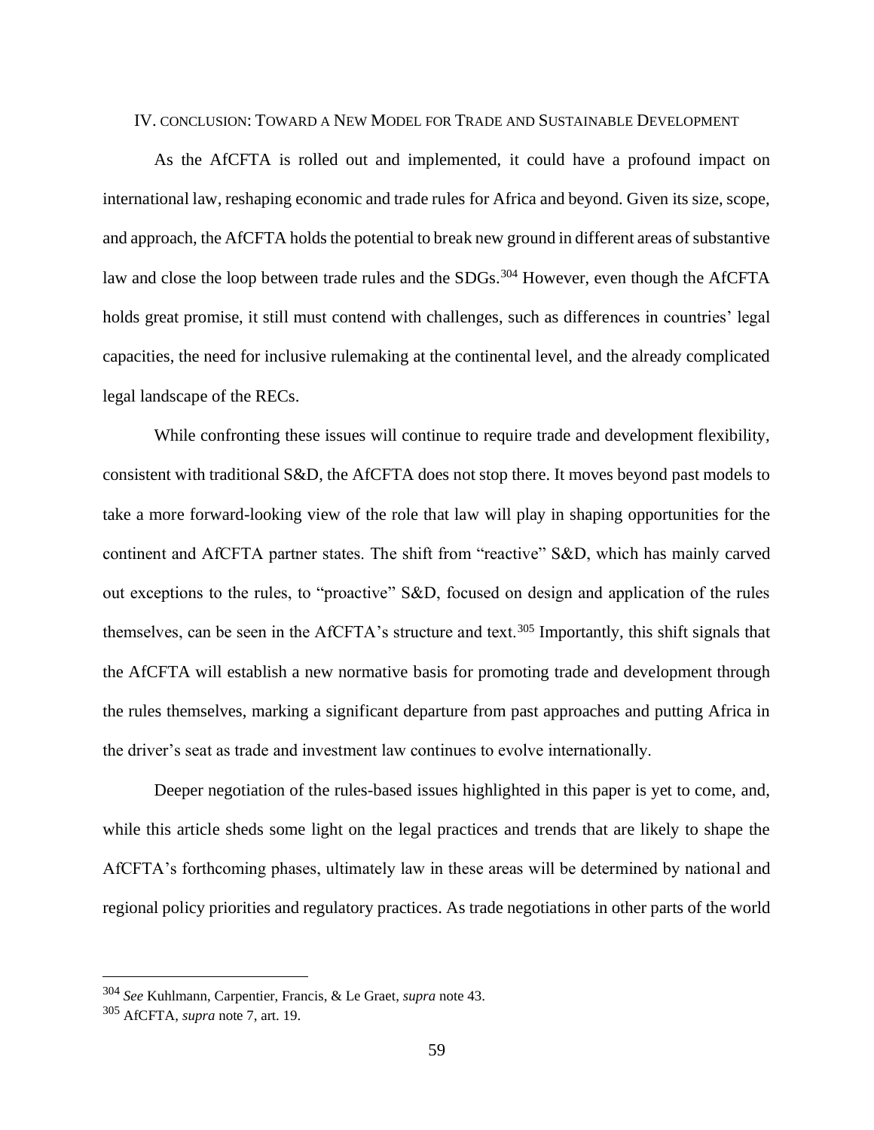#### IV. CONCLUSION: TOWARD A NEW MODEL FOR TRADE AND SUSTAINABLE DEVELOPMENT

As the AfCFTA is rolled out and implemented, it could have a profound impact on international law, reshaping economic and trade rules for Africa and beyond. Given its size, scope, and approach, the AfCFTA holds the potential to break new ground in different areas of substantive law and close the loop between trade rules and the SDGs.<sup>304</sup> However, even though the AfCFTA holds great promise, it still must contend with challenges, such as differences in countries' legal capacities, the need for inclusive rulemaking at the continental level, and the already complicated legal landscape of the RECs.

While confronting these issues will continue to require trade and development flexibility, consistent with traditional S&D, the AfCFTA does not stop there. It moves beyond past models to take a more forward-looking view of the role that law will play in shaping opportunities for the continent and AfCFTA partner states. The shift from "reactive" S&D, which has mainly carved out exceptions to the rules, to "proactive" S&D, focused on design and application of the rules themselves, can be seen in the AfCFTA's structure and text.<sup>305</sup> Importantly, this shift signals that the AfCFTA will establish a new normative basis for promoting trade and development through the rules themselves, marking a significant departure from past approaches and putting Africa in the driver's seat as trade and investment law continues to evolve internationally.

Deeper negotiation of the rules-based issues highlighted in this paper is yet to come, and, while this article sheds some light on the legal practices and trends that are likely to shape the AfCFTA's forthcoming phases, ultimately law in these areas will be determined by national and regional policy priorities and regulatory practices. As trade negotiations in other parts of the world

<sup>304</sup> *See* Kuhlmann, Carpentier, Francis, & Le Graet, *supra* note 43.

<sup>305</sup> AfCFTA, *supra* note 7, art. 19.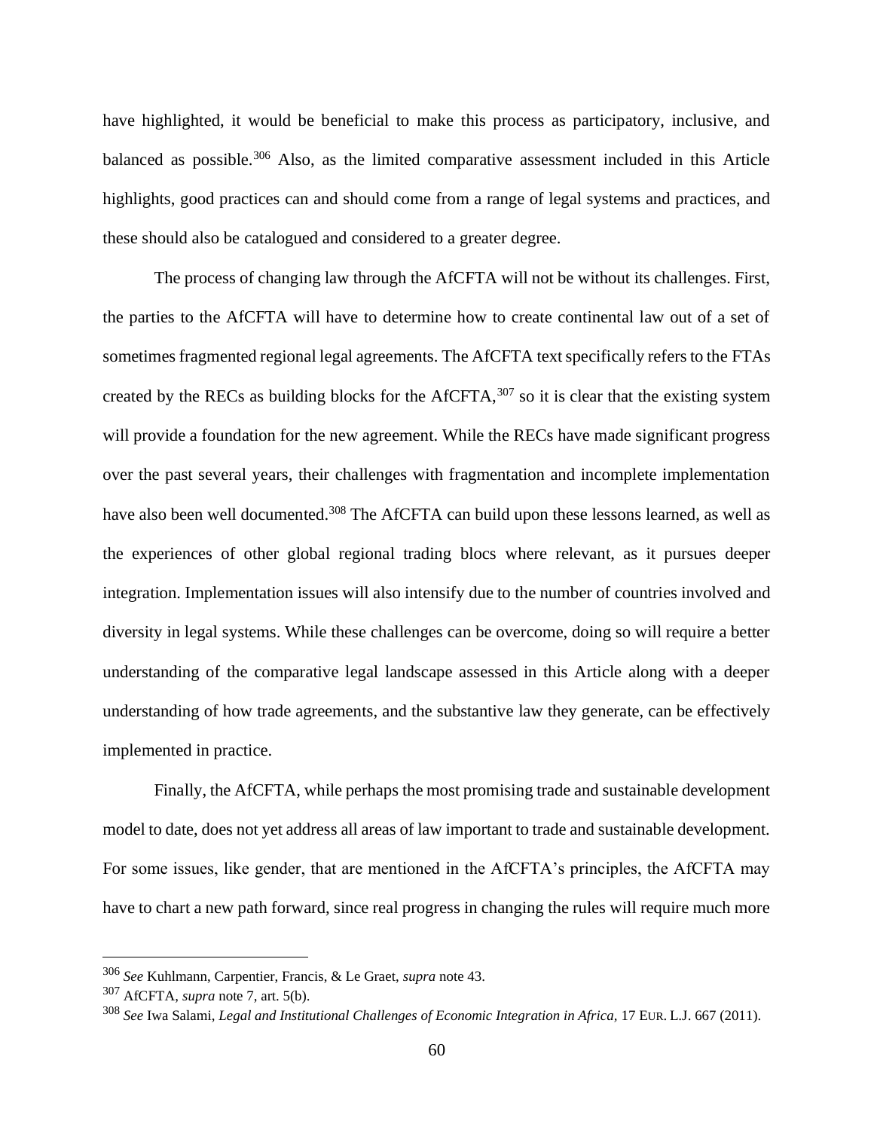have highlighted, it would be beneficial to make this process as participatory, inclusive, and balanced as possible.<sup>306</sup> Also, as the limited comparative assessment included in this Article highlights, good practices can and should come from a range of legal systems and practices, and these should also be catalogued and considered to a greater degree.

The process of changing law through the AfCFTA will not be without its challenges. First, the parties to the AfCFTA will have to determine how to create continental law out of a set of sometimes fragmented regional legal agreements. The AfCFTA text specifically refers to the FTAs created by the RECs as building blocks for the AfCFTA,  $307$  so it is clear that the existing system will provide a foundation for the new agreement. While the RECs have made significant progress over the past several years, their challenges with fragmentation and incomplete implementation have also been well documented.<sup>308</sup> The AfCFTA can build upon these lessons learned, as well as the experiences of other global regional trading blocs where relevant, as it pursues deeper integration. Implementation issues will also intensify due to the number of countries involved and diversity in legal systems. While these challenges can be overcome, doing so will require a better understanding of the comparative legal landscape assessed in this Article along with a deeper understanding of how trade agreements, and the substantive law they generate, can be effectively implemented in practice.

Finally, the AfCFTA, while perhaps the most promising trade and sustainable development model to date, does not yet address all areas of law important to trade and sustainable development. For some issues, like gender, that are mentioned in the AfCFTA's principles, the AfCFTA may have to chart a new path forward, since real progress in changing the rules will require much more

<sup>306</sup> *See* Kuhlmann, Carpentier, Francis, & Le Graet, *supra* note 43.

<sup>307</sup> AfCFTA, *supra* note 7, art. 5(b).

<sup>308</sup> *See* Iwa Salami, *Legal and Institutional Challenges of Economic Integration in Africa,* 17 EUR. L.J. 667 (2011).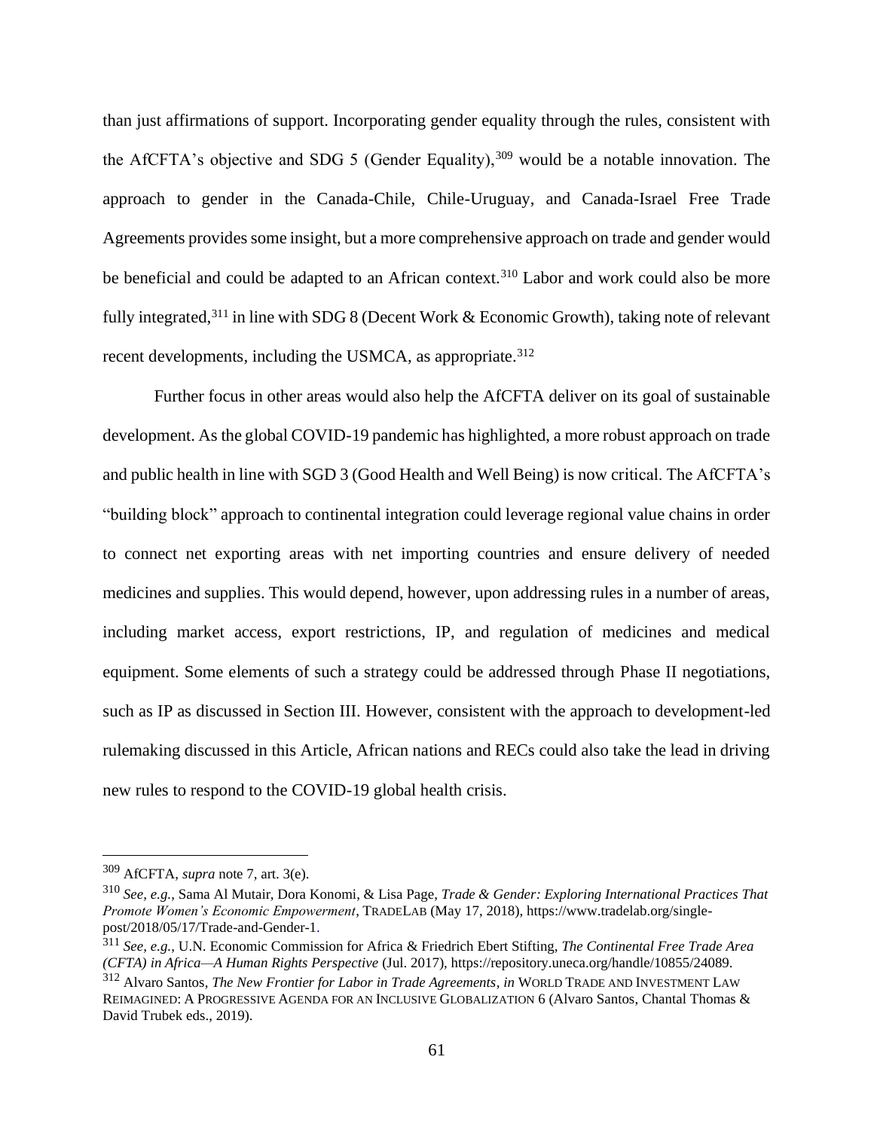than just affirmations of support. Incorporating gender equality through the rules, consistent with the AfCFTA's objective and SDG 5 (Gender Equality),  $309$  would be a notable innovation. The approach to gender in the Canada-Chile, Chile-Uruguay, and Canada-Israel Free Trade Agreements provides some insight, but a more comprehensive approach on trade and gender would be beneficial and could be adapted to an African context.<sup>310</sup> Labor and work could also be more fully integrated,<sup>311</sup> in line with SDG 8 (Decent Work & Economic Growth), taking note of relevant recent developments, including the USMCA, as appropriate.<sup>312</sup>

Further focus in other areas would also help the AfCFTA deliver on its goal of sustainable development. As the global COVID-19 pandemic has highlighted, a more robust approach on trade and public health in line with SGD 3 (Good Health and Well Being) is now critical. The AfCFTA's "building block" approach to continental integration could leverage regional value chains in order to connect net exporting areas with net importing countries and ensure delivery of needed medicines and supplies. This would depend, however, upon addressing rules in a number of areas, including market access, export restrictions, IP, and regulation of medicines and medical equipment. Some elements of such a strategy could be addressed through Phase II negotiations, such as IP as discussed in Section III. However, consistent with the approach to development-led rulemaking discussed in this Article, African nations and RECs could also take the lead in driving new rules to respond to the COVID-19 global health crisis.

<sup>309</sup> AfCFTA, *supra* note 7, art. 3(e).

<sup>310</sup> *See, e.g.*, Sama Al Mutair, Dora Konomi, & Lisa Page, *Trade & Gender: Exploring International Practices That Promote Women's Economic Empowerment*, TRADELAB (May 17, 2018), https://www.tradelab.org/singlepost/2018/05/17/Trade-and-Gender-1.

<sup>311</sup> *See, e.g.*, U.N. Economic Commission for Africa & Friedrich Ebert Stifting, *The Continental Free Trade Area (CFTA) in Africa—A Human Rights Perspective* (Jul. 2017), https://repository.uneca.org/handle/10855/24089.

<sup>312</sup> Alvaro Santos, *The New Frontier for Labor in Trade Agreements*, *in* WORLD TRADE AND INVESTMENT LAW REIMAGINED: A PROGRESSIVE AGENDA FOR AN INCLUSIVE GLOBALIZATION 6 (Alvaro Santos, Chantal Thomas & David Trubek eds., 2019).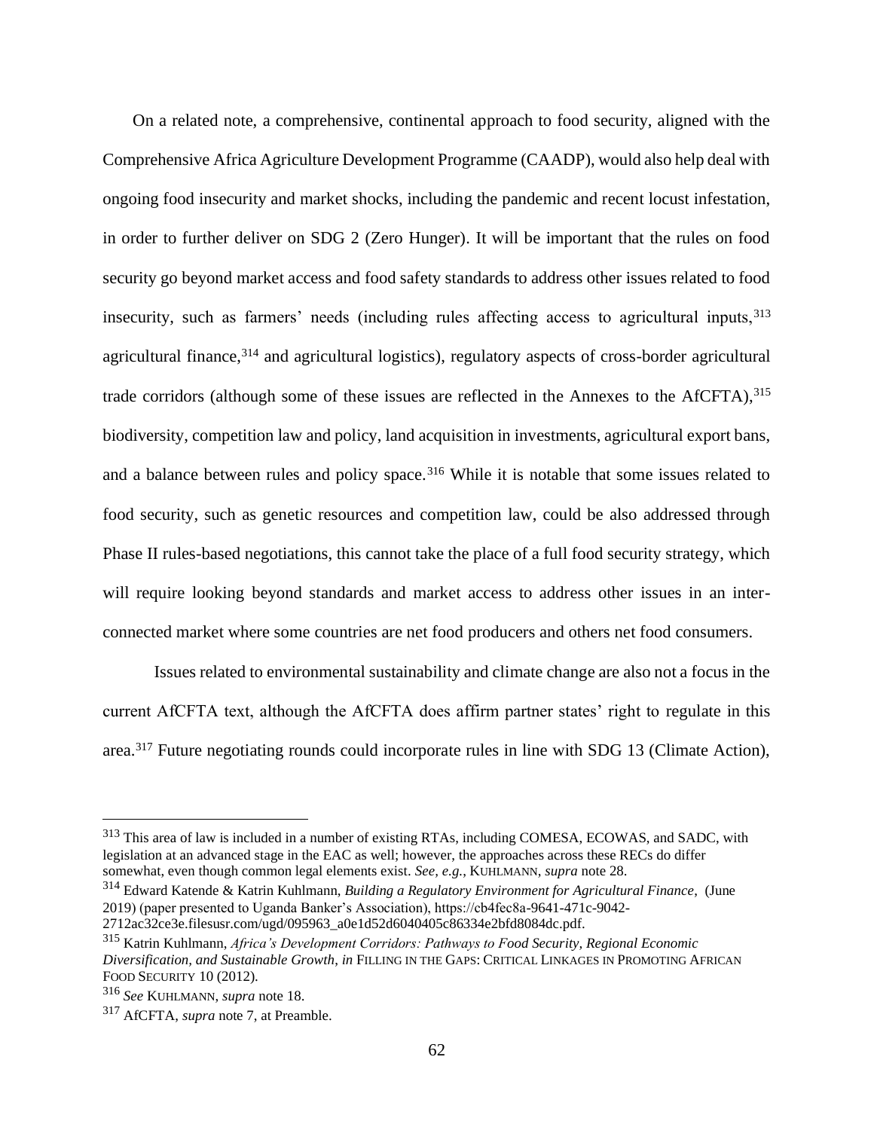On a related note, a comprehensive, continental approach to food security, aligned with the Comprehensive Africa Agriculture Development Programme (CAADP), would also help deal with ongoing food insecurity and market shocks, including the pandemic and recent locust infestation, in order to further deliver on SDG 2 (Zero Hunger). It will be important that the rules on food security go beyond market access and food safety standards to address other issues related to food insecurity, such as farmers' needs (including rules affecting access to agricultural inputs, <sup>313</sup> agricultural finance,<sup>314</sup> and agricultural logistics), regulatory aspects of cross-border agricultural trade corridors (although some of these issues are reflected in the Annexes to the  $AICFTA$ ),  $315$ biodiversity, competition law and policy, land acquisition in investments, agricultural export bans, and a balance between rules and policy space.<sup>316</sup> While it is notable that some issues related to food security, such as genetic resources and competition law, could be also addressed through Phase II rules-based negotiations, this cannot take the place of a full food security strategy, which will require looking beyond standards and market access to address other issues in an interconnected market where some countries are net food producers and others net food consumers.

Issues related to environmental sustainability and climate change are also not a focus in the current AfCFTA text, although the AfCFTA does affirm partner states' right to regulate in this area.<sup>317</sup> Future negotiating rounds could incorporate rules in line with SDG 13 (Climate Action),

<sup>313</sup> This area of law is included in a number of existing RTAs, including COMESA, ECOWAS, and SADC, with legislation at an advanced stage in the EAC as well; however, the approaches across these RECs do differ somewhat, even though common legal elements exist. *See, e.g.*, KUHLMANN, *supra* note 28.

<sup>314</sup> Edward Katende & Katrin Kuhlmann, *Building a Regulatory Environment for Agricultural Finance*, (June 2019) (paper presented to Uganda Banker's Association), https://cb4fec8a-9641-471c-9042-

<sup>2712</sup>ac32ce3e.filesusr.com/ugd/095963\_a0e1d52d6040405c86334e2bfd8084dc.pdf.

<sup>315</sup> Katrin Kuhlmann, *Africa's Development Corridors: Pathways to Food Security, Regional Economic Diversification, and Sustainable Growth*, *in* FILLING IN THE GAPS: CRITICAL LINKAGES IN PROMOTING AFRICAN FOOD SECURITY 10 (2012).

<sup>316</sup> *See* KUHLMANN, *supra* note 18.

<sup>317</sup> AfCFTA, *supra* note 7, at Preamble.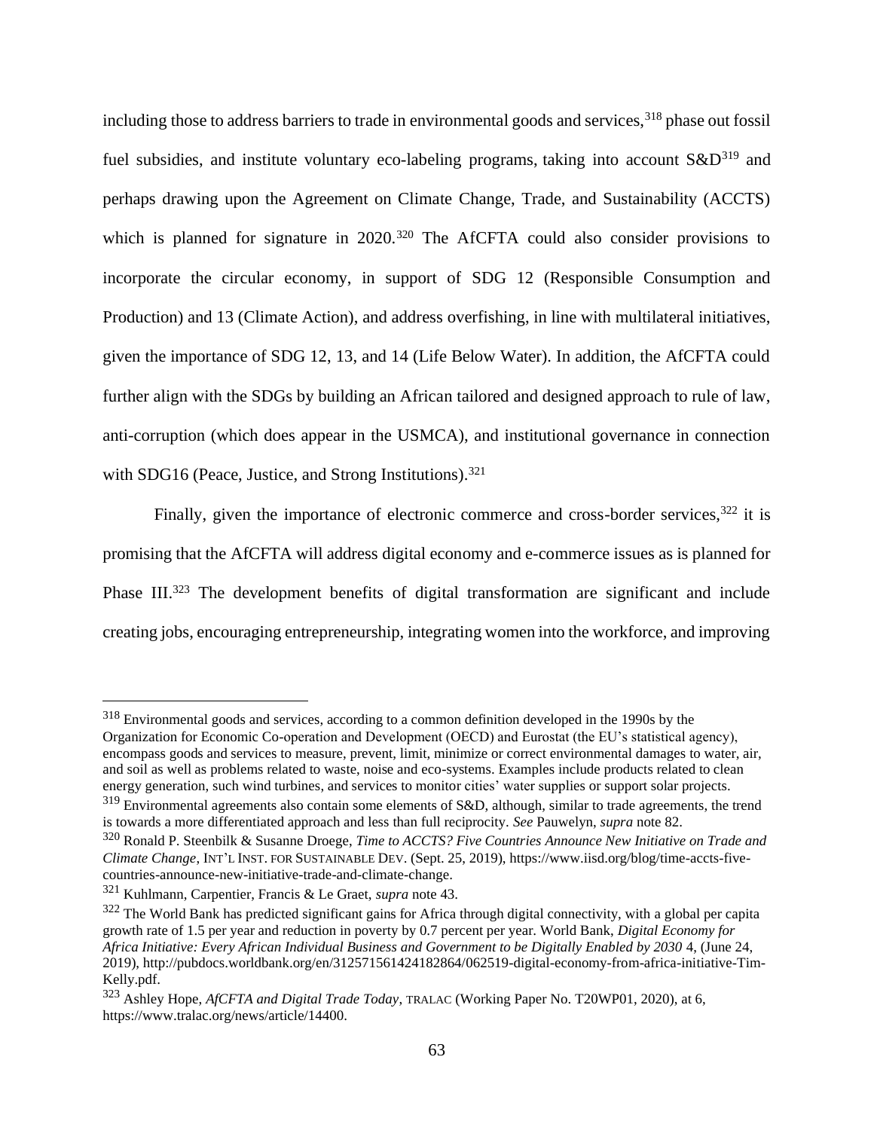including those to address barriers to trade in environmental goods and services,<sup>318</sup> phase out fossil fuel subsidies, and institute voluntary eco-labeling programs, taking into account  $S\&D^{319}$  and perhaps drawing upon the Agreement on Climate Change, Trade, and Sustainability (ACCTS) which is planned for signature in 2020.<sup>320</sup> The AfCFTA could also consider provisions to incorporate the circular economy, in support of SDG 12 (Responsible Consumption and Production) and 13 (Climate Action), and address overfishing, in line with multilateral initiatives, given the importance of SDG 12, 13, and 14 (Life Below Water). In addition, the AfCFTA could further align with the SDGs by building an African tailored and designed approach to rule of law, anti-corruption (which does appear in the USMCA), and institutional governance in connection with SDG16 (Peace, Justice, and Strong Institutions).<sup>321</sup>

Finally, given the importance of electronic commerce and cross-border services,  $322$  it is promising that the AfCFTA will address digital economy and e-commerce issues as is planned for Phase III.<sup>323</sup> The development benefits of digital transformation are significant and include creating jobs, encouraging entrepreneurship, integrating women into the workforce, and improving

<sup>318</sup> Environmental goods and services, according to a common definition developed in the 1990s by the Organization for Economic Co-operation and Development (OECD) and Eurostat (the EU's statistical agency), encompass goods and services to measure, prevent, limit, minimize or correct environmental damages to water, air, and soil as well as problems related to waste, noise and eco-systems. Examples include products related to clean energy generation, such wind turbines, and services to monitor cities' water supplies or support solar projects.

<sup>&</sup>lt;sup>319</sup> Environmental agreements also contain some elements of S&D, although, similar to trade agreements, the trend is towards a more differentiated approach and less than full reciprocity. *See* Pauwelyn, *supra* note 82.

<sup>320</sup> Ronald P. Steenbilk & Susanne Droege, *Time to ACCTS? Five Countries Announce New Initiative on Trade and Climate Change*, INT'L INST. FOR SUSTAINABLE DEV. (Sept. 25, 2019), https://www.iisd.org/blog/time-accts-fivecountries-announce-new-initiative-trade-and-climate-change.

<sup>321</sup> Kuhlmann, Carpentier, Francis & Le Graet, *supra* note 43.

 $322$  The World Bank has predicted significant gains for Africa through digital connectivity, with a global per capita growth rate of 1.5 per year and reduction in poverty by 0.7 percent per year. World Bank, *Digital Economy for Africa Initiative: Every African Individual Business and Government to be Digitally Enabled by 2030* 4, (June 24, 2019), http://pubdocs.worldbank.org/en/312571561424182864/062519-digital-economy-from-africa-initiative-Tim-Kelly.pdf.

<sup>323</sup> Ashley Hope, *AfCFTA and Digital Trade Today*, TRALAC (Working Paper No. T20WP01, 2020), at 6, https://www.tralac.org/news/article/14400.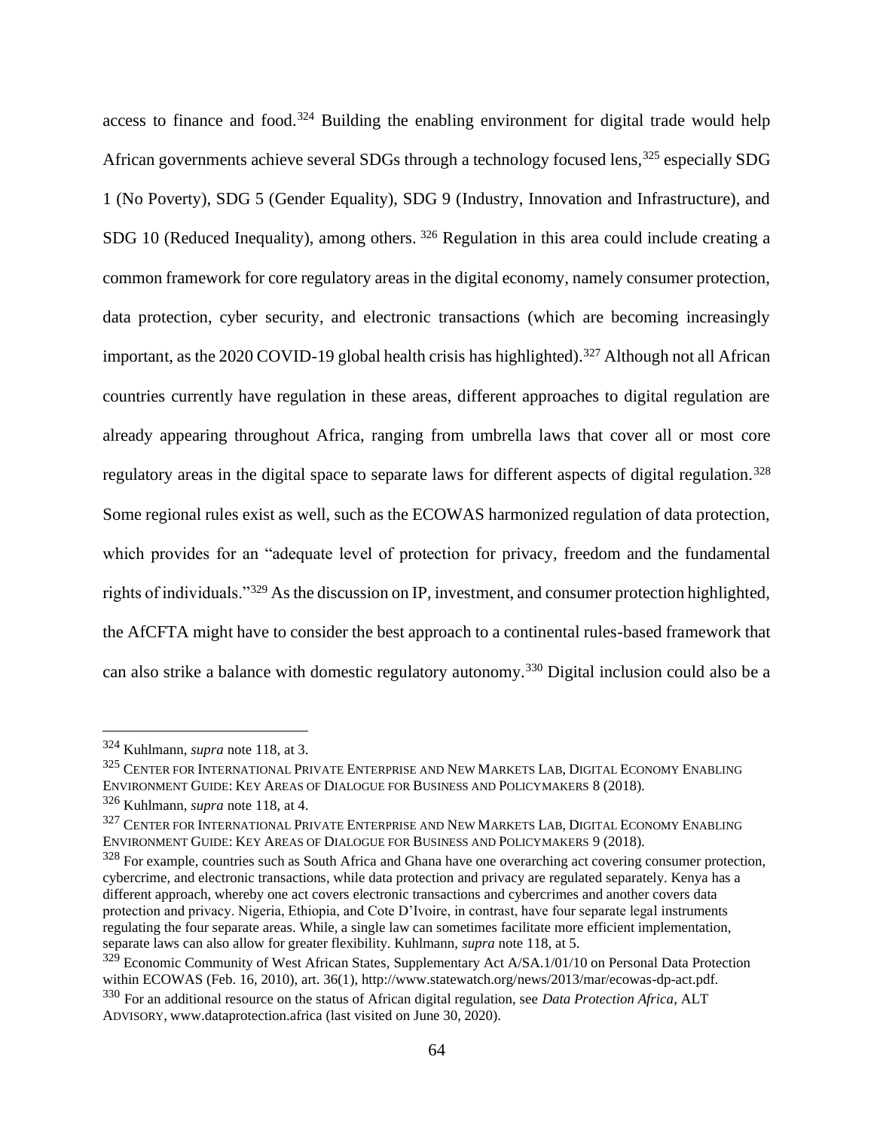access to finance and food.<sup>324</sup> Building the enabling environment for digital trade would help African governments achieve several SDGs through a technology focused lens,<sup>325</sup> especially SDG 1 (No Poverty), SDG 5 (Gender Equality), SDG 9 (Industry, Innovation and Infrastructure), and SDG 10 (Reduced Inequality), among others. <sup>326</sup> Regulation in this area could include creating a common framework for core regulatory areas in the digital economy, namely consumer protection, data protection, cyber security, and electronic transactions (which are becoming increasingly important, as the 2020 COVID-19 global health crisis has highlighted).<sup>327</sup> Although not all African countries currently have regulation in these areas, different approaches to digital regulation are already appearing throughout Africa, ranging from umbrella laws that cover all or most core regulatory areas in the digital space to separate laws for different aspects of digital regulation.<sup>328</sup> Some regional rules exist as well, such as the ECOWAS harmonized regulation of data protection, which provides for an "adequate level of protection for privacy, freedom and the fundamental rights of individuals."<sup>329</sup> As the discussion on IP, investment, and consumer protection highlighted, the AfCFTA might have to consider the best approach to a continental rules-based framework that can also strike a balance with domestic regulatory autonomy.<sup>330</sup> Digital inclusion could also be a

<sup>324</sup> Kuhlmann, *supra* note 118, at 3.

<sup>325</sup> CENTER FOR INTERNATIONAL PRIVATE ENTERPRISE AND NEW MARKETS LAB, DIGITAL ECONOMY ENABLING ENVIRONMENT GUIDE: KEY AREAS OF DIALOGUE FOR BUSINESS AND POLICYMAKERS 8 (2018).

<sup>326</sup> Kuhlmann, *supra* note 118, at 4.

<sup>&</sup>lt;sup>327</sup> CENTER FOR INTERNATIONAL PRIVATE ENTERPRISE AND NEW MARKETS LAB, DIGITAL ECONOMY ENABLING ENVIRONMENT GUIDE: KEY AREAS OF DIALOGUE FOR BUSINESS AND POLICYMAKERS 9 (2018).

 $328$  For example, countries such as South Africa and Ghana have one overarching act covering consumer protection, cybercrime, and electronic transactions, while data protection and privacy are regulated separately. Kenya has a different approach, whereby one act covers electronic transactions and cybercrimes and another covers data protection and privacy. Nigeria, Ethiopia, and Cote D'Ivoire, in contrast, have four separate legal instruments regulating the four separate areas. While, a single law can sometimes facilitate more efficient implementation, separate laws can also allow for greater flexibility. Kuhlmann, *supra* note 118, at 5.

<sup>&</sup>lt;sup>329</sup> Economic Community of West African States, Supplementary Act A/SA.1/01/10 on Personal Data Protection within ECOWAS (Feb. 16, 2010), art. 36(1), http://www.statewatch.org/news/2013/mar/ecowas-dp-act.pdf.

<sup>330</sup> For an additional resource on the status of African digital regulation, see *Data Protection Africa*, ALT ADVISORY, www.dataprotection.africa (last visited on June 30, 2020).